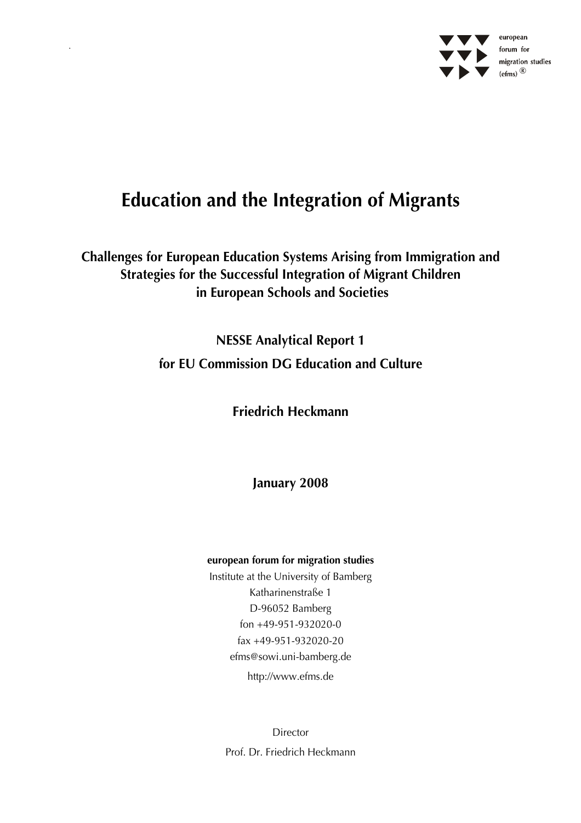

# **Education and the Integration of Migrants**

**Challenges for European Education Systems Arising from Immigration and Strategies for the Successful Integration of Migrant Children in European Schools and Societies** 

> **NESSE Analytical Report 1 for EU Commission DG Education and Culture**

> > **Friedrich Heckmann**

**January 2008** 

#### **european forum for migration studies**

Institute at the University of Bamberg Katharinenstraße 1 D-96052 Bamberg fon +49-951-932020-0 fax +49-951-932020-20 efms@sowi.uni-bamberg.de http://www.efms.de

Director Prof. Dr. Friedrich Heckmann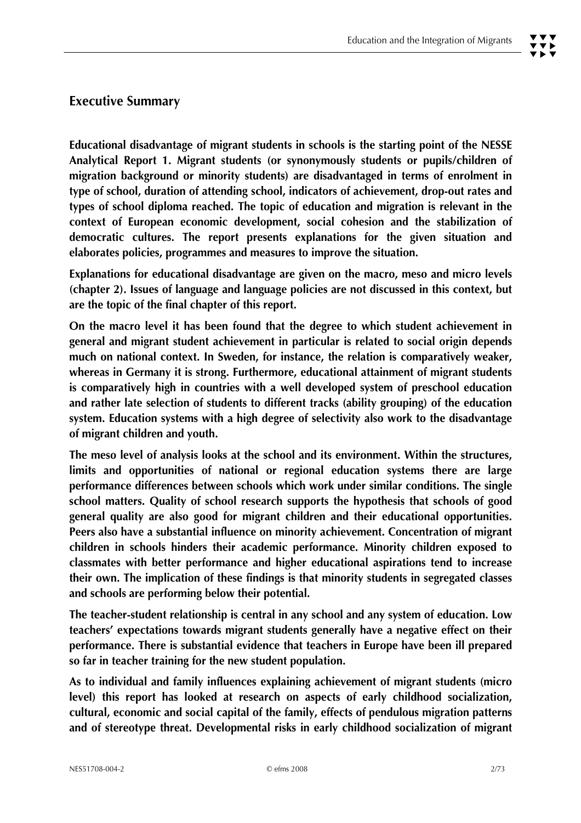# **Executive Summary**

**Educational disadvantage of migrant students in schools is the starting point of the NESSE Analytical Report 1. Migrant students (or synonymously students or pupils/children of migration background or minority students) are disadvantaged in terms of enrolment in type of school, duration of attending school, indicators of achievement, drop-out rates and types of school diploma reached. The topic of education and migration is relevant in the context of European economic development, social cohesion and the stabilization of democratic cultures. The report presents explanations for the given situation and elaborates policies, programmes and measures to improve the situation.** 

**Explanations for educational disadvantage are given on the macro, meso and micro levels (chapter 2). Issues of language and language policies are not discussed in this context, but are the topic of the final chapter of this report.** 

**On the macro level it has been found that the degree to which student achievement in general and migrant student achievement in particular is related to social origin depends much on national context. In Sweden, for instance, the relation is comparatively weaker, whereas in Germany it is strong. Furthermore, educational attainment of migrant students is comparatively high in countries with a well developed system of preschool education and rather late selection of students to different tracks (ability grouping) of the education system. Education systems with a high degree of selectivity also work to the disadvantage of migrant children and youth.** 

**The meso level of analysis looks at the school and its environment. Within the structures, limits and opportunities of national or regional education systems there are large performance differences between schools which work under similar conditions. The single school matters. Quality of school research supports the hypothesis that schools of good general quality are also good for migrant children and their educational opportunities. Peers also have a substantial influence on minority achievement. Concentration of migrant children in schools hinders their academic performance. Minority children exposed to classmates with better performance and higher educational aspirations tend to increase their own. The implication of these findings is that minority students in segregated classes and schools are performing below their potential.** 

**The teacher-student relationship is central in any school and any system of education. Low teachers' expectations towards migrant students generally have a negative effect on their performance. There is substantial evidence that teachers in Europe have been ill prepared so far in teacher training for the new student population.** 

**As to individual and family influences explaining achievement of migrant students (micro level) this report has looked at research on aspects of early childhood socialization, cultural, economic and social capital of the family, effects of pendulous migration patterns and of stereotype threat. Developmental risks in early childhood socialization of migrant**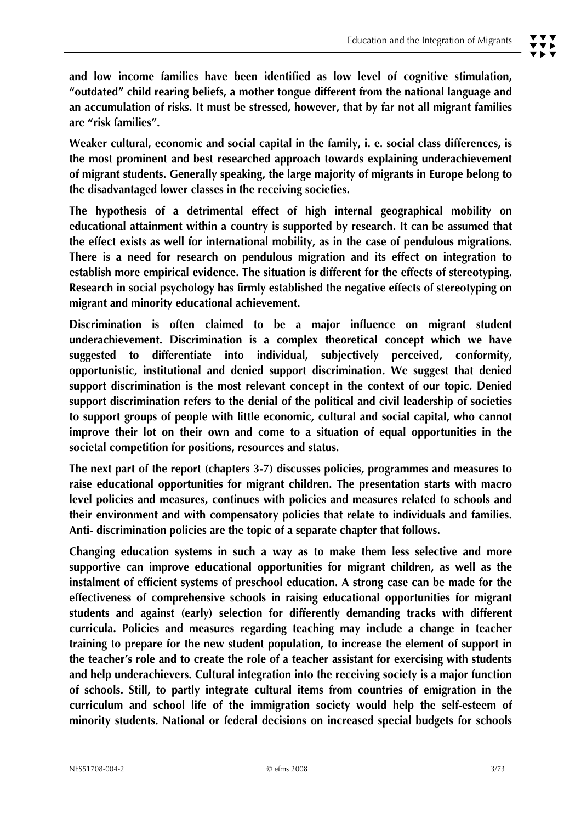**and low income families have been identified as low level of cognitive stimulation, "outdated" child rearing beliefs, a mother tongue different from the national language and an accumulation of risks. It must be stressed, however, that by far not all migrant families are "risk families".** 

**Weaker cultural, economic and social capital in the family, i. e. social class differences, is the most prominent and best researched approach towards explaining underachievement of migrant students. Generally speaking, the large majority of migrants in Europe belong to the disadvantaged lower classes in the receiving societies.** 

**The hypothesis of a detrimental effect of high internal geographical mobility on educational attainment within a country is supported by research. It can be assumed that the effect exists as well for international mobility, as in the case of pendulous migrations. There is a need for research on pendulous migration and its effect on integration to establish more empirical evidence. The situation is different for the effects of stereotyping. Research in social psychology has firmly established the negative effects of stereotyping on migrant and minority educational achievement.** 

**Discrimination is often claimed to be a major influence on migrant student underachievement. Discrimination is a complex theoretical concept which we have suggested to differentiate into individual, subjectively perceived, conformity, opportunistic, institutional and denied support discrimination. We suggest that denied support discrimination is the most relevant concept in the context of our topic. Denied support discrimination refers to the denial of the political and civil leadership of societies to support groups of people with little economic, cultural and social capital, who cannot improve their lot on their own and come to a situation of equal opportunities in the societal competition for positions, resources and status.** 

**The next part of the report (chapters 3-7) discusses policies, programmes and measures to raise educational opportunities for migrant children. The presentation starts with macro level policies and measures, continues with policies and measures related to schools and their environment and with compensatory policies that relate to individuals and families. Anti- discrimination policies are the topic of a separate chapter that follows.** 

**Changing education systems in such a way as to make them less selective and more supportive can improve educational opportunities for migrant children, as well as the instalment of efficient systems of preschool education. A strong case can be made for the effectiveness of comprehensive schools in raising educational opportunities for migrant students and against (early) selection for differently demanding tracks with different curricula. Policies and measures regarding teaching may include a change in teacher training to prepare for the new student population, to increase the element of support in the teacher's role and to create the role of a teacher assistant for exercising with students and help underachievers. Cultural integration into the receiving society is a major function of schools. Still, to partly integrate cultural items from countries of emigration in the curriculum and school life of the immigration society would help the self-esteem of minority students. National or federal decisions on increased special budgets for schools**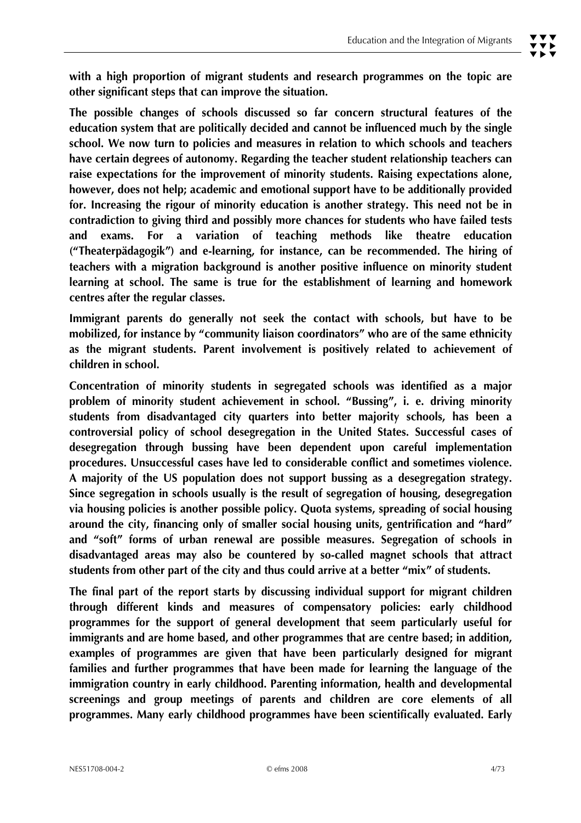**The possible changes of schools discussed so far concern structural features of the education system that are politically decided and cannot be influenced much by the single school. We now turn to policies and measures in relation to which schools and teachers have certain degrees of autonomy. Regarding the teacher student relationship teachers can raise expectations for the improvement of minority students. Raising expectations alone, however, does not help; academic and emotional support have to be additionally provided for. Increasing the rigour of minority education is another strategy. This need not be in contradiction to giving third and possibly more chances for students who have failed tests and exams. For a variation of teaching methods like theatre education ("Theaterpädagogik") and e-learning, for instance, can be recommended. The hiring of teachers with a migration background is another positive influence on minority student learning at school. The same is true for the establishment of learning and homework centres after the regular classes.** 

**Immigrant parents do generally not seek the contact with schools, but have to be mobilized, for instance by "community liaison coordinators" who are of the same ethnicity as the migrant students. Parent involvement is positively related to achievement of children in school.** 

**Concentration of minority students in segregated schools was identified as a major problem of minority student achievement in school. "Bussing", i. e. driving minority students from disadvantaged city quarters into better majority schools, has been a controversial policy of school desegregation in the United States. Successful cases of desegregation through bussing have been dependent upon careful implementation procedures. Unsuccessful cases have led to considerable conflict and sometimes violence. A majority of the US population does not support bussing as a desegregation strategy. Since segregation in schools usually is the result of segregation of housing, desegregation via housing policies is another possible policy. Quota systems, spreading of social housing around the city, financing only of smaller social housing units, gentrification and "hard" and "soft" forms of urban renewal are possible measures. Segregation of schools in disadvantaged areas may also be countered by so-called magnet schools that attract students from other part of the city and thus could arrive at a better "mix" of students.** 

**The final part of the report starts by discussing individual support for migrant children through different kinds and measures of compensatory policies: early childhood programmes for the support of general development that seem particularly useful for immigrants and are home based, and other programmes that are centre based; in addition, examples of programmes are given that have been particularly designed for migrant families and further programmes that have been made for learning the language of the immigration country in early childhood. Parenting information, health and developmental screenings and group meetings of parents and children are core elements of all programmes. Many early childhood programmes have been scientifically evaluated. Early**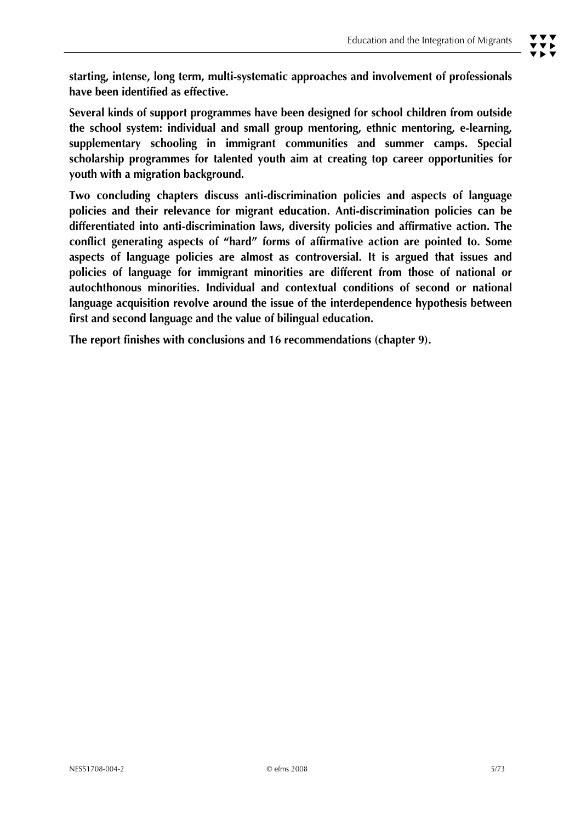**starting, intense, long term, multi-systematic approaches and involvement of professionals have been identified as effective.** 

**Several kinds of support programmes have been designed for school children from outside the school system: individual and small group mentoring, ethnic mentoring, e-learning, supplementary schooling in immigrant communities and summer camps. Special scholarship programmes for talented youth aim at creating top career opportunities for youth with a migration background.** 

**Two concluding chapters discuss anti-discrimination policies and aspects of language policies and their relevance for migrant education. Anti-discrimination policies can be differentiated into anti-discrimination laws, diversity policies and affirmative action. The conflict generating aspects of "hard" forms of affirmative action are pointed to. Some aspects of language policies are almost as controversial. It is argued that issues and policies of language for immigrant minorities are different from those of national or autochthonous minorities. Individual and contextual conditions of second or national language acquisition revolve around the issue of the interdependence hypothesis between first and second language and the value of bilingual education.** 

**The report finishes with conclusions and 16 recommendations (chapter 9).**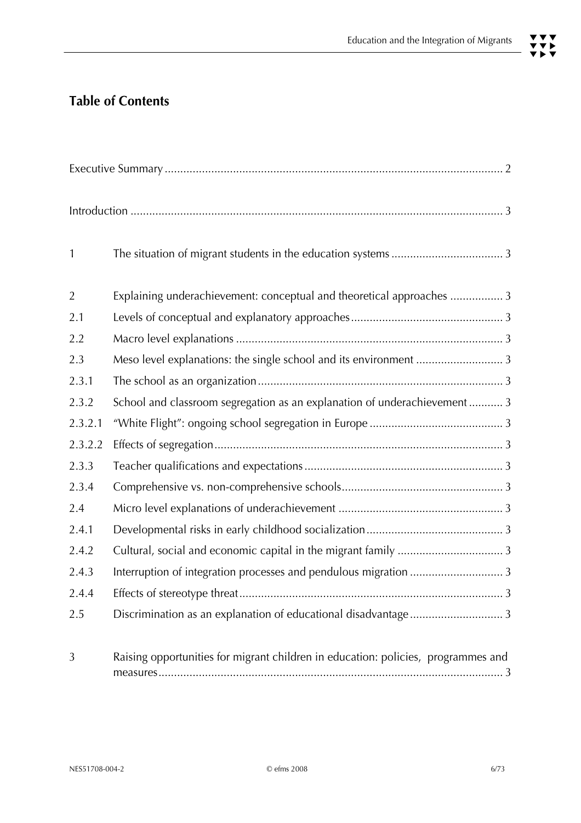# **Table of Contents**

| $\mathbf{1}$   |                                                                                   |  |
|----------------|-----------------------------------------------------------------------------------|--|
| $\overline{2}$ | Explaining underachievement: conceptual and theoretical approaches  3             |  |
| 2.1            |                                                                                   |  |
| 2.2            |                                                                                   |  |
| 2.3            |                                                                                   |  |
| 2.3.1          |                                                                                   |  |
| 2.3.2          | School and classroom segregation as an explanation of underachievement 3          |  |
| 2.3.2.1        |                                                                                   |  |
| 2.3.2.2        |                                                                                   |  |
| 2.3.3          |                                                                                   |  |
| 2.3.4          |                                                                                   |  |
| 2.4            |                                                                                   |  |
| 2.4.1          |                                                                                   |  |
| 2.4.2          |                                                                                   |  |
| 2.4.3          | Interruption of integration processes and pendulous migration  3                  |  |
| 2.4.4          |                                                                                   |  |
| 2.5            | Discrimination as an explanation of educational disadvantage 3                    |  |
| $\mathcal{L}$  | Dejoing enneaturities for migrant objiding in education, policies invegrammes and |  |

3 Raising opportunities for migrant children in education: policies, programmes and measures............................................................................................................... 3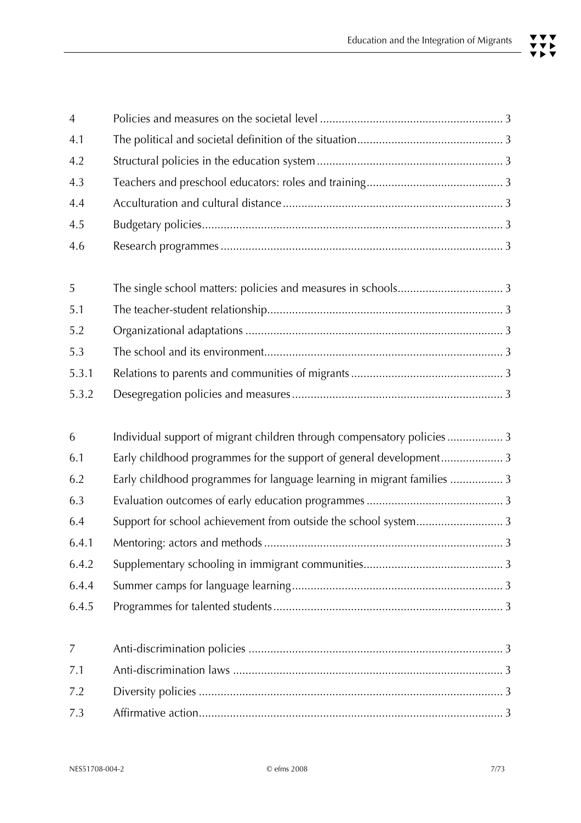| $\overline{4}$ |                                                                         |
|----------------|-------------------------------------------------------------------------|
| 4.1            |                                                                         |
| 4.2            |                                                                         |
| 4.3            |                                                                         |
| 4.4            |                                                                         |
| 4.5            |                                                                         |
| 4.6            |                                                                         |
| 5              |                                                                         |
| 5.1            |                                                                         |
| 5.2            |                                                                         |
| 5.3            |                                                                         |
| 5.3.1          |                                                                         |
| 5.3.2          |                                                                         |
| 6              | Individual support of migrant children through compensatory policies3   |
| 6.1            | Early childhood programmes for the support of general development3      |
| 6.2            | Early childhood programmes for language learning in migrant families  3 |
| 6.3            |                                                                         |
| 6.4            | Support for school achievement from outside the school system 3         |
| 6.4.1          |                                                                         |
| 6.4.2          |                                                                         |
| 6.4.4          |                                                                         |
| 6.4.5          |                                                                         |
| 7              |                                                                         |
| 7.1            |                                                                         |
| 7.2            |                                                                         |
| 7.3            |                                                                         |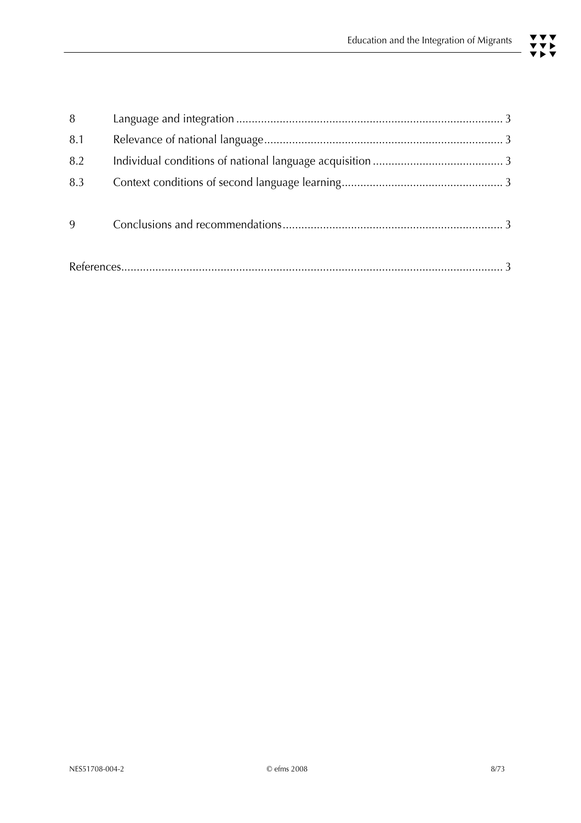| 8   |  |  |
|-----|--|--|
| 8.1 |  |  |
| 8.2 |  |  |
| 8.3 |  |  |
|     |  |  |
| 9   |  |  |
|     |  |  |
|     |  |  |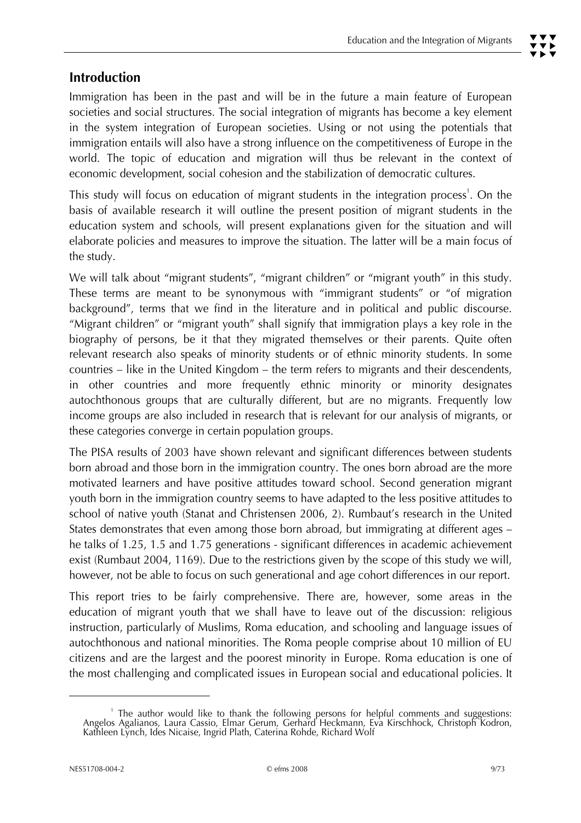# **Introduction**

Immigration has been in the past and will be in the future a main feature of European societies and social structures. The social integration of migrants has become a key element in the system integration of European societies. Using or not using the potentials that immigration entails will also have a strong influence on the competitiveness of Europe in the world. The topic of education and migration will thus be relevant in the context of economic development, social cohesion and the stabilization of democratic cultures.

This study will focus on education of migrant students in the integration process<sup>1</sup>. On the basis of available research it will outline the present position of migrant students in the education system and schools, will present explanations given for the situation and will elaborate policies and measures to improve the situation. The latter will be a main focus of the study.

We will talk about "migrant students", "migrant children" or "migrant youth" in this study. These terms are meant to be synonymous with "immigrant students" or "of migration background", terms that we find in the literature and in political and public discourse. "Migrant children" or "migrant youth" shall signify that immigration plays a key role in the biography of persons, be it that they migrated themselves or their parents. Quite often relevant research also speaks of minority students or of ethnic minority students. In some countries – like in the United Kingdom – the term refers to migrants and their descendents, in other countries and more frequently ethnic minority or minority designates autochthonous groups that are culturally different, but are no migrants. Frequently low income groups are also included in research that is relevant for our analysis of migrants, or these categories converge in certain population groups.

The PISA results of 2003 have shown relevant and significant differences between students born abroad and those born in the immigration country. The ones born abroad are the more motivated learners and have positive attitudes toward school. Second generation migrant youth born in the immigration country seems to have adapted to the less positive attitudes to school of native youth (Stanat and Christensen 2006, 2). Rumbaut's research in the United States demonstrates that even among those born abroad, but immigrating at different ages – he talks of 1.25, 1.5 and 1.75 generations - significant differences in academic achievement exist (Rumbaut 2004, 1169). Due to the restrictions given by the scope of this study we will, however, not be able to focus on such generational and age cohort differences in our report.

This report tries to be fairly comprehensive. There are, however, some areas in the education of migrant youth that we shall have to leave out of the discussion: religious instruction, particularly of Muslims, Roma education, and schooling and language issues of autochthonous and national minorities. The Roma people comprise about 10 million of EU citizens and are the largest and the poorest minority in Europe. Roma education is one of the most challenging and complicated issues in European social and educational policies. It

<sup>1</sup> The author would like to thank the following persons for helpful comments and suggestions: Angelos Agalianos, Laura Cassio, Elmar Gerum, Gerhard Heckmann, Eva Kirschhock, Christoph Kodron, Kathleen Lynch, Ides Nicaise, Ingrid Plath, Caterina Rohde, Richard Wolf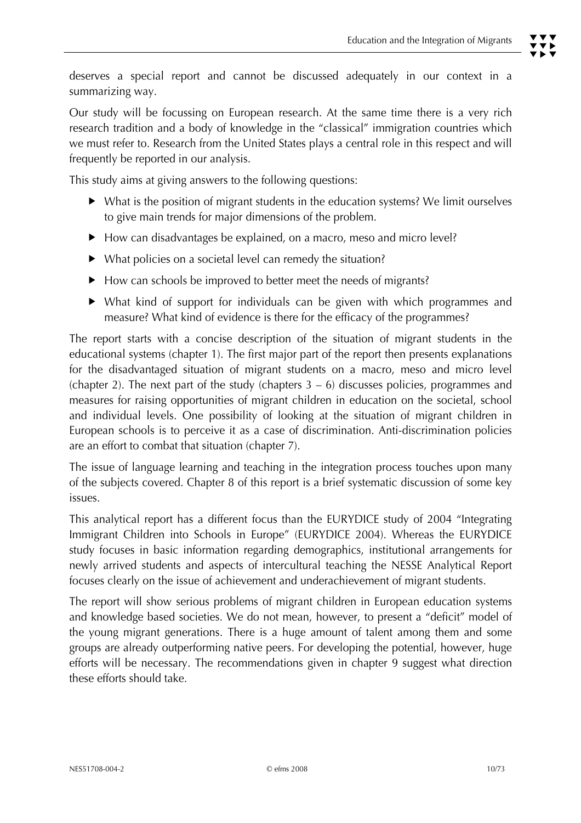Our study will be focussing on European research. At the same time there is a very rich research tradition and a body of knowledge in the "classical" immigration countries which we must refer to. Research from the United States plays a central role in this respect and will frequently be reported in our analysis.

This study aims at giving answers to the following questions:

- $\blacktriangleright$  What is the position of migrant students in the education systems? We limit ourselves to give main trends for major dimensions of the problem.
- $\blacktriangleright$  How can disadvantages be explained, on a macro, meso and micro level?
- $\blacktriangleright$  What policies on a societal level can remedy the situation?
- $\blacktriangleright$  How can schools be improved to better meet the needs of migrants?
- $\triangleright$  What kind of support for individuals can be given with which programmes and measure? What kind of evidence is there for the efficacy of the programmes?

The report starts with a concise description of the situation of migrant students in the educational systems (chapter 1). The first major part of the report then presents explanations for the disadvantaged situation of migrant students on a macro, meso and micro level (chapter 2). The next part of the study (chapters  $3 - 6$ ) discusses policies, programmes and measures for raising opportunities of migrant children in education on the societal, school and individual levels. One possibility of looking at the situation of migrant children in European schools is to perceive it as a case of discrimination. Anti-discrimination policies are an effort to combat that situation (chapter 7).

The issue of language learning and teaching in the integration process touches upon many of the subjects covered. Chapter 8 of this report is a brief systematic discussion of some key issues.

This analytical report has a different focus than the EURYDICE study of 2004 "Integrating Immigrant Children into Schools in Europe" (EURYDICE 2004). Whereas the EURYDICE study focuses in basic information regarding demographics, institutional arrangements for newly arrived students and aspects of intercultural teaching the NESSE Analytical Report focuses clearly on the issue of achievement and underachievement of migrant students.

The report will show serious problems of migrant children in European education systems and knowledge based societies. We do not mean, however, to present a "deficit" model of the young migrant generations. There is a huge amount of talent among them and some groups are already outperforming native peers. For developing the potential, however, huge efforts will be necessary. The recommendations given in chapter 9 suggest what direction these efforts should take.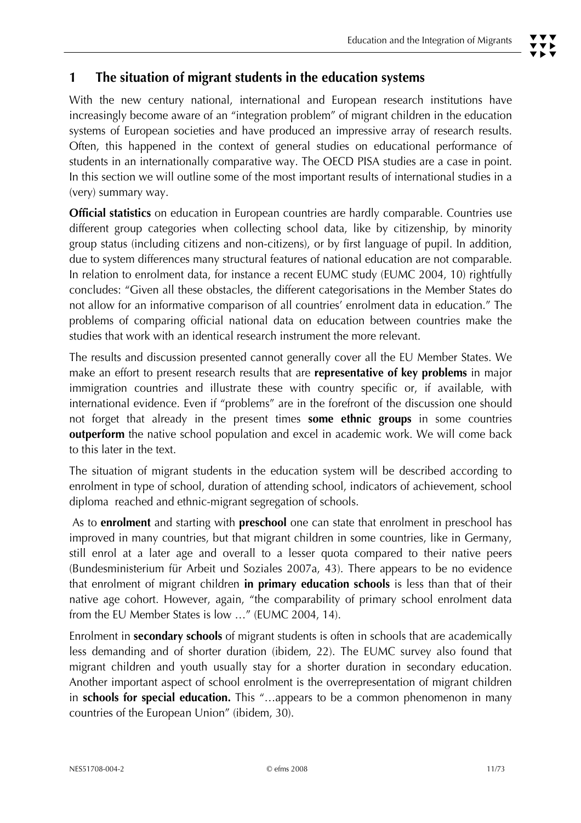# **1 The situation of migrant students in the education systems**

With the new century national, international and European research institutions have increasingly become aware of an "integration problem" of migrant children in the education systems of European societies and have produced an impressive array of research results. Often, this happened in the context of general studies on educational performance of students in an internationally comparative way. The OECD PISA studies are a case in point. In this section we will outline some of the most important results of international studies in a (very) summary way.

**Official statistics** on education in European countries are hardly comparable. Countries use different group categories when collecting school data, like by citizenship, by minority group status (including citizens and non-citizens), or by first language of pupil. In addition, due to system differences many structural features of national education are not comparable. In relation to enrolment data, for instance a recent EUMC study (EUMC 2004, 10) rightfully concludes: "Given all these obstacles, the different categorisations in the Member States do not allow for an informative comparison of all countries' enrolment data in education." The problems of comparing official national data on education between countries make the studies that work with an identical research instrument the more relevant.

The results and discussion presented cannot generally cover all the EU Member States. We make an effort to present research results that are **representative of key problems** in major immigration countries and illustrate these with country specific or, if available, with international evidence. Even if "problems" are in the forefront of the discussion one should not forget that already in the present times **some ethnic groups** in some countries **outperform** the native school population and excel in academic work. We will come back to this later in the text.

The situation of migrant students in the education system will be described according to enrolment in type of school, duration of attending school, indicators of achievement, school diploma reached and ethnic-migrant segregation of schools.

 As to **enrolment** and starting with **preschool** one can state that enrolment in preschool has improved in many countries, but that migrant children in some countries, like in Germany, still enrol at a later age and overall to a lesser quota compared to their native peers (Bundesministerium für Arbeit und Soziales 2007a, 43). There appears to be no evidence that enrolment of migrant children **in primary education schools** is less than that of their native age cohort. However, again, "the comparability of primary school enrolment data from the EU Member States is low …" (EUMC 2004, 14).

Enrolment in **secondary schools** of migrant students is often in schools that are academically less demanding and of shorter duration (ibidem, 22). The EUMC survey also found that migrant children and youth usually stay for a shorter duration in secondary education. Another important aspect of school enrolment is the overrepresentation of migrant children in **schools for special education.** This "…appears to be a common phenomenon in many countries of the European Union" (ibidem, 30).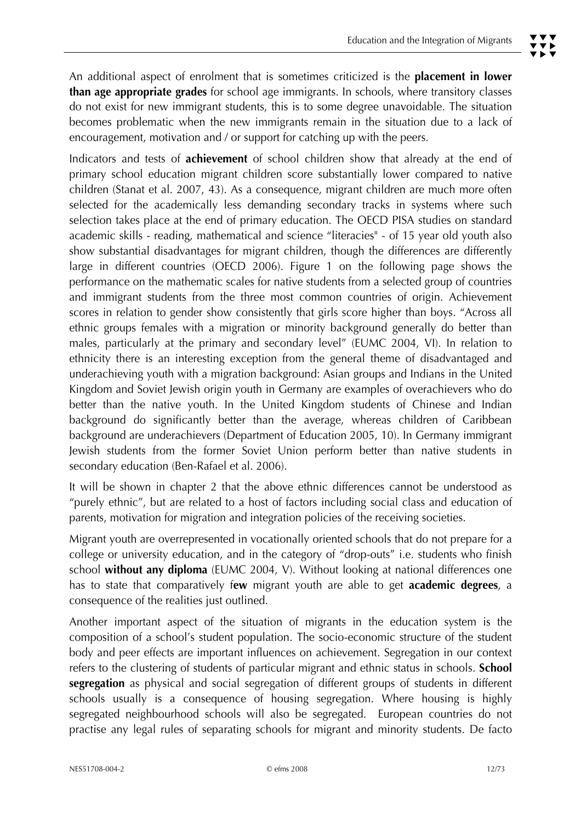Indicators and tests of **achievement** of school children show that already at the end of primary school education migrant children score substantially lower compared to native children (Stanat et al. 2007, 43). As a consequence, migrant children are much more often selected for the academically less demanding secondary tracks in systems where such selection takes place at the end of primary education. The OECD PISA studies on standard academic skills - reading, mathematical and science "literacies" - of 15 year old youth also show substantial disadvantages for migrant children, though the differences are differently large in different countries (OECD 2006). Figure 1 on the following page shows the performance on the mathematic scales for native students from a selected group of countries and immigrant students from the three most common countries of origin. Achievement scores in relation to gender show consistently that girls score higher than boys. "Across all ethnic groups females with a migration or minority background generally do better than males, particularly at the primary and secondary level" (EUMC 2004, VI). In relation to ethnicity there is an interesting exception from the general theme of disadvantaged and underachieving youth with a migration background: Asian groups and Indians in the United Kingdom and Soviet Jewish origin youth in Germany are examples of overachievers who do better than the native youth. In the United Kingdom students of Chinese and Indian background do significantly better than the average, whereas children of Caribbean background are underachievers (Department of Education 2005, 10). In Germany immigrant Jewish students from the former Soviet Union perform better than native students in secondary education (Ben-Rafael et al. 2006).

It will be shown in chapter 2 that the above ethnic differences cannot be understood as "purely ethnic", but are related to a host of factors including social class and education of parents, motivation for migration and integration policies of the receiving societies.

Migrant youth are overrepresented in vocationally oriented schools that do not prepare for a college or university education, and in the category of "drop-outs" i.e. students who finish school **without any diploma** (EUMC 2004, V). Without looking at national differences one has to state that comparatively f**ew** migrant youth are able to get **academic degrees**, a consequence of the realities just outlined.

Another important aspect of the situation of migrants in the education system is the composition of a school's student population. The socio-economic structure of the student body and peer effects are important influences on achievement. Segregation in our context refers to the clustering of students of particular migrant and ethnic status in schools. **School segregation** as physical and social segregation of different groups of students in different schools usually is a consequence of housing segregation. Where housing is highly segregated neighbourhood schools will also be segregated. European countries do not practise any legal rules of separating schools for migrant and minority students. De facto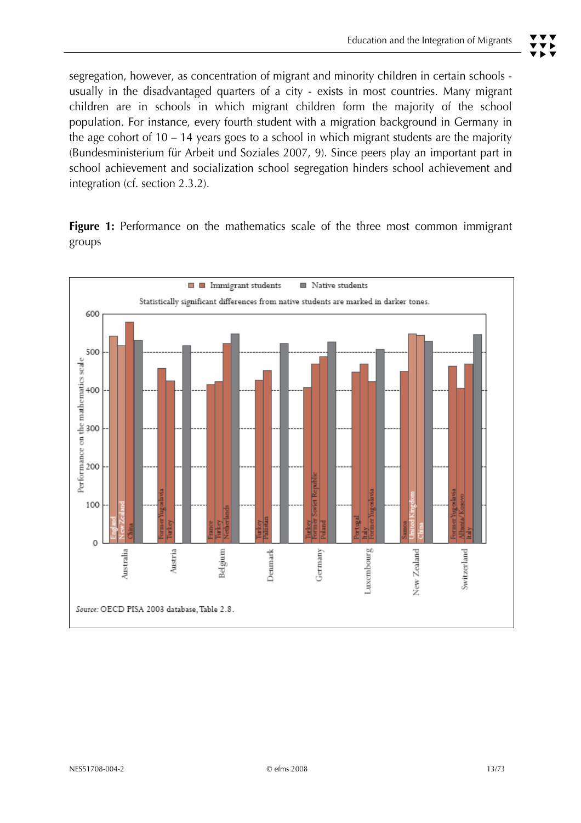segregation, however, as concentration of migrant and minority children in certain schools usually in the disadvantaged quarters of a city - exists in most countries. Many migrant children are in schools in which migrant children form the majority of the school population. For instance, every fourth student with a migration background in Germany in the age cohort of  $10 - 14$  years goes to a school in which migrant students are the majority (Bundesministerium für Arbeit und Soziales 2007, 9). Since peers play an important part in school achievement and socialization school segregation hinders school achievement and integration (cf. section 2.3.2).

Figure 1: Performance on the mathematics scale of the three most common immigrant groups

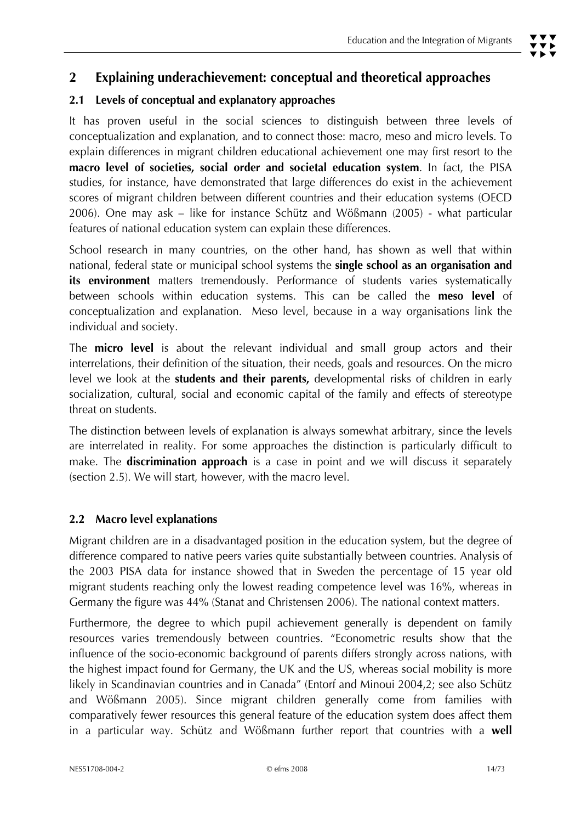# **2 Explaining underachievement: conceptual and theoretical approaches**

# **2.1 Levels of conceptual and explanatory approaches**

It has proven useful in the social sciences to distinguish between three levels of conceptualization and explanation, and to connect those: macro, meso and micro levels. To explain differences in migrant children educational achievement one may first resort to the **macro level of societies, social order and societal education system**. In fact, the PISA studies, for instance, have demonstrated that large differences do exist in the achievement scores of migrant children between different countries and their education systems (OECD 2006). One may ask – like for instance Schütz and Wößmann (2005) - what particular features of national education system can explain these differences.

School research in many countries, on the other hand, has shown as well that within national, federal state or municipal school systems the **single school as an organisation and**  its environment matters tremendously. Performance of students varies systematically between schools within education systems. This can be called the **meso level** of conceptualization and explanation. Meso level, because in a way organisations link the individual and society.

The **micro level** is about the relevant individual and small group actors and their interrelations, their definition of the situation, their needs, goals and resources. On the micro level we look at the **students and their parents,** developmental risks of children in early socialization, cultural, social and economic capital of the family and effects of stereotype threat on students.

The distinction between levels of explanation is always somewhat arbitrary, since the levels are interrelated in reality. For some approaches the distinction is particularly difficult to make. The **discrimination approach** is a case in point and we will discuss it separately (section 2.5). We will start, however, with the macro level.

#### **2.2 Macro level explanations**

Migrant children are in a disadvantaged position in the education system, but the degree of difference compared to native peers varies quite substantially between countries. Analysis of the 2003 PISA data for instance showed that in Sweden the percentage of 15 year old migrant students reaching only the lowest reading competence level was 16%, whereas in Germany the figure was 44% (Stanat and Christensen 2006). The national context matters.

Furthermore, the degree to which pupil achievement generally is dependent on family resources varies tremendously between countries. "Econometric results show that the influence of the socio-economic background of parents differs strongly across nations, with the highest impact found for Germany, the UK and the US, whereas social mobility is more likely in Scandinavian countries and in Canada" (Entorf and Minoui 2004,2; see also Schütz and Wößmann 2005). Since migrant children generally come from families with comparatively fewer resources this general feature of the education system does affect them in a particular way. Schütz and Wößmann further report that countries with a **well**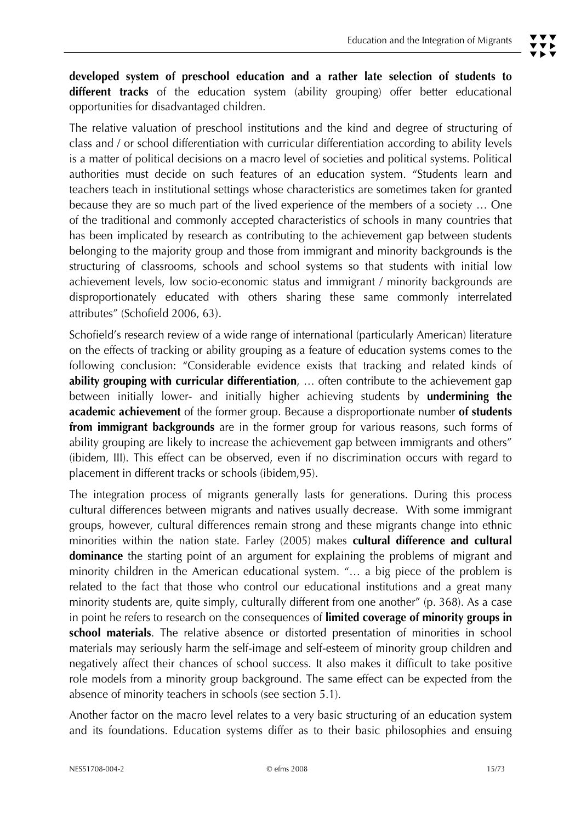**developed system of preschool education and a rather late selection of students to different tracks** of the education system (ability grouping) offer better educational opportunities for disadvantaged children.

The relative valuation of preschool institutions and the kind and degree of structuring of class and / or school differentiation with curricular differentiation according to ability levels is a matter of political decisions on a macro level of societies and political systems. Political authorities must decide on such features of an education system. "Students learn and teachers teach in institutional settings whose characteristics are sometimes taken for granted because they are so much part of the lived experience of the members of a society … One of the traditional and commonly accepted characteristics of schools in many countries that has been implicated by research as contributing to the achievement gap between students belonging to the majority group and those from immigrant and minority backgrounds is the structuring of classrooms, schools and school systems so that students with initial low achievement levels, low socio-economic status and immigrant / minority backgrounds are disproportionately educated with others sharing these same commonly interrelated attributes" (Schofield 2006, 63).

Schofield's research review of a wide range of international (particularly American) literature on the effects of tracking or ability grouping as a feature of education systems comes to the following conclusion: "Considerable evidence exists that tracking and related kinds of **ability grouping with curricular differentiation**, … often contribute to the achievement gap between initially lower- and initially higher achieving students by **undermining the academic achievement** of the former group. Because a disproportionate number **of students from immigrant backgrounds** are in the former group for various reasons, such forms of ability grouping are likely to increase the achievement gap between immigrants and others" (ibidem, III). This effect can be observed, even if no discrimination occurs with regard to placement in different tracks or schools (ibidem,95).

The integration process of migrants generally lasts for generations. During this process cultural differences between migrants and natives usually decrease. With some immigrant groups, however, cultural differences remain strong and these migrants change into ethnic minorities within the nation state. Farley (2005) makes **cultural difference and cultural dominance** the starting point of an argument for explaining the problems of migrant and minority children in the American educational system. "… a big piece of the problem is related to the fact that those who control our educational institutions and a great many minority students are, quite simply, culturally different from one another" (p. 368). As a case in point he refers to research on the consequences of **limited coverage of minority groups in school materials**. The relative absence or distorted presentation of minorities in school materials may seriously harm the self-image and self-esteem of minority group children and negatively affect their chances of school success. It also makes it difficult to take positive role models from a minority group background. The same effect can be expected from the absence of minority teachers in schools (see section 5.1).

Another factor on the macro level relates to a very basic structuring of an education system and its foundations. Education systems differ as to their basic philosophies and ensuing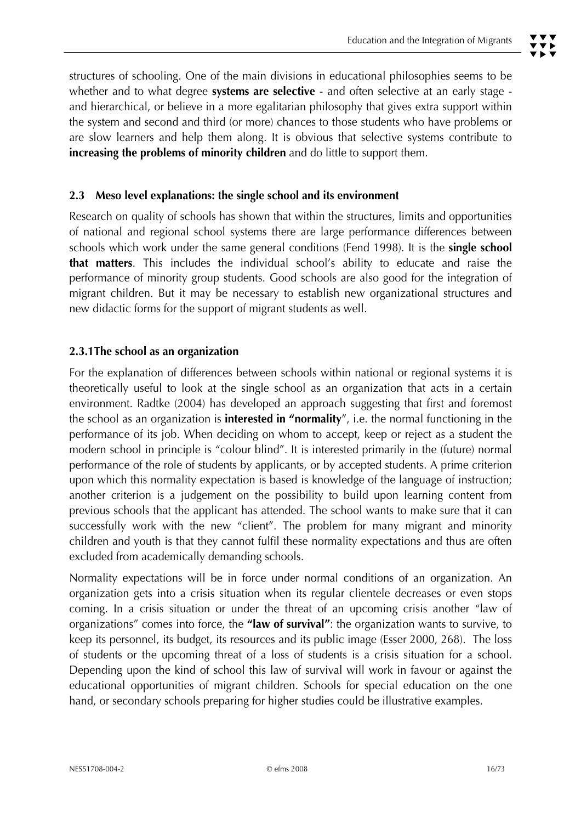structures of schooling. One of the main divisions in educational philosophies seems to be whether and to what degree **systems are selective** - and often selective at an early stage and hierarchical, or believe in a more egalitarian philosophy that gives extra support within the system and second and third (or more) chances to those students who have problems or are slow learners and help them along. It is obvious that selective systems contribute to **increasing the problems of minority children** and do little to support them.

#### **2.3 Meso level explanations: the single school and its environment**

Research on quality of schools has shown that within the structures, limits and opportunities of national and regional school systems there are large performance differences between schools which work under the same general conditions (Fend 1998). It is the **single school that matters**. This includes the individual school's ability to educate and raise the performance of minority group students. Good schools are also good for the integration of migrant children. But it may be necessary to establish new organizational structures and new didactic forms for the support of migrant students as well.

#### **2.3.1The school as an organization**

For the explanation of differences between schools within national or regional systems it is theoretically useful to look at the single school as an organization that acts in a certain environment. Radtke (2004) has developed an approach suggesting that first and foremost the school as an organization is **interested in "normality**", i.e. the normal functioning in the performance of its job. When deciding on whom to accept, keep or reject as a student the modern school in principle is "colour blind". It is interested primarily in the (future) normal performance of the role of students by applicants, or by accepted students. A prime criterion upon which this normality expectation is based is knowledge of the language of instruction; another criterion is a judgement on the possibility to build upon learning content from previous schools that the applicant has attended. The school wants to make sure that it can successfully work with the new "client". The problem for many migrant and minority children and youth is that they cannot fulfil these normality expectations and thus are often excluded from academically demanding schools.

Normality expectations will be in force under normal conditions of an organization. An organization gets into a crisis situation when its regular clientele decreases or even stops coming. In a crisis situation or under the threat of an upcoming crisis another "law of organizations" comes into force, the **"law of survival"**: the organization wants to survive, to keep its personnel, its budget, its resources and its public image (Esser 2000, 268). The loss of students or the upcoming threat of a loss of students is a crisis situation for a school. Depending upon the kind of school this law of survival will work in favour or against the educational opportunities of migrant children. Schools for special education on the one hand, or secondary schools preparing for higher studies could be illustrative examples.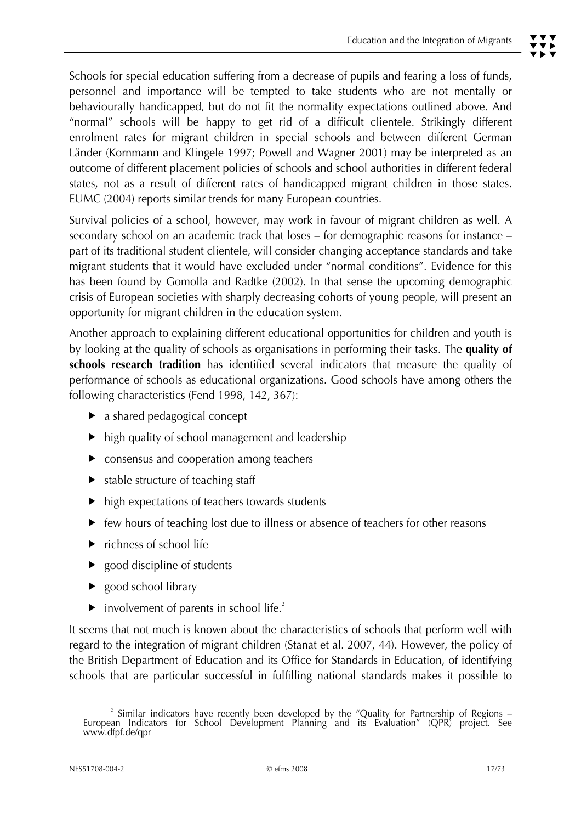Schools for special education suffering from a decrease of pupils and fearing a loss of funds, personnel and importance will be tempted to take students who are not mentally or behaviourally handicapped, but do not fit the normality expectations outlined above. And "normal" schools will be happy to get rid of a difficult clientele. Strikingly different enrolment rates for migrant children in special schools and between different German Länder (Kornmann and Klingele 1997; Powell and Wagner 2001) may be interpreted as an outcome of different placement policies of schools and school authorities in different federal states, not as a result of different rates of handicapped migrant children in those states. EUMC (2004) reports similar trends for many European countries.

Survival policies of a school, however, may work in favour of migrant children as well. A secondary school on an academic track that loses – for demographic reasons for instance – part of its traditional student clientele, will consider changing acceptance standards and take migrant students that it would have excluded under "normal conditions". Evidence for this has been found by Gomolla and Radtke (2002). In that sense the upcoming demographic crisis of European societies with sharply decreasing cohorts of young people, will present an opportunity for migrant children in the education system.

Another approach to explaining different educational opportunities for children and youth is by looking at the quality of schools as organisations in performing their tasks. The **quality of schools research tradition** has identified several indicators that measure the quality of performance of schools as educational organizations. Good schools have among others the following characteristics (Fend 1998, 142, 367):

- $\blacktriangleright$  a shared pedagogical concept
- $\blacktriangleright$  high quality of school management and leadership
- $\blacktriangleright$  consensus and cooperation among teachers
- $\blacktriangleright$  stable structure of teaching staff
- $\blacktriangleright$  high expectations of teachers towards students
- $\blacktriangleright$  few hours of teaching lost due to illness or absence of teachers for other reasons
- $\blacktriangleright$  richness of school life
- $\triangleright$  good discipline of students
- $\blacktriangleright$  good school library
- $\blacktriangleright$  involvement of parents in school life.<sup>2</sup>

It seems that not much is known about the characteristics of schools that perform well with regard to the integration of migrant children (Stanat et al. 2007, 44). However, the policy of the British Department of Education and its Office for Standards in Education, of identifying schools that are particular successful in fulfilling national standards makes it possible to

<sup>&</sup>lt;sup>2</sup> Similar indicators have recently been developed by the "Quality for Partnership of Regions –<br>European Indicators for School Development Planning and its Evaluation" (QPR) project. See www.dfpf.de/qpr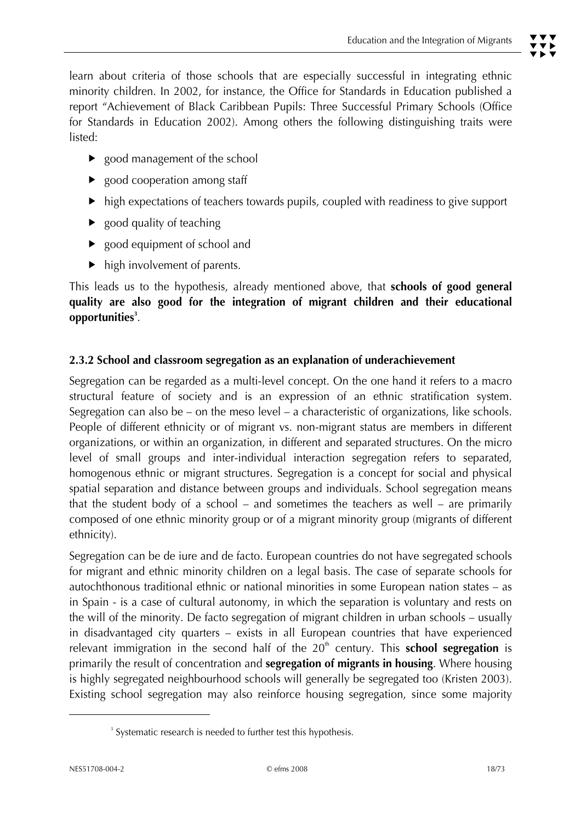learn about criteria of those schools that are especially successful in integrating ethnic minority children. In 2002, for instance, the Office for Standards in Education published a report "Achievement of Black Caribbean Pupils: Three Successful Primary Schools (Office for Standards in Education 2002). Among others the following distinguishing traits were listed:

- $\triangleright$  good management of the school
- $\blacktriangleright$  good cooperation among staff
- $\blacktriangleright$  high expectations of teachers towards pupils, coupled with readiness to give support
- $\blacktriangleright$  good quality of teaching
- $\blacktriangleright$  good equipment of school and
- $\blacktriangleright$  high involvement of parents.

This leads us to the hypothesis, already mentioned above, that **schools of good general quality are also good for the integration of migrant children and their educational opportunities<sup>3</sup>** .

#### **2.3.2 School and classroom segregation as an explanation of underachievement**

Segregation can be regarded as a multi-level concept. On the one hand it refers to a macro structural feature of society and is an expression of an ethnic stratification system. Segregation can also be – on the meso level – a characteristic of organizations, like schools. People of different ethnicity or of migrant vs. non-migrant status are members in different organizations, or within an organization, in different and separated structures. On the micro level of small groups and inter-individual interaction segregation refers to separated, homogenous ethnic or migrant structures. Segregation is a concept for social and physical spatial separation and distance between groups and individuals. School segregation means that the student body of a school – and sometimes the teachers as well – are primarily composed of one ethnic minority group or of a migrant minority group (migrants of different ethnicity).

Segregation can be de iure and de facto. European countries do not have segregated schools for migrant and ethnic minority children on a legal basis. The case of separate schools for autochthonous traditional ethnic or national minorities in some European nation states – as in Spain - is a case of cultural autonomy, in which the separation is voluntary and rests on the will of the minority. De facto segregation of migrant children in urban schools – usually in disadvantaged city quarters – exists in all European countries that have experienced relevant immigration in the second half of the 20<sup>th</sup> century. This **school segregation** is primarily the result of concentration and **segregation of migrants in housing**. Where housing is highly segregated neighbourhood schools will generally be segregated too (Kristen 2003). Existing school segregation may also reinforce housing segregation, since some majority

 $\overline{a}$ 

<sup>&</sup>lt;sup>3</sup> Systematic research is needed to further test this hypothesis.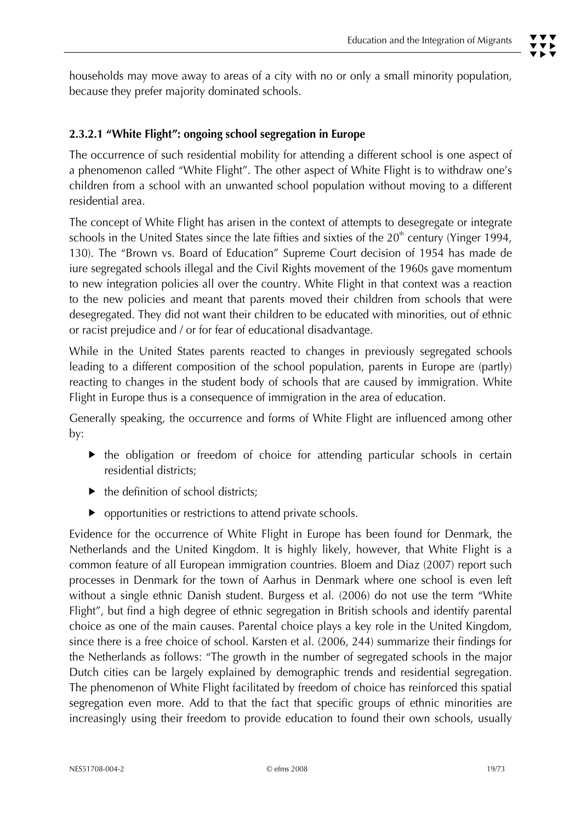# **2.3.2.1 "White Flight": ongoing school segregation in Europe**

The occurrence of such residential mobility for attending a different school is one aspect of a phenomenon called "White Flight". The other aspect of White Flight is to withdraw one's children from a school with an unwanted school population without moving to a different residential area.

The concept of White Flight has arisen in the context of attempts to desegregate or integrate schools in the United States since the late fifties and sixties of the  $20<sup>th</sup>$  century (Yinger 1994, 130). The "Brown vs. Board of Education" Supreme Court decision of 1954 has made de iure segregated schools illegal and the Civil Rights movement of the 1960s gave momentum to new integration policies all over the country. White Flight in that context was a reaction to the new policies and meant that parents moved their children from schools that were desegregated. They did not want their children to be educated with minorities, out of ethnic or racist prejudice and / or for fear of educational disadvantage.

While in the United States parents reacted to changes in previously segregated schools leading to a different composition of the school population, parents in Europe are (partly) reacting to changes in the student body of schools that are caused by immigration. White Flight in Europe thus is a consequence of immigration in the area of education.

Generally speaking, the occurrence and forms of White Flight are influenced among other by:

- $\blacktriangleright$  the obligation or freedom of choice for attending particular schools in certain residential districts;
- $\blacktriangleright$  the definition of school districts:
- $\triangleright$  opportunities or restrictions to attend private schools.

Evidence for the occurrence of White Flight in Europe has been found for Denmark, the Netherlands and the United Kingdom. It is highly likely, however, that White Flight is a common feature of all European immigration countries. Bloem and Diaz (2007) report such processes in Denmark for the town of Aarhus in Denmark where one school is even left without a single ethnic Danish student. Burgess et al. (2006) do not use the term "White Flight", but find a high degree of ethnic segregation in British schools and identify parental choice as one of the main causes. Parental choice plays a key role in the United Kingdom, since there is a free choice of school. Karsten et al. (2006, 244) summarize their findings for the Netherlands as follows: "The growth in the number of segregated schools in the major Dutch cities can be largely explained by demographic trends and residential segregation. The phenomenon of White Flight facilitated by freedom of choice has reinforced this spatial segregation even more. Add to that the fact that specific groups of ethnic minorities are increasingly using their freedom to provide education to found their own schools, usually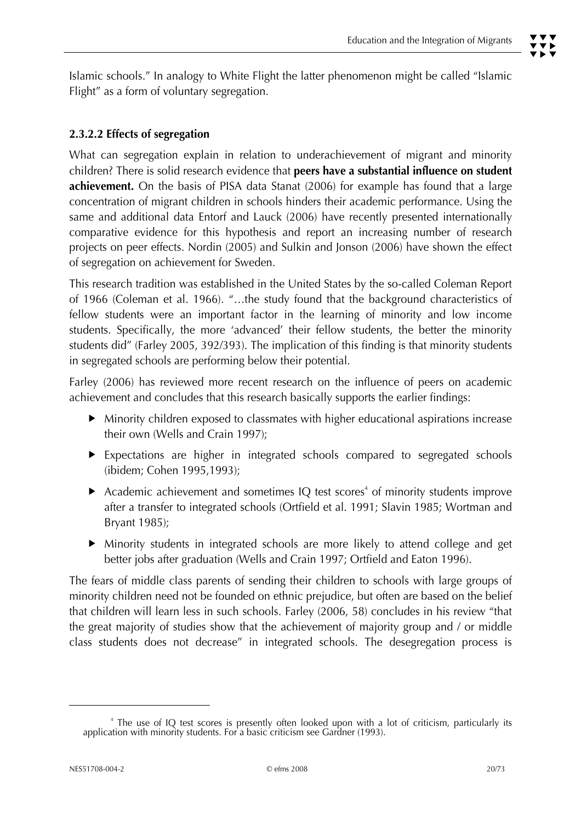Islamic schools." In analogy to White Flight the latter phenomenon might be called "Islamic Flight" as a form of voluntary segregation.

# **2.3.2.2 Effects of segregation**

What can segregation explain in relation to underachievement of migrant and minority children? There is solid research evidence that **peers have a substantial influence on student achievement.** On the basis of PISA data Stanat (2006) for example has found that a large concentration of migrant children in schools hinders their academic performance. Using the same and additional data Entorf and Lauck (2006) have recently presented internationally comparative evidence for this hypothesis and report an increasing number of research projects on peer effects. Nordin (2005) and Sulkin and Jonson (2006) have shown the effect of segregation on achievement for Sweden.

This research tradition was established in the United States by the so-called Coleman Report of 1966 (Coleman et al. 1966). "…the study found that the background characteristics of fellow students were an important factor in the learning of minority and low income students. Specifically, the more 'advanced' their fellow students, the better the minority students did" (Farley 2005, 392/393). The implication of this finding is that minority students in segregated schools are performing below their potential.

Farley (2006) has reviewed more recent research on the influence of peers on academic achievement and concludes that this research basically supports the earlier findings:

- $\blacktriangleright$  Minority children exposed to classmates with higher educational aspirations increase their own (Wells and Crain 1997);
- $\blacktriangleright$  Expectations are higher in integrated schools compared to segregated schools (ibidem; Cohen 1995,1993);
- Academic achievement and sometimes IQ test scores<sup>4</sup> of minority students improve after a transfer to integrated schools (Ortfield et al. 1991; Slavin 1985; Wortman and Bryant 1985);
- Minority students in integrated schools are more likely to attend college and get better jobs after graduation (Wells and Crain 1997; Ortfield and Eaton 1996).

The fears of middle class parents of sending their children to schools with large groups of minority children need not be founded on ethnic prejudice, but often are based on the belief that children will learn less in such schools. Farley (2006, 58) concludes in his review "that the great majority of studies show that the achievement of majority group and / or middle class students does not decrease" in integrated schools. The desegregation process is

<sup>4</sup> The use of IQ test scores is presently often looked upon with a lot of criticism, particularly its application with minority students. For a basic criticism see Gardner (1993).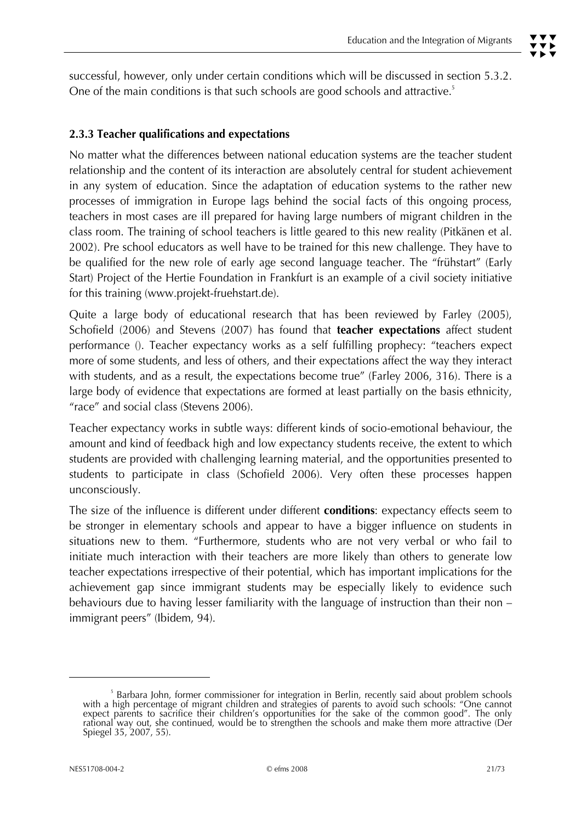successful, however, only under certain conditions which will be discussed in section 5.3.2. One of the main conditions is that such schools are good schools and attractive.<sup>5</sup>

#### **2.3.3 Teacher qualifications and expectations**

No matter what the differences between national education systems are the teacher student relationship and the content of its interaction are absolutely central for student achievement in any system of education. Since the adaptation of education systems to the rather new processes of immigration in Europe lags behind the social facts of this ongoing process, teachers in most cases are ill prepared for having large numbers of migrant children in the class room. The training of school teachers is little geared to this new reality (Pitkänen et al. 2002). Pre school educators as well have to be trained for this new challenge. They have to be qualified for the new role of early age second language teacher. The "frühstart" (Early Start) Project of the Hertie Foundation in Frankfurt is an example of a civil society initiative for this training (www.projekt-fruehstart.de).

Quite a large body of educational research that has been reviewed by Farley (2005), Schofield (2006) and Stevens (2007) has found that **teacher expectations** affect student performance (). Teacher expectancy works as a self fulfilling prophecy: "teachers expect more of some students, and less of others, and their expectations affect the way they interact with students, and as a result, the expectations become true" (Farley 2006, 316). There is a large body of evidence that expectations are formed at least partially on the basis ethnicity, "race" and social class (Stevens 2006).

Teacher expectancy works in subtle ways: different kinds of socio-emotional behaviour, the amount and kind of feedback high and low expectancy students receive, the extent to which students are provided with challenging learning material, and the opportunities presented to students to participate in class (Schofield 2006). Very often these processes happen unconsciously.

The size of the influence is different under different **conditions**: expectancy effects seem to be stronger in elementary schools and appear to have a bigger influence on students in situations new to them. "Furthermore, students who are not very verbal or who fail to initiate much interaction with their teachers are more likely than others to generate low teacher expectations irrespective of their potential, which has important implications for the achievement gap since immigrant students may be especially likely to evidence such behaviours due to having lesser familiarity with the language of instruction than their non – immigrant peers" (Ibidem, 94).

<sup>5</sup> Barbara John, former commissioner for integration in Berlin, recently said about problem schools with a high percentage of migrant children and strategies of parents to avoid such schools: "One cannot expect parents to sacrifice their children's opportunities for the sake of the common good". The only<br>rational way out, she continued, would be to strengthen the schools and make them more attractive (Der Spiegel 35, 2007, 55).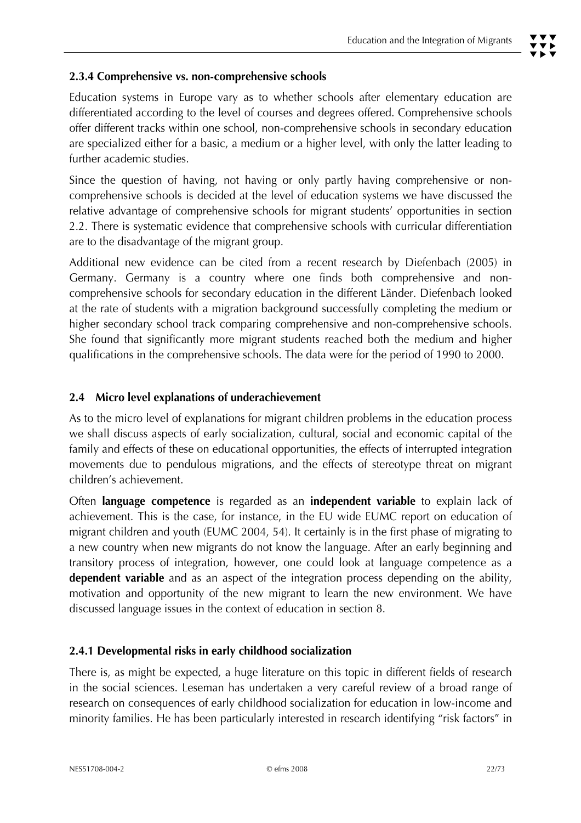#### **2.3.4 Comprehensive vs. non-comprehensive schools**

Education systems in Europe vary as to whether schools after elementary education are differentiated according to the level of courses and degrees offered. Comprehensive schools offer different tracks within one school, non-comprehensive schools in secondary education are specialized either for a basic, a medium or a higher level, with only the latter leading to further academic studies.

Since the question of having, not having or only partly having comprehensive or noncomprehensive schools is decided at the level of education systems we have discussed the relative advantage of comprehensive schools for migrant students' opportunities in section 2.2. There is systematic evidence that comprehensive schools with curricular differentiation are to the disadvantage of the migrant group.

Additional new evidence can be cited from a recent research by Diefenbach (2005) in Germany. Germany is a country where one finds both comprehensive and noncomprehensive schools for secondary education in the different Länder. Diefenbach looked at the rate of students with a migration background successfully completing the medium or higher secondary school track comparing comprehensive and non-comprehensive schools. She found that significantly more migrant students reached both the medium and higher qualifications in the comprehensive schools. The data were for the period of 1990 to 2000.

# **2.4 Micro level explanations of underachievement**

As to the micro level of explanations for migrant children problems in the education process we shall discuss aspects of early socialization, cultural, social and economic capital of the family and effects of these on educational opportunities, the effects of interrupted integration movements due to pendulous migrations, and the effects of stereotype threat on migrant children's achievement.

Often **language competence** is regarded as an **independent variable** to explain lack of achievement. This is the case, for instance, in the EU wide EUMC report on education of migrant children and youth (EUMC 2004, 54). It certainly is in the first phase of migrating to a new country when new migrants do not know the language. After an early beginning and transitory process of integration, however, one could look at language competence as a **dependent variable** and as an aspect of the integration process depending on the ability, motivation and opportunity of the new migrant to learn the new environment. We have discussed language issues in the context of education in section 8.

#### **2.4.1 Developmental risks in early childhood socialization**

There is, as might be expected, a huge literature on this topic in different fields of research in the social sciences. Leseman has undertaken a very careful review of a broad range of research on consequences of early childhood socialization for education in low-income and minority families. He has been particularly interested in research identifying "risk factors" in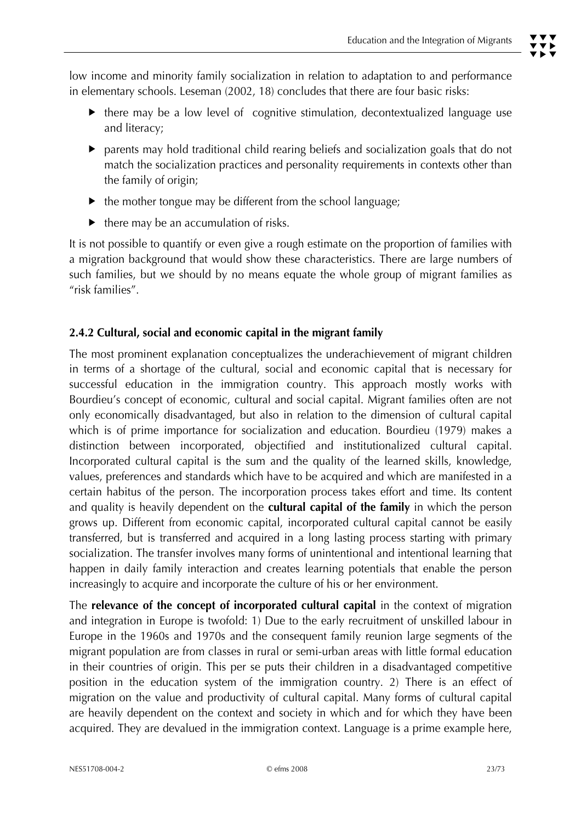low income and minority family socialization in relation to adaptation to and performance in elementary schools. Leseman (2002, 18) concludes that there are four basic risks:

- $\blacktriangleright$  there may be a low level of cognitive stimulation, decontextualized language use and literacy;
- $\blacktriangleright$  parents may hold traditional child rearing beliefs and socialization goals that do not match the socialization practices and personality requirements in contexts other than the family of origin;
- $\blacktriangleright$  the mother tongue may be different from the school language;
- $\blacktriangleright$  there may be an accumulation of risks.

It is not possible to quantify or even give a rough estimate on the proportion of families with a migration background that would show these characteristics. There are large numbers of such families, but we should by no means equate the whole group of migrant families as "risk families".

# **2.4.2 Cultural, social and economic capital in the migrant family**

The most prominent explanation conceptualizes the underachievement of migrant children in terms of a shortage of the cultural, social and economic capital that is necessary for successful education in the immigration country. This approach mostly works with Bourdieu's concept of economic, cultural and social capital. Migrant families often are not only economically disadvantaged, but also in relation to the dimension of cultural capital which is of prime importance for socialization and education. Bourdieu (1979) makes a distinction between incorporated, objectified and institutionalized cultural capital. Incorporated cultural capital is the sum and the quality of the learned skills, knowledge, values, preferences and standards which have to be acquired and which are manifested in a certain habitus of the person. The incorporation process takes effort and time. Its content and quality is heavily dependent on the **cultural capital of the family** in which the person grows up. Different from economic capital, incorporated cultural capital cannot be easily transferred, but is transferred and acquired in a long lasting process starting with primary socialization. The transfer involves many forms of unintentional and intentional learning that happen in daily family interaction and creates learning potentials that enable the person increasingly to acquire and incorporate the culture of his or her environment.

The **relevance of the concept of incorporated cultural capital** in the context of migration and integration in Europe is twofold: 1) Due to the early recruitment of unskilled labour in Europe in the 1960s and 1970s and the consequent family reunion large segments of the migrant population are from classes in rural or semi-urban areas with little formal education in their countries of origin. This per se puts their children in a disadvantaged competitive position in the education system of the immigration country. 2) There is an effect of migration on the value and productivity of cultural capital. Many forms of cultural capital are heavily dependent on the context and society in which and for which they have been acquired. They are devalued in the immigration context. Language is a prime example here,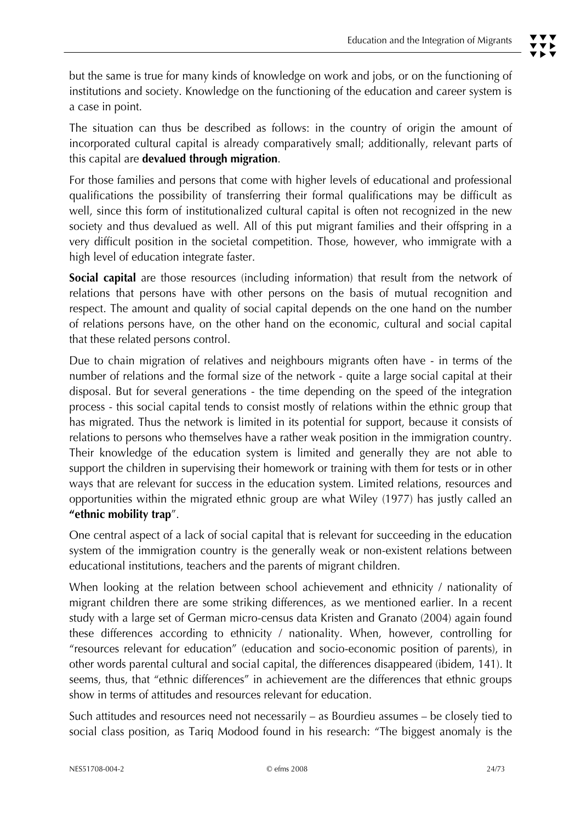but the same is true for many kinds of knowledge on work and jobs, or on the functioning of institutions and society. Knowledge on the functioning of the education and career system is a case in point.

The situation can thus be described as follows: in the country of origin the amount of incorporated cultural capital is already comparatively small; additionally, relevant parts of this capital are **devalued through migration**.

For those families and persons that come with higher levels of educational and professional qualifications the possibility of transferring their formal qualifications may be difficult as well, since this form of institutionalized cultural capital is often not recognized in the new society and thus devalued as well. All of this put migrant families and their offspring in a very difficult position in the societal competition. Those, however, who immigrate with a high level of education integrate faster.

**Social capital** are those resources (including information) that result from the network of relations that persons have with other persons on the basis of mutual recognition and respect. The amount and quality of social capital depends on the one hand on the number of relations persons have, on the other hand on the economic, cultural and social capital that these related persons control.

Due to chain migration of relatives and neighbours migrants often have - in terms of the number of relations and the formal size of the network - quite a large social capital at their disposal. But for several generations - the time depending on the speed of the integration process - this social capital tends to consist mostly of relations within the ethnic group that has migrated. Thus the network is limited in its potential for support, because it consists of relations to persons who themselves have a rather weak position in the immigration country. Their knowledge of the education system is limited and generally they are not able to support the children in supervising their homework or training with them for tests or in other ways that are relevant for success in the education system. Limited relations, resources and opportunities within the migrated ethnic group are what Wiley (1977) has justly called an **"ethnic mobility trap**".

One central aspect of a lack of social capital that is relevant for succeeding in the education system of the immigration country is the generally weak or non-existent relations between educational institutions, teachers and the parents of migrant children.

When looking at the relation between school achievement and ethnicity / nationality of migrant children there are some striking differences, as we mentioned earlier. In a recent study with a large set of German micro-census data Kristen and Granato (2004) again found these differences according to ethnicity / nationality. When, however, controlling for "resources relevant for education" (education and socio-economic position of parents), in other words parental cultural and social capital, the differences disappeared (ibidem, 141). It seems, thus, that "ethnic differences" in achievement are the differences that ethnic groups show in terms of attitudes and resources relevant for education.

Such attitudes and resources need not necessarily – as Bourdieu assumes – be closely tied to social class position, as Tariq Modood found in his research: "The biggest anomaly is the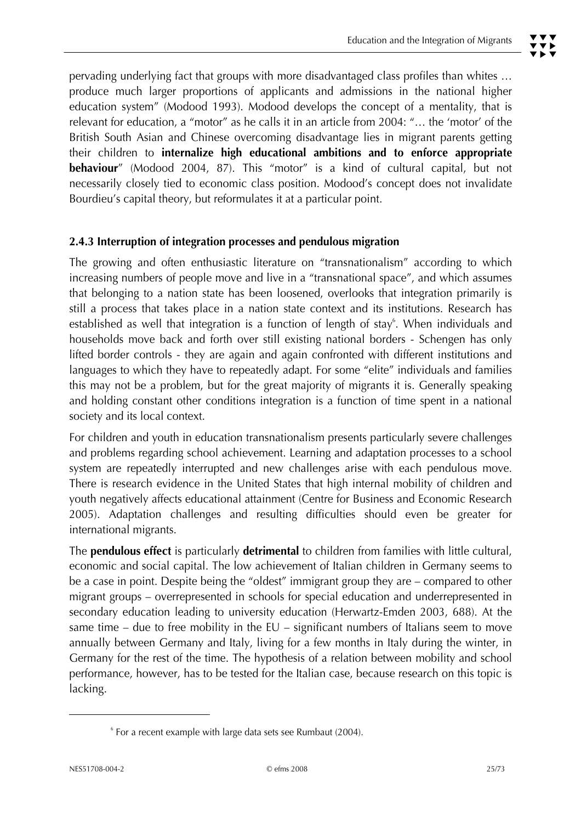pervading underlying fact that groups with more disadvantaged class profiles than whites … produce much larger proportions of applicants and admissions in the national higher education system" (Modood 1993). Modood develops the concept of a mentality, that is relevant for education, a "motor" as he calls it in an article from 2004: "… the 'motor' of the British South Asian and Chinese overcoming disadvantage lies in migrant parents getting their children to **internalize high educational ambitions and to enforce appropriate behaviour**" (Modood 2004, 87). This "motor" is a kind of cultural capital, but not

#### **2.4.3 Interruption of integration processes and pendulous migration**

Bourdieu's capital theory, but reformulates it at a particular point.

The growing and often enthusiastic literature on "transnationalism" according to which increasing numbers of people move and live in a "transnational space", and which assumes that belonging to a nation state has been loosened, overlooks that integration primarily is still a process that takes place in a nation state context and its institutions. Research has established as well that integration is a function of length of stay<sup>6</sup>. When individuals and households move back and forth over still existing national borders - Schengen has only lifted border controls - they are again and again confronted with different institutions and languages to which they have to repeatedly adapt. For some "elite" individuals and families this may not be a problem, but for the great majority of migrants it is. Generally speaking and holding constant other conditions integration is a function of time spent in a national society and its local context.

necessarily closely tied to economic class position. Modood's concept does not invalidate

For children and youth in education transnationalism presents particularly severe challenges and problems regarding school achievement. Learning and adaptation processes to a school system are repeatedly interrupted and new challenges arise with each pendulous move. There is research evidence in the United States that high internal mobility of children and youth negatively affects educational attainment (Centre for Business and Economic Research 2005). Adaptation challenges and resulting difficulties should even be greater for international migrants.

The **pendulous effect** is particularly **detrimental** to children from families with little cultural, economic and social capital. The low achievement of Italian children in Germany seems to be a case in point. Despite being the "oldest" immigrant group they are – compared to other migrant groups – overrepresented in schools for special education and underrepresented in secondary education leading to university education (Herwartz-Emden 2003, 688). At the same time – due to free mobility in the  $EU$  – significant numbers of Italians seem to move annually between Germany and Italy, living for a few months in Italy during the winter, in Germany for the rest of the time. The hypothesis of a relation between mobility and school performance, however, has to be tested for the Italian case, because research on this topic is lacking.

 $\overline{a}$ 

<sup>6</sup> For a recent example with large data sets see Rumbaut (2004).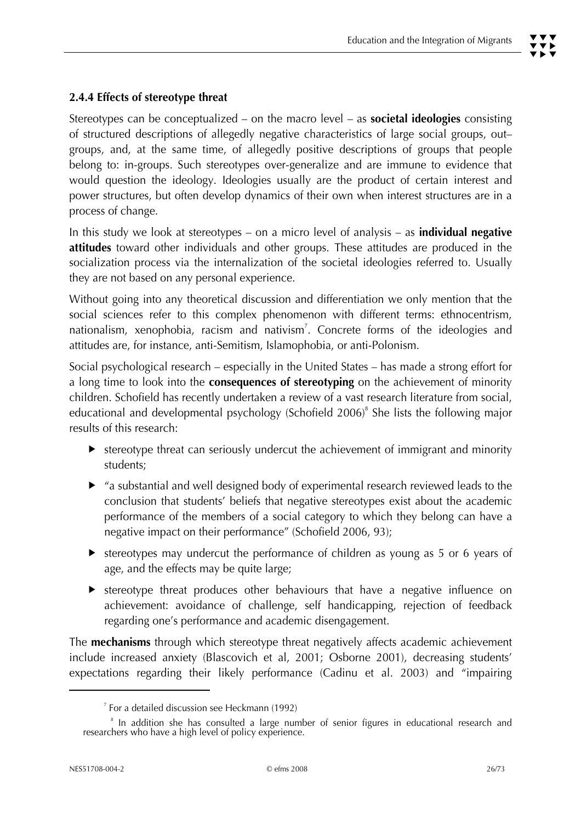# **2.4.4 Effects of stereotype threat**

Stereotypes can be conceptualized – on the macro level – as **societal ideologies** consisting of structured descriptions of allegedly negative characteristics of large social groups, out– groups, and, at the same time, of allegedly positive descriptions of groups that people belong to: in-groups. Such stereotypes over-generalize and are immune to evidence that would question the ideology. Ideologies usually are the product of certain interest and power structures, but often develop dynamics of their own when interest structures are in a process of change.

In this study we look at stereotypes – on a micro level of analysis – as **individual negative attitudes** toward other individuals and other groups. These attitudes are produced in the socialization process via the internalization of the societal ideologies referred to. Usually they are not based on any personal experience.

Without going into any theoretical discussion and differentiation we only mention that the social sciences refer to this complex phenomenon with different terms: ethnocentrism, nationalism, xenophobia, racism and nativism<sup>7</sup>. Concrete forms of the ideologies and attitudes are, for instance, anti-Semitism, Islamophobia, or anti-Polonism.

Social psychological research – especially in the United States – has made a strong effort for a long time to look into the **consequences of stereotyping** on the achievement of minority children. Schofield has recently undertaken a review of a vast research literature from social, educational and developmental psychology (Schofield 2006)<sup>8</sup> She lists the following major results of this research:

- $\blacktriangleright$  stereotype threat can seriously undercut the achievement of immigrant and minority students;
- $\blacktriangleright$  "a substantial and well designed body of experimental research reviewed leads to the conclusion that students' beliefs that negative stereotypes exist about the academic performance of the members of a social category to which they belong can have a negative impact on their performance" (Schofield 2006, 93);
- $\blacktriangleright$  stereotypes may undercut the performance of children as young as 5 or 6 years of age, and the effects may be quite large;
- $\blacktriangleright$  stereotype threat produces other behaviours that have a negative influence on achievement: avoidance of challenge, self handicapping, rejection of feedback regarding one's performance and academic disengagement.

The **mechanisms** through which stereotype threat negatively affects academic achievement include increased anxiety (Blascovich et al, 2001; Osborne 2001), decreasing students' expectations regarding their likely performance (Cadinu et al. 2003) and "impairing

<sup>7</sup> For a detailed discussion see Heckmann (1992)

<sup>8</sup>  $^8$  In addition she has consulted a large number of senior figures in educational research and researchers who have a high level of policy experience.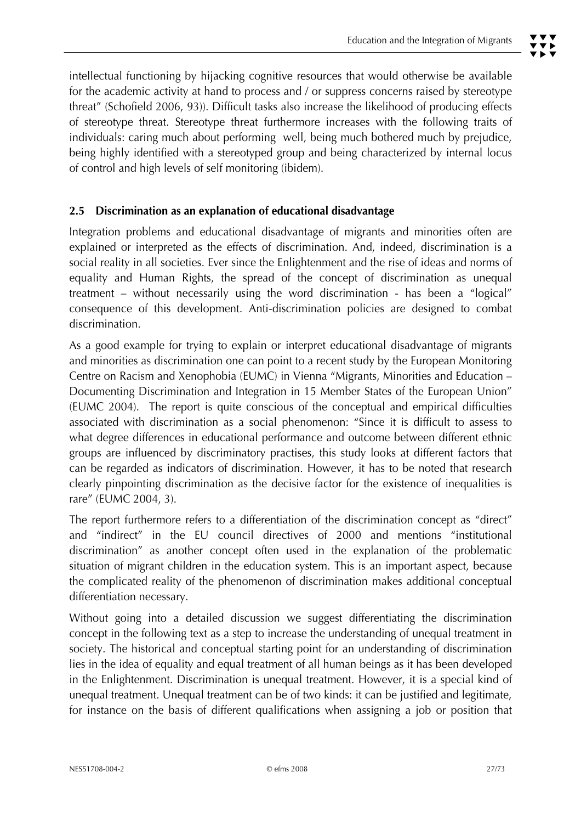intellectual functioning by hijacking cognitive resources that would otherwise be available for the academic activity at hand to process and / or suppress concerns raised by stereotype threat" (Schofield 2006, 93)). Difficult tasks also increase the likelihood of producing effects of stereotype threat. Stereotype threat furthermore increases with the following traits of individuals: caring much about performing well, being much bothered much by prejudice, being highly identified with a stereotyped group and being characterized by internal locus of control and high levels of self monitoring (ibidem).

#### **2.5 Discrimination as an explanation of educational disadvantage**

Integration problems and educational disadvantage of migrants and minorities often are explained or interpreted as the effects of discrimination. And, indeed, discrimination is a social reality in all societies. Ever since the Enlightenment and the rise of ideas and norms of equality and Human Rights, the spread of the concept of discrimination as unequal treatment – without necessarily using the word discrimination - has been a "logical" consequence of this development. Anti-discrimination policies are designed to combat discrimination.

As a good example for trying to explain or interpret educational disadvantage of migrants and minorities as discrimination one can point to a recent study by the European Monitoring Centre on Racism and Xenophobia (EUMC) in Vienna "Migrants, Minorities and Education – Documenting Discrimination and Integration in 15 Member States of the European Union" (EUMC 2004). The report is quite conscious of the conceptual and empirical difficulties associated with discrimination as a social phenomenon: "Since it is difficult to assess to what degree differences in educational performance and outcome between different ethnic groups are influenced by discriminatory practises, this study looks at different factors that can be regarded as indicators of discrimination. However, it has to be noted that research clearly pinpointing discrimination as the decisive factor for the existence of inequalities is rare" (EUMC 2004, 3).

The report furthermore refers to a differentiation of the discrimination concept as "direct" and "indirect" in the EU council directives of 2000 and mentions "institutional discrimination" as another concept often used in the explanation of the problematic situation of migrant children in the education system. This is an important aspect, because the complicated reality of the phenomenon of discrimination makes additional conceptual differentiation necessary.

Without going into a detailed discussion we suggest differentiating the discrimination concept in the following text as a step to increase the understanding of unequal treatment in society. The historical and conceptual starting point for an understanding of discrimination lies in the idea of equality and equal treatment of all human beings as it has been developed in the Enlightenment. Discrimination is unequal treatment. However, it is a special kind of unequal treatment. Unequal treatment can be of two kinds: it can be justified and legitimate, for instance on the basis of different qualifications when assigning a job or position that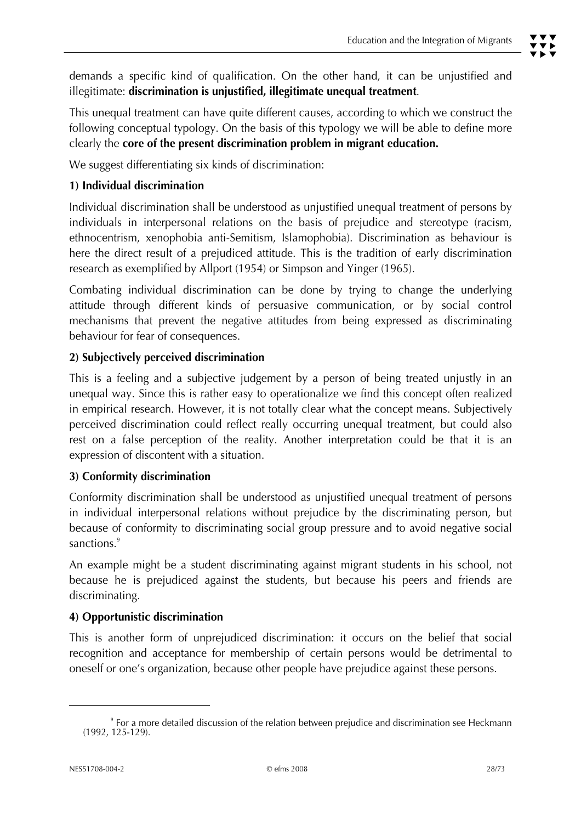demands a specific kind of qualification. On the other hand, it can be unjustified and illegitimate: **discrimination is unjustified, illegitimate unequal treatment**.

This unequal treatment can have quite different causes, according to which we construct the following conceptual typology. On the basis of this typology we will be able to define more clearly the **core of the present discrimination problem in migrant education.** 

We suggest differentiating six kinds of discrimination:

#### **1) Individual discrimination**

Individual discrimination shall be understood as unjustified unequal treatment of persons by individuals in interpersonal relations on the basis of prejudice and stereotype (racism, ethnocentrism, xenophobia anti-Semitism, Islamophobia). Discrimination as behaviour is here the direct result of a prejudiced attitude. This is the tradition of early discrimination research as exemplified by Allport (1954) or Simpson and Yinger (1965).

Combating individual discrimination can be done by trying to change the underlying attitude through different kinds of persuasive communication, or by social control mechanisms that prevent the negative attitudes from being expressed as discriminating behaviour for fear of consequences.

# **2) Subjectively perceived discrimination**

This is a feeling and a subjective judgement by a person of being treated unjustly in an unequal way. Since this is rather easy to operationalize we find this concept often realized in empirical research. However, it is not totally clear what the concept means. Subjectively perceived discrimination could reflect really occurring unequal treatment, but could also rest on a false perception of the reality. Another interpretation could be that it is an expression of discontent with a situation.

#### **3) Conformity discrimination**

Conformity discrimination shall be understood as unjustified unequal treatment of persons in individual interpersonal relations without prejudice by the discriminating person, but because of conformity to discriminating social group pressure and to avoid negative social sanctions.<sup>9</sup>

An example might be a student discriminating against migrant students in his school, not because he is prejudiced against the students, but because his peers and friends are discriminating.

# **4) Opportunistic discrimination**

This is another form of unprejudiced discrimination: it occurs on the belief that social recognition and acceptance for membership of certain persons would be detrimental to oneself or one's organization, because other people have prejudice against these persons.

<sup>9</sup> For a more detailed discussion of the relation between prejudice and discrimination see Heckmann (1992, 125-129).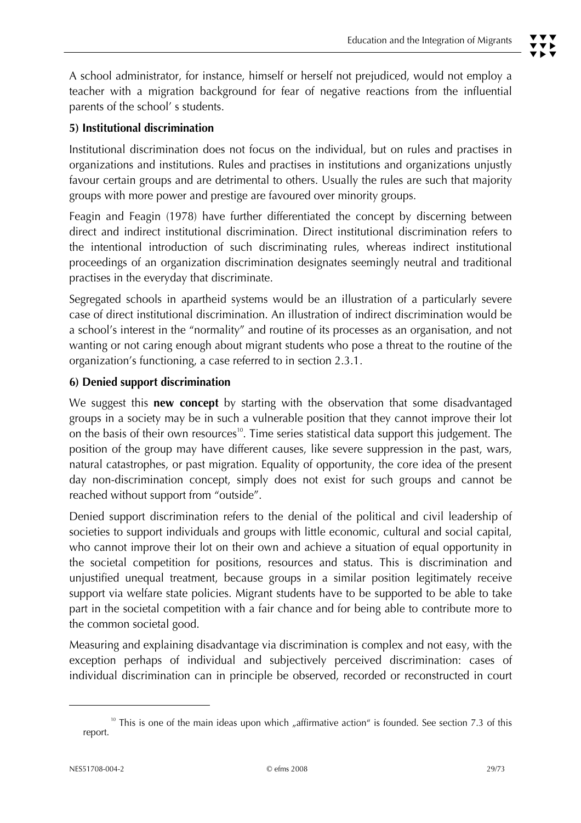# **5) Institutional discrimination**

Institutional discrimination does not focus on the individual, but on rules and practises in organizations and institutions. Rules and practises in institutions and organizations unjustly favour certain groups and are detrimental to others. Usually the rules are such that majority groups with more power and prestige are favoured over minority groups.

Feagin and Feagin (1978) have further differentiated the concept by discerning between direct and indirect institutional discrimination. Direct institutional discrimination refers to the intentional introduction of such discriminating rules, whereas indirect institutional proceedings of an organization discrimination designates seemingly neutral and traditional practises in the everyday that discriminate.

Segregated schools in apartheid systems would be an illustration of a particularly severe case of direct institutional discrimination. An illustration of indirect discrimination would be a school's interest in the "normality" and routine of its processes as an organisation, and not wanting or not caring enough about migrant students who pose a threat to the routine of the organization's functioning, a case referred to in section 2.3.1.

#### **6) Denied support discrimination**

We suggest this **new concept** by starting with the observation that some disadvantaged groups in a society may be in such a vulnerable position that they cannot improve their lot on the basis of their own resources<sup>10</sup>. Time series statistical data support this judgement. The position of the group may have different causes, like severe suppression in the past, wars, natural catastrophes, or past migration. Equality of opportunity, the core idea of the present day non-discrimination concept, simply does not exist for such groups and cannot be reached without support from "outside".

Denied support discrimination refers to the denial of the political and civil leadership of societies to support individuals and groups with little economic, cultural and social capital, who cannot improve their lot on their own and achieve a situation of equal opportunity in the societal competition for positions, resources and status. This is discrimination and unjustified unequal treatment, because groups in a similar position legitimately receive support via welfare state policies. Migrant students have to be supported to be able to take part in the societal competition with a fair chance and for being able to contribute more to the common societal good.

Measuring and explaining disadvantage via discrimination is complex and not easy, with the exception perhaps of individual and subjectively perceived discrimination: cases of individual discrimination can in principle be observed, recorded or reconstructed in court

This is one of the main ideas upon which "affirmative action" is founded. See section 7.3 of this report.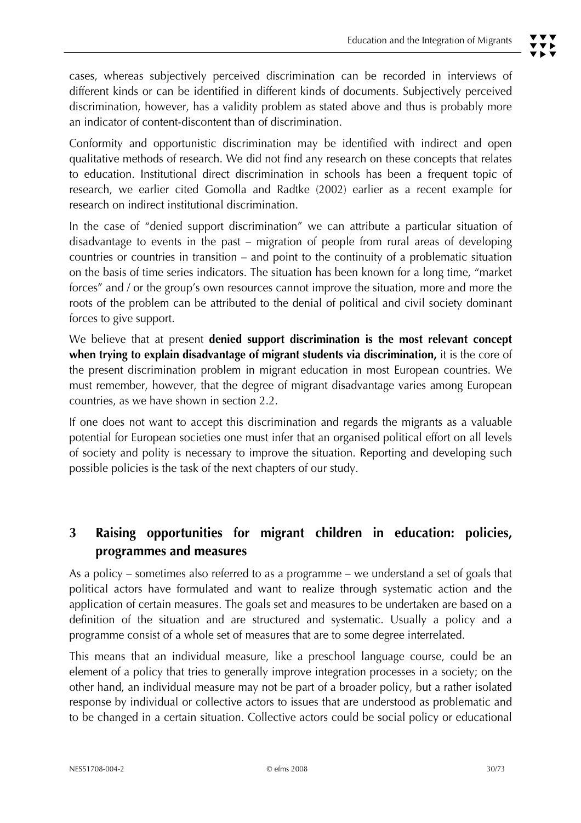Conformity and opportunistic discrimination may be identified with indirect and open qualitative methods of research. We did not find any research on these concepts that relates to education. Institutional direct discrimination in schools has been a frequent topic of research, we earlier cited Gomolla and Radtke (2002) earlier as a recent example for research on indirect institutional discrimination.

In the case of "denied support discrimination" we can attribute a particular situation of disadvantage to events in the past – migration of people from rural areas of developing countries or countries in transition – and point to the continuity of a problematic situation on the basis of time series indicators. The situation has been known for a long time, "market forces" and / or the group's own resources cannot improve the situation, more and more the roots of the problem can be attributed to the denial of political and civil society dominant forces to give support.

We believe that at present **denied support discrimination is the most relevant concept when trying to explain disadvantage of migrant students via discrimination,** it is the core of the present discrimination problem in migrant education in most European countries. We must remember, however, that the degree of migrant disadvantage varies among European countries, as we have shown in section 2.2.

If one does not want to accept this discrimination and regards the migrants as a valuable potential for European societies one must infer that an organised political effort on all levels of society and polity is necessary to improve the situation. Reporting and developing such possible policies is the task of the next chapters of our study.

# **3 Raising opportunities for migrant children in education: policies, programmes and measures**

As a policy – sometimes also referred to as a programme – we understand a set of goals that political actors have formulated and want to realize through systematic action and the application of certain measures. The goals set and measures to be undertaken are based on a definition of the situation and are structured and systematic. Usually a policy and a programme consist of a whole set of measures that are to some degree interrelated.

This means that an individual measure, like a preschool language course, could be an element of a policy that tries to generally improve integration processes in a society; on the other hand, an individual measure may not be part of a broader policy, but a rather isolated response by individual or collective actors to issues that are understood as problematic and to be changed in a certain situation. Collective actors could be social policy or educational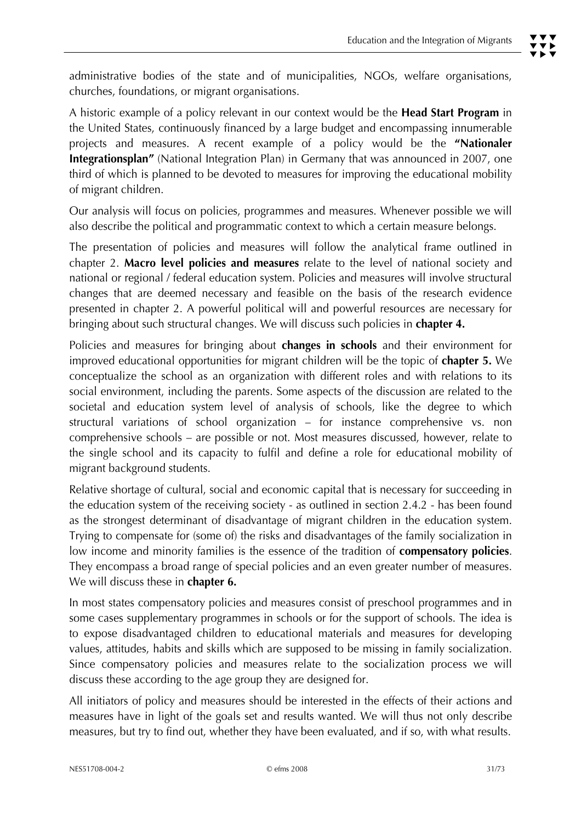administrative bodies of the state and of municipalities, NGOs, welfare organisations, churches, foundations, or migrant organisations.

A historic example of a policy relevant in our context would be the **Head Start Program** in the United States, continuously financed by a large budget and encompassing innumerable projects and measures. A recent example of a policy would be the **"Nationaler Integrationsplan"** (National Integration Plan) in Germany that was announced in 2007, one third of which is planned to be devoted to measures for improving the educational mobility of migrant children.

Our analysis will focus on policies, programmes and measures. Whenever possible we will also describe the political and programmatic context to which a certain measure belongs.

The presentation of policies and measures will follow the analytical frame outlined in chapter 2. **Macro level policies and measures** relate to the level of national society and national or regional / federal education system. Policies and measures will involve structural changes that are deemed necessary and feasible on the basis of the research evidence presented in chapter 2. A powerful political will and powerful resources are necessary for bringing about such structural changes. We will discuss such policies in **chapter 4.** 

Policies and measures for bringing about **changes in schools** and their environment for improved educational opportunities for migrant children will be the topic of **chapter 5.** We conceptualize the school as an organization with different roles and with relations to its social environment, including the parents. Some aspects of the discussion are related to the societal and education system level of analysis of schools, like the degree to which structural variations of school organization – for instance comprehensive vs. non comprehensive schools – are possible or not. Most measures discussed, however, relate to the single school and its capacity to fulfil and define a role for educational mobility of migrant background students.

Relative shortage of cultural, social and economic capital that is necessary for succeeding in the education system of the receiving society - as outlined in section 2.4.2 - has been found as the strongest determinant of disadvantage of migrant children in the education system. Trying to compensate for (some of) the risks and disadvantages of the family socialization in low income and minority families is the essence of the tradition of **compensatory policies**. They encompass a broad range of special policies and an even greater number of measures. We will discuss these in **chapter 6.**

In most states compensatory policies and measures consist of preschool programmes and in some cases supplementary programmes in schools or for the support of schools. The idea is to expose disadvantaged children to educational materials and measures for developing values, attitudes, habits and skills which are supposed to be missing in family socialization. Since compensatory policies and measures relate to the socialization process we will discuss these according to the age group they are designed for.

All initiators of policy and measures should be interested in the effects of their actions and measures have in light of the goals set and results wanted. We will thus not only describe measures, but try to find out, whether they have been evaluated, and if so, with what results.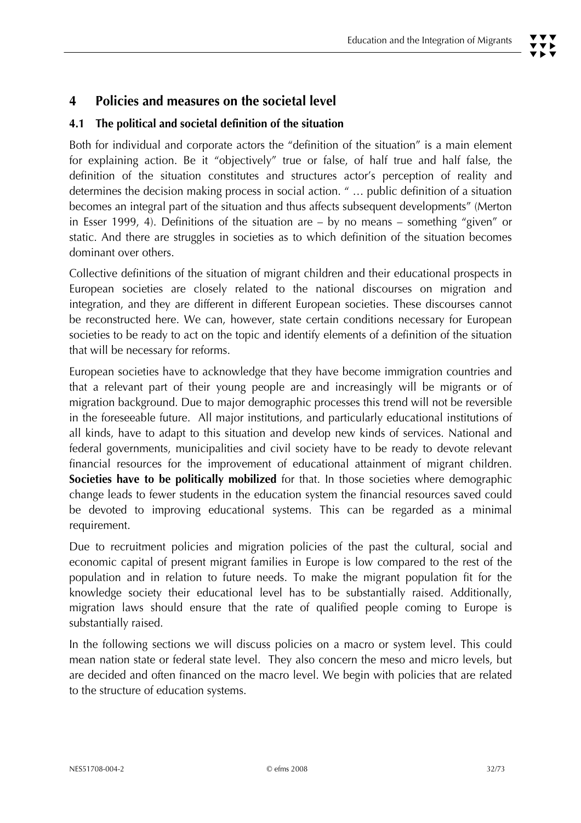# **4 Policies and measures on the societal level**

#### **4.1 The political and societal definition of the situation**

Both for individual and corporate actors the "definition of the situation" is a main element for explaining action. Be it "objectively" true or false, of half true and half false, the definition of the situation constitutes and structures actor's perception of reality and determines the decision making process in social action. " … public definition of a situation becomes an integral part of the situation and thus affects subsequent developments" (Merton in Esser 1999, 4). Definitions of the situation are – by no means – something "given" or static. And there are struggles in societies as to which definition of the situation becomes dominant over others.

Collective definitions of the situation of migrant children and their educational prospects in European societies are closely related to the national discourses on migration and integration, and they are different in different European societies. These discourses cannot be reconstructed here. We can, however, state certain conditions necessary for European societies to be ready to act on the topic and identify elements of a definition of the situation that will be necessary for reforms.

European societies have to acknowledge that they have become immigration countries and that a relevant part of their young people are and increasingly will be migrants or of migration background. Due to major demographic processes this trend will not be reversible in the foreseeable future. All major institutions, and particularly educational institutions of all kinds, have to adapt to this situation and develop new kinds of services. National and federal governments, municipalities and civil society have to be ready to devote relevant financial resources for the improvement of educational attainment of migrant children. **Societies have to be politically mobilized** for that. In those societies where demographic change leads to fewer students in the education system the financial resources saved could be devoted to improving educational systems. This can be regarded as a minimal requirement.

Due to recruitment policies and migration policies of the past the cultural, social and economic capital of present migrant families in Europe is low compared to the rest of the population and in relation to future needs. To make the migrant population fit for the knowledge society their educational level has to be substantially raised. Additionally, migration laws should ensure that the rate of qualified people coming to Europe is substantially raised.

In the following sections we will discuss policies on a macro or system level. This could mean nation state or federal state level. They also concern the meso and micro levels, but are decided and often financed on the macro level. We begin with policies that are related to the structure of education systems.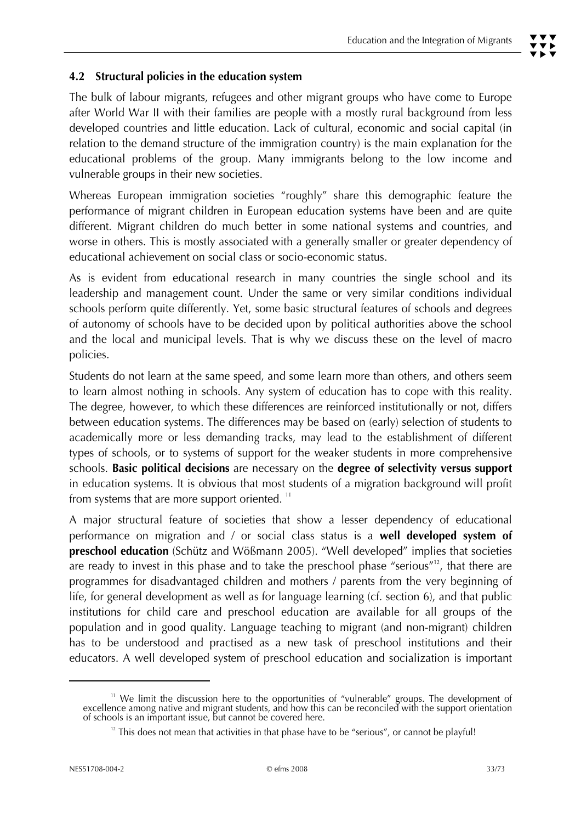## **4.2 Structural policies in the education system**

The bulk of labour migrants, refugees and other migrant groups who have come to Europe after World War II with their families are people with a mostly rural background from less developed countries and little education. Lack of cultural, economic and social capital (in relation to the demand structure of the immigration country) is the main explanation for the educational problems of the group. Many immigrants belong to the low income and vulnerable groups in their new societies.

Whereas European immigration societies "roughly" share this demographic feature the performance of migrant children in European education systems have been and are quite different. Migrant children do much better in some national systems and countries, and worse in others. This is mostly associated with a generally smaller or greater dependency of educational achievement on social class or socio-economic status.

As is evident from educational research in many countries the single school and its leadership and management count. Under the same or very similar conditions individual schools perform quite differently. Yet, some basic structural features of schools and degrees of autonomy of schools have to be decided upon by political authorities above the school and the local and municipal levels. That is why we discuss these on the level of macro policies.

Students do not learn at the same speed, and some learn more than others, and others seem to learn almost nothing in schools. Any system of education has to cope with this reality. The degree, however, to which these differences are reinforced institutionally or not, differs between education systems. The differences may be based on (early) selection of students to academically more or less demanding tracks, may lead to the establishment of different types of schools, or to systems of support for the weaker students in more comprehensive schools. **Basic political decisions** are necessary on the **degree of selectivity versus support**  in education systems. It is obvious that most students of a migration background will profit from systems that are more support oriented.  $11$ 

A major structural feature of societies that show a lesser dependency of educational performance on migration and / or social class status is a **well developed system of preschool education** *(Schütz and Wößmann 2005). "Well developed"* implies that societies are ready to invest in this phase and to take the preschool phase "serious"<sup>12</sup>, that there are programmes for disadvantaged children and mothers / parents from the very beginning of life, for general development as well as for language learning (cf. section 6), and that public institutions for child care and preschool education are available for all groups of the population and in good quality. Language teaching to migrant (and non-migrant) children has to be understood and practised as a new task of preschool institutions and their educators. A well developed system of preschool education and socialization is important

<sup>&</sup>lt;sup>11</sup> We limit the discussion here to the opportunities of "vulnerable" groups. The development of excellence among native and migrant students, and how this can be reconciled with the support orientation of schools is an i

 $12$  This does not mean that activities in that phase have to be "serious", or cannot be playful!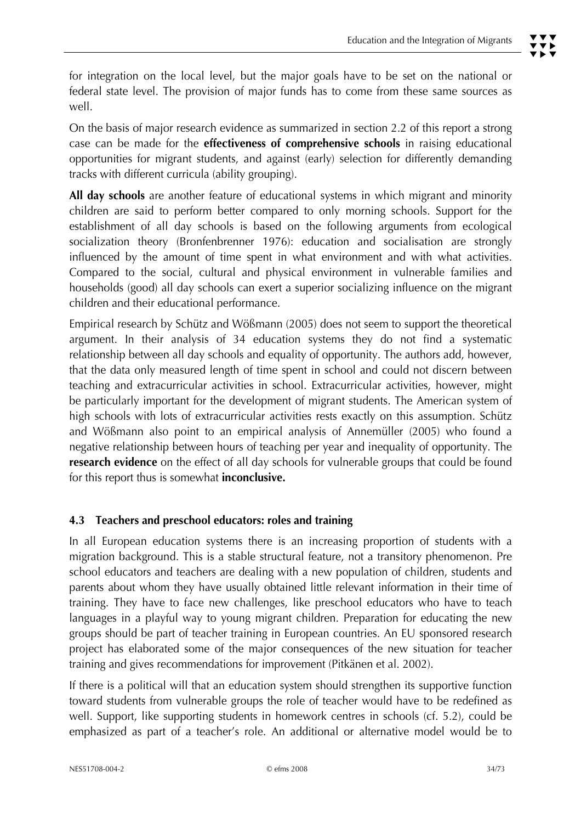for integration on the local level, but the major goals have to be set on the national or federal state level. The provision of major funds has to come from these same sources as well.

On the basis of major research evidence as summarized in section 2.2 of this report a strong case can be made for the **effectiveness of comprehensive schools** in raising educational opportunities for migrant students, and against (early) selection for differently demanding tracks with different curricula (ability grouping).

**All day schools** are another feature of educational systems in which migrant and minority children are said to perform better compared to only morning schools. Support for the establishment of all day schools is based on the following arguments from ecological socialization theory (Bronfenbrenner 1976): education and socialisation are strongly influenced by the amount of time spent in what environment and with what activities. Compared to the social, cultural and physical environment in vulnerable families and households (good) all day schools can exert a superior socializing influence on the migrant children and their educational performance.

Empirical research by Schütz and Wößmann (2005) does not seem to support the theoretical argument. In their analysis of 34 education systems they do not find a systematic relationship between all day schools and equality of opportunity. The authors add, however, that the data only measured length of time spent in school and could not discern between teaching and extracurricular activities in school. Extracurricular activities, however, might be particularly important for the development of migrant students. The American system of high schools with lots of extracurricular activities rests exactly on this assumption. Schütz and Wößmann also point to an empirical analysis of Annemüller (2005) who found a negative relationship between hours of teaching per year and inequality of opportunity. The **research evidence** on the effect of all day schools for vulnerable groups that could be found for this report thus is somewhat **inconclusive.** 

#### **4.3 Teachers and preschool educators: roles and training**

In all European education systems there is an increasing proportion of students with a migration background. This is a stable structural feature, not a transitory phenomenon. Pre school educators and teachers are dealing with a new population of children, students and parents about whom they have usually obtained little relevant information in their time of training. They have to face new challenges, like preschool educators who have to teach languages in a playful way to young migrant children. Preparation for educating the new groups should be part of teacher training in European countries. An EU sponsored research project has elaborated some of the major consequences of the new situation for teacher training and gives recommendations for improvement (Pitkänen et al. 2002).

If there is a political will that an education system should strengthen its supportive function toward students from vulnerable groups the role of teacher would have to be redefined as well. Support, like supporting students in homework centres in schools (cf. 5.2), could be emphasized as part of a teacher's role. An additional or alternative model would be to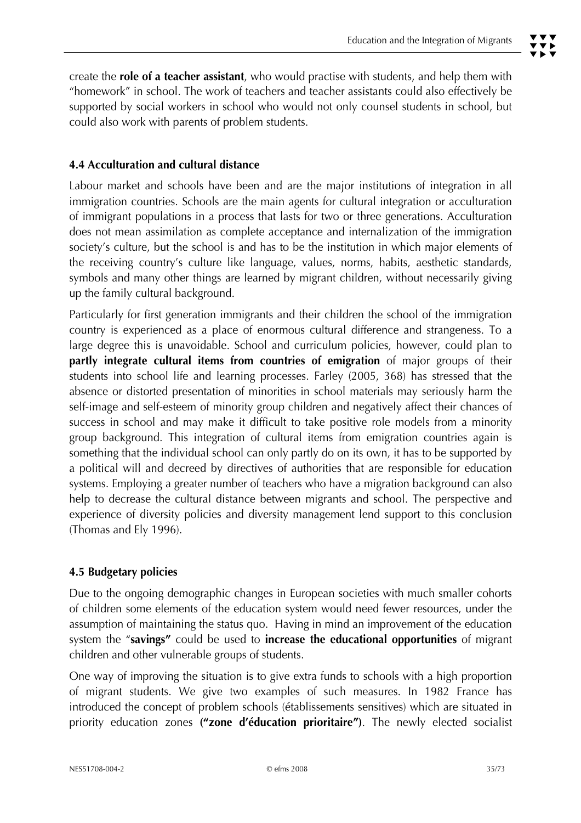create the **role of a teacher assistant**, who would practise with students, and help them with "homework" in school. The work of teachers and teacher assistants could also effectively be supported by social workers in school who would not only counsel students in school, but could also work with parents of problem students.

# **4.4 Acculturation and cultural distance**

Labour market and schools have been and are the major institutions of integration in all immigration countries. Schools are the main agents for cultural integration or acculturation of immigrant populations in a process that lasts for two or three generations. Acculturation does not mean assimilation as complete acceptance and internalization of the immigration society's culture, but the school is and has to be the institution in which major elements of the receiving country's culture like language, values, norms, habits, aesthetic standards, symbols and many other things are learned by migrant children, without necessarily giving up the family cultural background.

Particularly for first generation immigrants and their children the school of the immigration country is experienced as a place of enormous cultural difference and strangeness. To a large degree this is unavoidable. School and curriculum policies, however, could plan to **partly integrate cultural items from countries of emigration** of major groups of their students into school life and learning processes. Farley (2005, 368) has stressed that the absence or distorted presentation of minorities in school materials may seriously harm the self-image and self-esteem of minority group children and negatively affect their chances of success in school and may make it difficult to take positive role models from a minority group background. This integration of cultural items from emigration countries again is something that the individual school can only partly do on its own, it has to be supported by a political will and decreed by directives of authorities that are responsible for education systems. Employing a greater number of teachers who have a migration background can also help to decrease the cultural distance between migrants and school. The perspective and experience of diversity policies and diversity management lend support to this conclusion (Thomas and Ely 1996).

#### **4.5 Budgetary policies**

Due to the ongoing demographic changes in European societies with much smaller cohorts of children some elements of the education system would need fewer resources, under the assumption of maintaining the status quo. Having in mind an improvement of the education system the "**savings"** could be used to **increase the educational opportunities** of migrant children and other vulnerable groups of students.

One way of improving the situation is to give extra funds to schools with a high proportion of migrant students. We give two examples of such measures. In 1982 France has introduced the concept of problem schools (établissements sensitives) which are situated in priority education zones **("zone d'éducation prioritaire")**. The newly elected socialist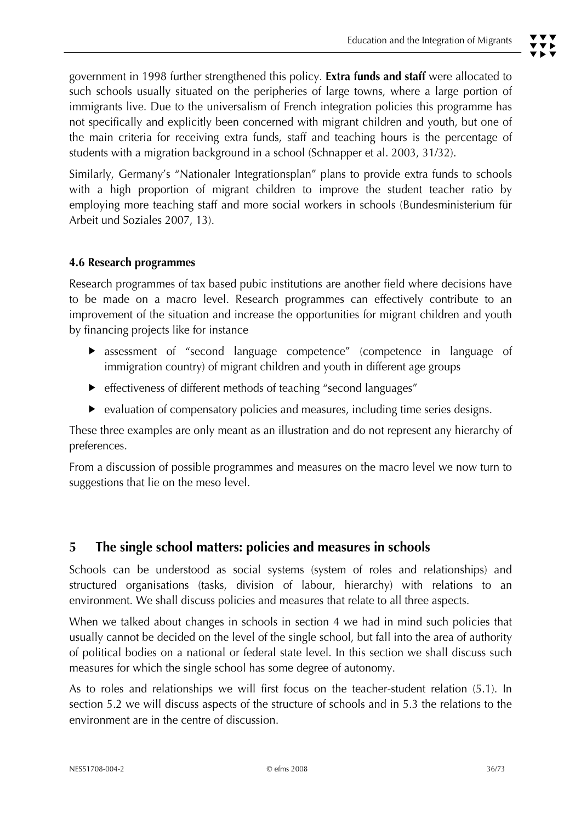Similarly, Germany's "Nationaler Integrationsplan" plans to provide extra funds to schools with a high proportion of migrant children to improve the student teacher ratio by employing more teaching staff and more social workers in schools (Bundesministerium für Arbeit und Soziales 2007, 13).

# **4.6 Research programmes**

Research programmes of tax based pubic institutions are another field where decisions have to be made on a macro level. Research programmes can effectively contribute to an improvement of the situation and increase the opportunities for migrant children and youth by financing projects like for instance

- **F** assessment of "second language competence" (competence in language of immigration country) of migrant children and youth in different age groups
- effectiveness of different methods of teaching "second languages"
- $\blacktriangleright$  evaluation of compensatory policies and measures, including time series designs.

These three examples are only meant as an illustration and do not represent any hierarchy of preferences.

From a discussion of possible programmes and measures on the macro level we now turn to suggestions that lie on the meso level.

# **5 The single school matters: policies and measures in schools**

Schools can be understood as social systems (system of roles and relationships) and structured organisations (tasks, division of labour, hierarchy) with relations to an environment. We shall discuss policies and measures that relate to all three aspects.

When we talked about changes in schools in section 4 we had in mind such policies that usually cannot be decided on the level of the single school, but fall into the area of authority of political bodies on a national or federal state level. In this section we shall discuss such measures for which the single school has some degree of autonomy.

As to roles and relationships we will first focus on the teacher-student relation (5.1). In section 5.2 we will discuss aspects of the structure of schools and in 5.3 the relations to the environment are in the centre of discussion.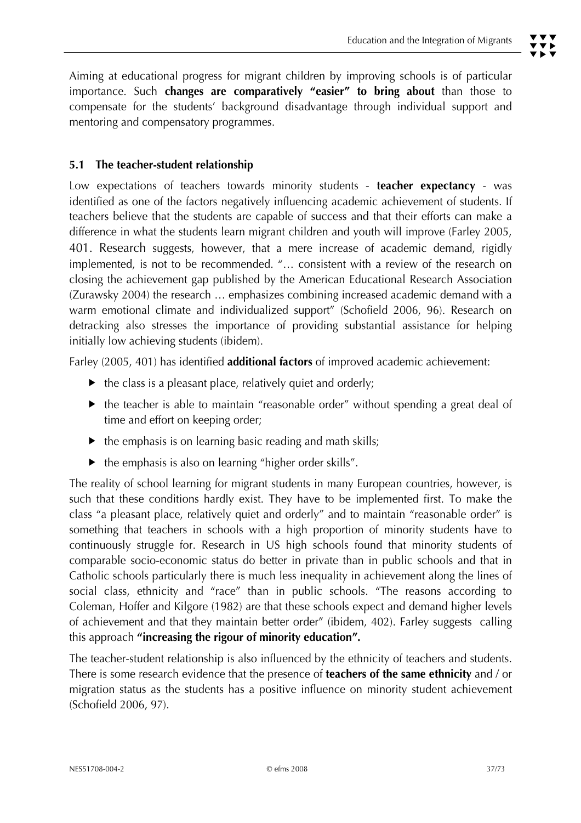Aiming at educational progress for migrant children by improving schools is of particular importance. Such **changes are comparatively "easier" to bring about** than those to compensate for the students' background disadvantage through individual support and mentoring and compensatory programmes.

# **5.1 The teacher-student relationship**

Low expectations of teachers towards minority students - **teacher expectancy** - was identified as one of the factors negatively influencing academic achievement of students. If teachers believe that the students are capable of success and that their efforts can make a difference in what the students learn migrant children and youth will improve (Farley 2005, 401. Research suggests, however, that a mere increase of academic demand, rigidly implemented, is not to be recommended. "… consistent with a review of the research on closing the achievement gap published by the American Educational Research Association (Zurawsky 2004) the research … emphasizes combining increased academic demand with a warm emotional climate and individualized support" (Schofield 2006, 96). Research on detracking also stresses the importance of providing substantial assistance for helping initially low achieving students (ibidem).

Farley (2005, 401) has identified **additional factors** of improved academic achievement:

- $\blacktriangleright$  the class is a pleasant place, relatively quiet and orderly;
- $\blacktriangleright$  the teacher is able to maintain "reasonable order" without spending a great deal of time and effort on keeping order;
- $\blacktriangleright$  the emphasis is on learning basic reading and math skills;
- $\blacktriangleright$  the emphasis is also on learning "higher order skills".

The reality of school learning for migrant students in many European countries, however, is such that these conditions hardly exist. They have to be implemented first. To make the class "a pleasant place, relatively quiet and orderly" and to maintain "reasonable order" is something that teachers in schools with a high proportion of minority students have to continuously struggle for. Research in US high schools found that minority students of comparable socio-economic status do better in private than in public schools and that in Catholic schools particularly there is much less inequality in achievement along the lines of social class, ethnicity and "race" than in public schools. "The reasons according to Coleman, Hoffer and Kilgore (1982) are that these schools expect and demand higher levels of achievement and that they maintain better order" (ibidem, 402). Farley suggests calling this approach **"increasing the rigour of minority education".** 

The teacher-student relationship is also influenced by the ethnicity of teachers and students. There is some research evidence that the presence of **teachers of the same ethnicity** and / or migration status as the students has a positive influence on minority student achievement (Schofield 2006, 97).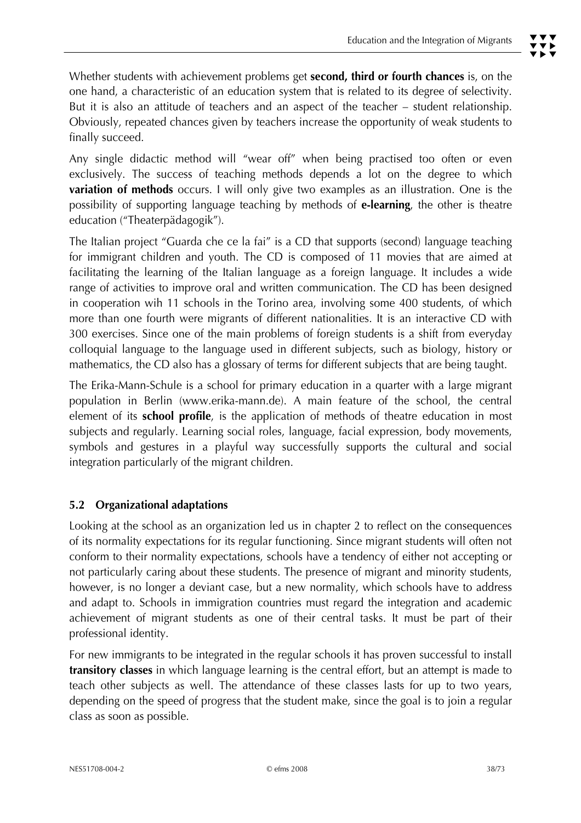Whether students with achievement problems get **second, third or fourth chances** is, on the one hand, a characteristic of an education system that is related to its degree of selectivity. But it is also an attitude of teachers and an aspect of the teacher – student relationship. Obviously, repeated chances given by teachers increase the opportunity of weak students to finally succeed.

Any single didactic method will "wear off" when being practised too often or even exclusively. The success of teaching methods depends a lot on the degree to which **variation of methods** occurs. I will only give two examples as an illustration. One is the possibility of supporting language teaching by methods of **e-learning**, the other is theatre education ("Theaterpädagogik").

The Italian project "Guarda che ce la fai" is a CD that supports (second) language teaching for immigrant children and youth. The CD is composed of 11 movies that are aimed at facilitating the learning of the Italian language as a foreign language. It includes a wide range of activities to improve oral and written communication. The CD has been designed in cooperation wih 11 schools in the Torino area, involving some 400 students, of which more than one fourth were migrants of different nationalities. It is an interactive CD with 300 exercises. Since one of the main problems of foreign students is a shift from everyday colloquial language to the language used in different subjects, such as biology, history or mathematics, the CD also has a glossary of terms for different subjects that are being taught.

The Erika-Mann-Schule is a school for primary education in a quarter with a large migrant population in Berlin (www.erika-mann.de). A main feature of the school, the central element of its **school profile**, is the application of methods of theatre education in most subjects and regularly. Learning social roles, language, facial expression, body movements, symbols and gestures in a playful way successfully supports the cultural and social integration particularly of the migrant children.

# **5.2 Organizational adaptations**

Looking at the school as an organization led us in chapter 2 to reflect on the consequences of its normality expectations for its regular functioning. Since migrant students will often not conform to their normality expectations, schools have a tendency of either not accepting or not particularly caring about these students. The presence of migrant and minority students, however, is no longer a deviant case, but a new normality, which schools have to address and adapt to. Schools in immigration countries must regard the integration and academic achievement of migrant students as one of their central tasks. It must be part of their professional identity.

For new immigrants to be integrated in the regular schools it has proven successful to install **transitory classes** in which language learning is the central effort, but an attempt is made to teach other subjects as well. The attendance of these classes lasts for up to two years, depending on the speed of progress that the student make, since the goal is to join a regular class as soon as possible.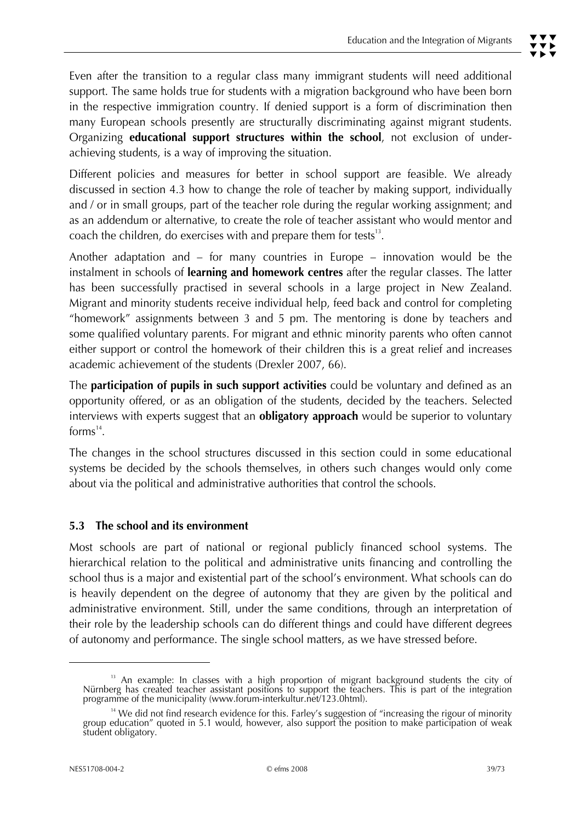Different policies and measures for better in school support are feasible. We already discussed in section 4.3 how to change the role of teacher by making support, individually and / or in small groups, part of the teacher role during the regular working assignment; and as an addendum or alternative, to create the role of teacher assistant who would mentor and coach the children, do exercises with and prepare them for tests $^{\text{13}}$ .

Another adaptation and – for many countries in Europe – innovation would be the instalment in schools of **learning and homework centres** after the regular classes. The latter has been successfully practised in several schools in a large project in New Zealand. Migrant and minority students receive individual help, feed back and control for completing "homework" assignments between 3 and 5 pm. The mentoring is done by teachers and some qualified voluntary parents. For migrant and ethnic minority parents who often cannot either support or control the homework of their children this is a great relief and increases academic achievement of the students (Drexler 2007, 66).

The **participation of pupils in such support activities** could be voluntary and defined as an opportunity offered, or as an obligation of the students, decided by the teachers. Selected interviews with experts suggest that an **obligatory approach** would be superior to voluntary forms $^{14}$ .

The changes in the school structures discussed in this section could in some educational systems be decided by the schools themselves, in others such changes would only come about via the political and administrative authorities that control the schools.

## **5.3 The school and its environment**

Most schools are part of national or regional publicly financed school systems. The hierarchical relation to the political and administrative units financing and controlling the school thus is a major and existential part of the school's environment. What schools can do is heavily dependent on the degree of autonomy that they are given by the political and administrative environment. Still, under the same conditions, through an interpretation of their role by the leadership schools can do different things and could have different degrees of autonomy and performance. The single school matters, as we have stressed before.

 $\overline{a}$ 

<sup>&</sup>lt;sup>13</sup> An example: In classes with a high proportion of migrant background students the city of Nürnberg has created teacher assistant positions to support the teachers. This is part of the integration programme of the muni

<sup>&</sup>lt;sup>14</sup> We did not find research evidence for this. Farley's suggestion of "increasing the rigour of minority group education" quoted in 5.1 would, however, also support the position to make participation of weak student obligatory.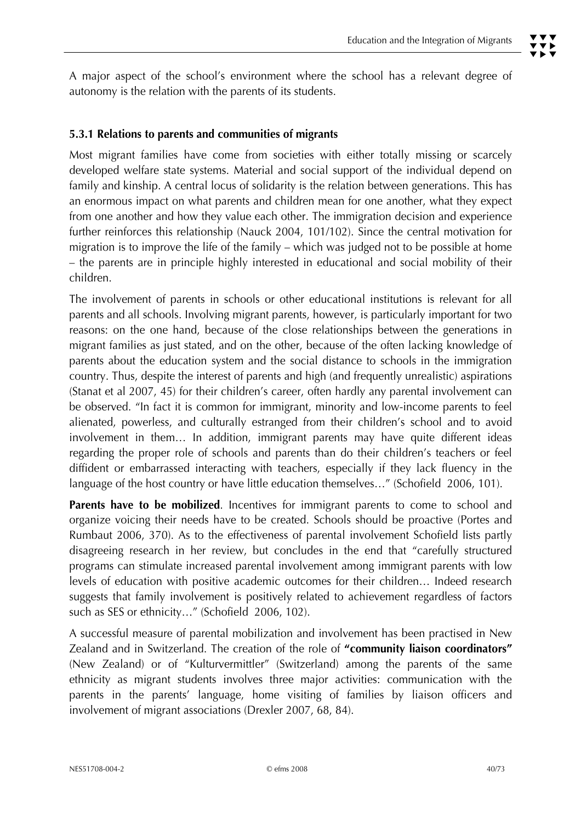# **5.3.1 Relations to parents and communities of migrants**

Most migrant families have come from societies with either totally missing or scarcely developed welfare state systems. Material and social support of the individual depend on family and kinship. A central locus of solidarity is the relation between generations. This has an enormous impact on what parents and children mean for one another, what they expect from one another and how they value each other. The immigration decision and experience further reinforces this relationship (Nauck 2004, 101/102). Since the central motivation for migration is to improve the life of the family – which was judged not to be possible at home – the parents are in principle highly interested in educational and social mobility of their children.

The involvement of parents in schools or other educational institutions is relevant for all parents and all schools. Involving migrant parents, however, is particularly important for two reasons: on the one hand, because of the close relationships between the generations in migrant families as just stated, and on the other, because of the often lacking knowledge of parents about the education system and the social distance to schools in the immigration country. Thus, despite the interest of parents and high (and frequently unrealistic) aspirations (Stanat et al 2007, 45) for their children's career, often hardly any parental involvement can be observed. "In fact it is common for immigrant, minority and low-income parents to feel alienated, powerless, and culturally estranged from their children's school and to avoid involvement in them… In addition, immigrant parents may have quite different ideas regarding the proper role of schools and parents than do their children's teachers or feel diffident or embarrassed interacting with teachers, especially if they lack fluency in the language of the host country or have little education themselves…" (Schofield 2006, 101).

Parents have to be mobilized. Incentives for immigrant parents to come to school and organize voicing their needs have to be created. Schools should be proactive (Portes and Rumbaut 2006, 370). As to the effectiveness of parental involvement Schofield lists partly disagreeing research in her review, but concludes in the end that "carefully structured programs can stimulate increased parental involvement among immigrant parents with low levels of education with positive academic outcomes for their children… Indeed research suggests that family involvement is positively related to achievement regardless of factors such as SES or ethnicity…" (Schofield 2006, 102).

A successful measure of parental mobilization and involvement has been practised in New Zealand and in Switzerland. The creation of the role of **"community liaison coordinators"**  (New Zealand) or of "Kulturvermittler" (Switzerland) among the parents of the same ethnicity as migrant students involves three major activities: communication with the parents in the parents' language, home visiting of families by liaison officers and involvement of migrant associations (Drexler 2007, 68, 84).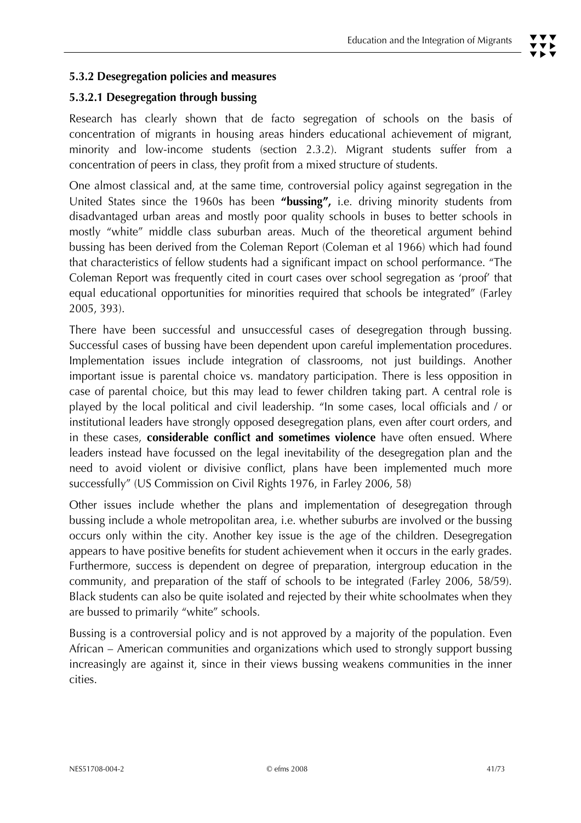# **5.3.2 Desegregation policies and measures**

# **5.3.2.1 Desegregation through bussing**

Research has clearly shown that de facto segregation of schools on the basis of concentration of migrants in housing areas hinders educational achievement of migrant, minority and low-income students (section 2.3.2). Migrant students suffer from a concentration of peers in class, they profit from a mixed structure of students.

One almost classical and, at the same time, controversial policy against segregation in the United States since the 1960s has been **"bussing",** i.e. driving minority students from disadvantaged urban areas and mostly poor quality schools in buses to better schools in mostly "white" middle class suburban areas. Much of the theoretical argument behind bussing has been derived from the Coleman Report (Coleman et al 1966) which had found that characteristics of fellow students had a significant impact on school performance. "The Coleman Report was frequently cited in court cases over school segregation as 'proof' that equal educational opportunities for minorities required that schools be integrated" (Farley 2005, 393).

There have been successful and unsuccessful cases of desegregation through bussing. Successful cases of bussing have been dependent upon careful implementation procedures. Implementation issues include integration of classrooms, not just buildings. Another important issue is parental choice vs. mandatory participation. There is less opposition in case of parental choice, but this may lead to fewer children taking part. A central role is played by the local political and civil leadership. "In some cases, local officials and / or institutional leaders have strongly opposed desegregation plans, even after court orders, and in these cases, **considerable conflict and sometimes violence** have often ensued. Where leaders instead have focussed on the legal inevitability of the desegregation plan and the need to avoid violent or divisive conflict, plans have been implemented much more successfully" (US Commission on Civil Rights 1976, in Farley 2006, 58)

Other issues include whether the plans and implementation of desegregation through bussing include a whole metropolitan area, i.e. whether suburbs are involved or the bussing occurs only within the city. Another key issue is the age of the children. Desegregation appears to have positive benefits for student achievement when it occurs in the early grades. Furthermore, success is dependent on degree of preparation, intergroup education in the community, and preparation of the staff of schools to be integrated (Farley 2006, 58/59). Black students can also be quite isolated and rejected by their white schoolmates when they are bussed to primarily "white" schools.

Bussing is a controversial policy and is not approved by a majority of the population. Even African – American communities and organizations which used to strongly support bussing increasingly are against it, since in their views bussing weakens communities in the inner cities.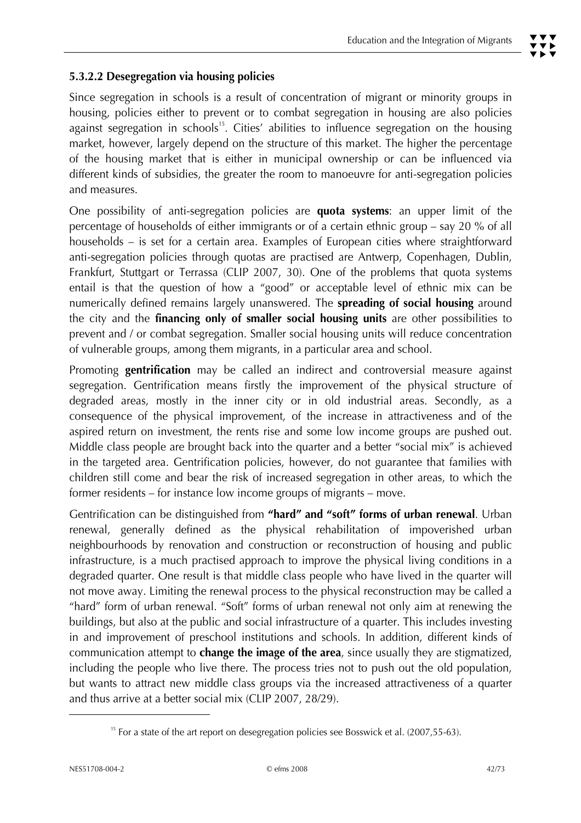# **5.3.2.2 Desegregation via housing policies**

Since segregation in schools is a result of concentration of migrant or minority groups in housing, policies either to prevent or to combat segregation in housing are also policies against segregation in schools<sup>15</sup>. Cities' abilities to influence segregation on the housing market, however, largely depend on the structure of this market. The higher the percentage of the housing market that is either in municipal ownership or can be influenced via different kinds of subsidies, the greater the room to manoeuvre for anti-segregation policies and measures.

One possibility of anti-segregation policies are **quota systems**: an upper limit of the percentage of households of either immigrants or of a certain ethnic group – say 20 % of all households – is set for a certain area. Examples of European cities where straightforward anti-segregation policies through quotas are practised are Antwerp, Copenhagen, Dublin, Frankfurt, Stuttgart or Terrassa (CLIP 2007, 30). One of the problems that quota systems entail is that the question of how a "good" or acceptable level of ethnic mix can be numerically defined remains largely unanswered. The **spreading of social housing** around the city and the **financing only of smaller social housing units** are other possibilities to prevent and / or combat segregation. Smaller social housing units will reduce concentration of vulnerable groups, among them migrants, in a particular area and school.

Promoting **gentrification** may be called an indirect and controversial measure against segregation. Gentrification means firstly the improvement of the physical structure of degraded areas, mostly in the inner city or in old industrial areas. Secondly, as a consequence of the physical improvement, of the increase in attractiveness and of the aspired return on investment, the rents rise and some low income groups are pushed out. Middle class people are brought back into the quarter and a better "social mix" is achieved in the targeted area. Gentrification policies, however, do not guarantee that families with children still come and bear the risk of increased segregation in other areas, to which the former residents – for instance low income groups of migrants – move.

Gentrification can be distinguished from **"hard" and "soft" forms of urban renewal**. Urban renewal, generally defined as the physical rehabilitation of impoverished urban neighbourhoods by renovation and construction or reconstruction of housing and public infrastructure, is a much practised approach to improve the physical living conditions in a degraded quarter. One result is that middle class people who have lived in the quarter will not move away. Limiting the renewal process to the physical reconstruction may be called a "hard" form of urban renewal. "Soft" forms of urban renewal not only aim at renewing the buildings, but also at the public and social infrastructure of a quarter. This includes investing in and improvement of preschool institutions and schools. In addition, different kinds of communication attempt to **change the image of the area**, since usually they are stigmatized, including the people who live there. The process tries not to push out the old population, but wants to attract new middle class groups via the increased attractiveness of a quarter and thus arrive at a better social mix (CLIP 2007, 28/29).

 $\overline{a}$ 

 $15$  For a state of the art report on desegregation policies see Bosswick et al. (2007,55-63).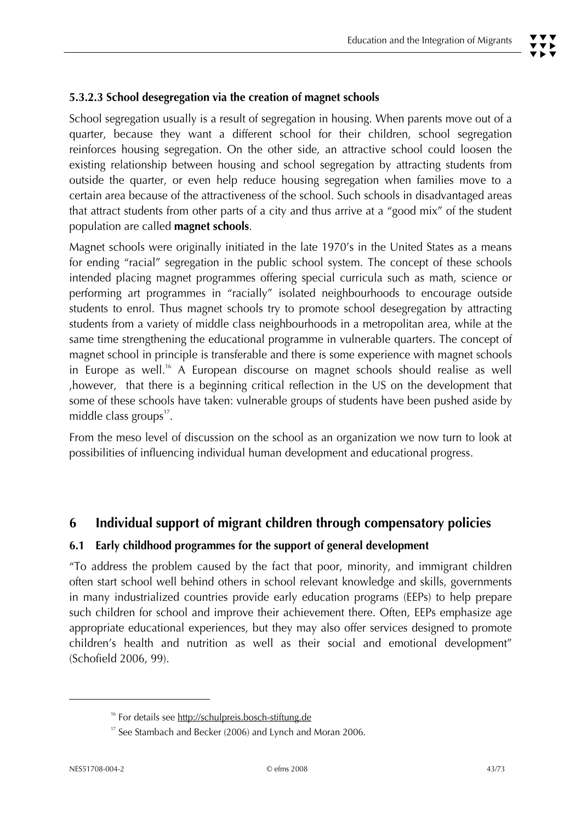# **5.3.2.3 School desegregation via the creation of magnet schools**

School segregation usually is a result of segregation in housing. When parents move out of a quarter, because they want a different school for their children, school segregation reinforces housing segregation. On the other side, an attractive school could loosen the existing relationship between housing and school segregation by attracting students from outside the quarter, or even help reduce housing segregation when families move to a certain area because of the attractiveness of the school. Such schools in disadvantaged areas that attract students from other parts of a city and thus arrive at a "good mix" of the student population are called **magnet schools**.

Magnet schools were originally initiated in the late 1970's in the United States as a means for ending "racial" segregation in the public school system. The concept of these schools intended placing magnet programmes offering special curricula such as math, science or performing art programmes in "racially" isolated neighbourhoods to encourage outside students to enrol. Thus magnet schools try to promote school desegregation by attracting students from a variety of middle class neighbourhoods in a metropolitan area, while at the same time strengthening the educational programme in vulnerable quarters. The concept of magnet school in principle is transferable and there is some experience with magnet schools in Europe as well.<sup>16</sup> A European discourse on magnet schools should realise as well ,however, that there is a beginning critical reflection in the US on the development that some of these schools have taken: vulnerable groups of students have been pushed aside by middle class groups $^{\text{17}}$ .

From the meso level of discussion on the school as an organization we now turn to look at possibilities of influencing individual human development and educational progress.

# **6 Individual support of migrant children through compensatory policies**

## **6.1 Early childhood programmes for the support of general development**

"To address the problem caused by the fact that poor, minority, and immigrant children often start school well behind others in school relevant knowledge and skills, governments in many industrialized countries provide early education programs (EEPs) to help prepare such children for school and improve their achievement there. Often, EEPs emphasize age appropriate educational experiences, but they may also offer services designed to promote children's health and nutrition as well as their social and emotional development" (Schofield 2006, 99).

j

<sup>&</sup>lt;sup>16</sup> For details see http://schulpreis.bosch-stiftung.de

<sup>&</sup>lt;sup>17</sup> See Stambach and Becker (2006) and Lynch and Moran 2006.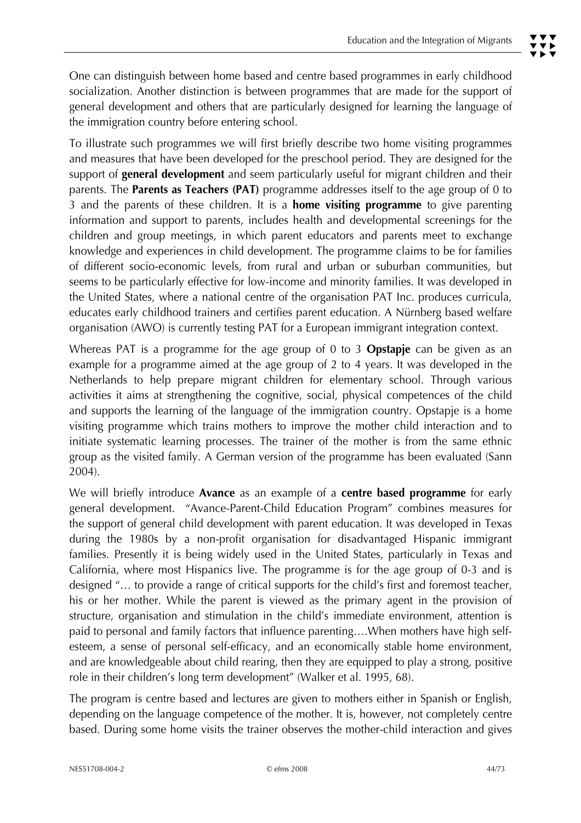To illustrate such programmes we will first briefly describe two home visiting programmes and measures that have been developed for the preschool period. They are designed for the support of **general development** and seem particularly useful for migrant children and their parents. The **Parents as Teachers (PAT)** programme addresses itself to the age group of 0 to 3 and the parents of these children. It is a **home visiting programme** to give parenting information and support to parents, includes health and developmental screenings for the children and group meetings, in which parent educators and parents meet to exchange knowledge and experiences in child development. The programme claims to be for families of different socio-economic levels, from rural and urban or suburban communities, but seems to be particularly effective for low-income and minority families. It was developed in the United States, where a national centre of the organisation PAT Inc. produces curricula, educates early childhood trainers and certifies parent education. A Nürnberg based welfare organisation (AWO) is currently testing PAT for a European immigrant integration context.

Whereas PAT is a programme for the age group of 0 to 3 **Opstapje** can be given as an example for a programme aimed at the age group of 2 to 4 years. It was developed in the Netherlands to help prepare migrant children for elementary school. Through various activities it aims at strengthening the cognitive, social, physical competences of the child and supports the learning of the language of the immigration country. Opstapje is a home visiting programme which trains mothers to improve the mother child interaction and to initiate systematic learning processes. The trainer of the mother is from the same ethnic group as the visited family. A German version of the programme has been evaluated (Sann 2004).

We will briefly introduce **Avance** as an example of a **centre based programme** for early general development. "Avance-Parent-Child Education Program" combines measures for the support of general child development with parent education. It was developed in Texas during the 1980s by a non-profit organisation for disadvantaged Hispanic immigrant families. Presently it is being widely used in the United States, particularly in Texas and California, where most Hispanics live. The programme is for the age group of 0-3 and is designed "… to provide a range of critical supports for the child's first and foremost teacher, his or her mother. While the parent is viewed as the primary agent in the provision of structure, organisation and stimulation in the child's immediate environment, attention is paid to personal and family factors that influence parenting….When mothers have high selfesteem, a sense of personal self-efficacy, and an economically stable home environment, and are knowledgeable about child rearing, then they are equipped to play a strong, positive role in their children's long term development" (Walker et al. 1995, 68).

The program is centre based and lectures are given to mothers either in Spanish or English, depending on the language competence of the mother. It is, however, not completely centre based. During some home visits the trainer observes the mother-child interaction and gives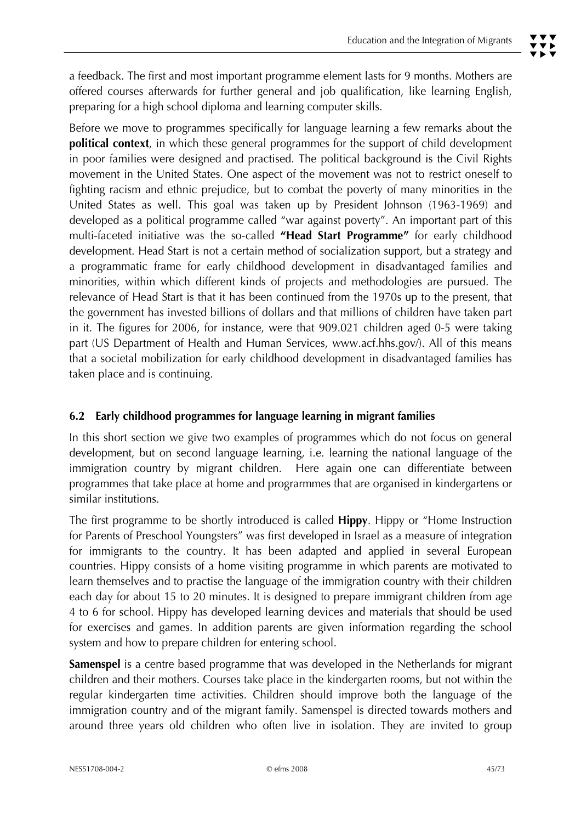Before we move to programmes specifically for language learning a few remarks about the **political context**, in which these general programmes for the support of child development in poor families were designed and practised. The political background is the Civil Rights movement in the United States. One aspect of the movement was not to restrict oneself to fighting racism and ethnic prejudice, but to combat the poverty of many minorities in the United States as well. This goal was taken up by President Johnson (1963-1969) and developed as a political programme called "war against poverty". An important part of this multi-faceted initiative was the so-called **"Head Start Programme"** for early childhood development. Head Start is not a certain method of socialization support, but a strategy and a programmatic frame for early childhood development in disadvantaged families and minorities, within which different kinds of projects and methodologies are pursued. The relevance of Head Start is that it has been continued from the 1970s up to the present, that the government has invested billions of dollars and that millions of children have taken part in it. The figures for 2006, for instance, were that 909.021 children aged 0-5 were taking part (US Department of Health and Human Services, www.acf.hhs.gov/). All of this means that a societal mobilization for early childhood development in disadvantaged families has taken place and is continuing.

# **6.2 Early childhood programmes for language learning in migrant families**

In this short section we give two examples of programmes which do not focus on general development, but on second language learning, i.e. learning the national language of the immigration country by migrant children. Here again one can differentiate between programmes that take place at home and prograrmmes that are organised in kindergartens or similar institutions.

The first programme to be shortly introduced is called **Hippy**. Hippy or "Home Instruction for Parents of Preschool Youngsters" was first developed in Israel as a measure of integration for immigrants to the country. It has been adapted and applied in several European countries. Hippy consists of a home visiting programme in which parents are motivated to learn themselves and to practise the language of the immigration country with their children each day for about 15 to 20 minutes. It is designed to prepare immigrant children from age 4 to 6 for school. Hippy has developed learning devices and materials that should be used for exercises and games. In addition parents are given information regarding the school system and how to prepare children for entering school.

**Samenspel** is a centre based programme that was developed in the Netherlands for migrant children and their mothers. Courses take place in the kindergarten rooms, but not within the regular kindergarten time activities. Children should improve both the language of the immigration country and of the migrant family. Samenspel is directed towards mothers and around three years old children who often live in isolation. They are invited to group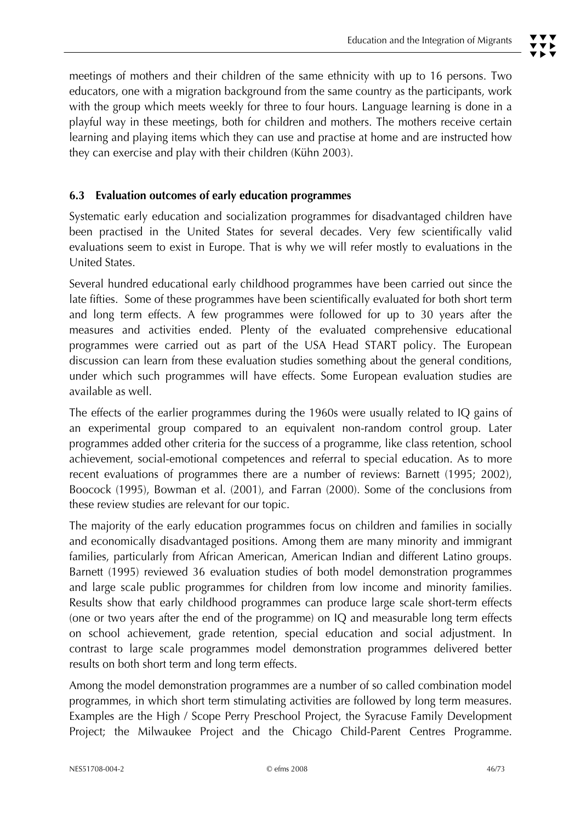meetings of mothers and their children of the same ethnicity with up to 16 persons. Two educators, one with a migration background from the same country as the participants, work with the group which meets weekly for three to four hours. Language learning is done in a playful way in these meetings, both for children and mothers. The mothers receive certain learning and playing items which they can use and practise at home and are instructed how they can exercise and play with their children (Kühn 2003).

# **6.3 Evaluation outcomes of early education programmes**

Systematic early education and socialization programmes for disadvantaged children have been practised in the United States for several decades. Very few scientifically valid evaluations seem to exist in Europe. That is why we will refer mostly to evaluations in the United States.

Several hundred educational early childhood programmes have been carried out since the late fifties. Some of these programmes have been scientifically evaluated for both short term and long term effects. A few programmes were followed for up to 30 years after the measures and activities ended. Plenty of the evaluated comprehensive educational programmes were carried out as part of the USA Head START policy. The European discussion can learn from these evaluation studies something about the general conditions, under which such programmes will have effects. Some European evaluation studies are available as well.

The effects of the earlier programmes during the 1960s were usually related to IQ gains of an experimental group compared to an equivalent non-random control group. Later programmes added other criteria for the success of a programme, like class retention, school achievement, social-emotional competences and referral to special education. As to more recent evaluations of programmes there are a number of reviews: Barnett (1995; 2002), Boocock (1995), Bowman et al. (2001), and Farran (2000). Some of the conclusions from these review studies are relevant for our topic.

The majority of the early education programmes focus on children and families in socially and economically disadvantaged positions. Among them are many minority and immigrant families, particularly from African American, American Indian and different Latino groups. Barnett (1995) reviewed 36 evaluation studies of both model demonstration programmes and large scale public programmes for children from low income and minority families. Results show that early childhood programmes can produce large scale short-term effects (one or two years after the end of the programme) on IQ and measurable long term effects on school achievement, grade retention, special education and social adjustment. In contrast to large scale programmes model demonstration programmes delivered better results on both short term and long term effects.

Among the model demonstration programmes are a number of so called combination model programmes, in which short term stimulating activities are followed by long term measures. Examples are the High / Scope Perry Preschool Project, the Syracuse Family Development Project; the Milwaukee Project and the Chicago Child-Parent Centres Programme.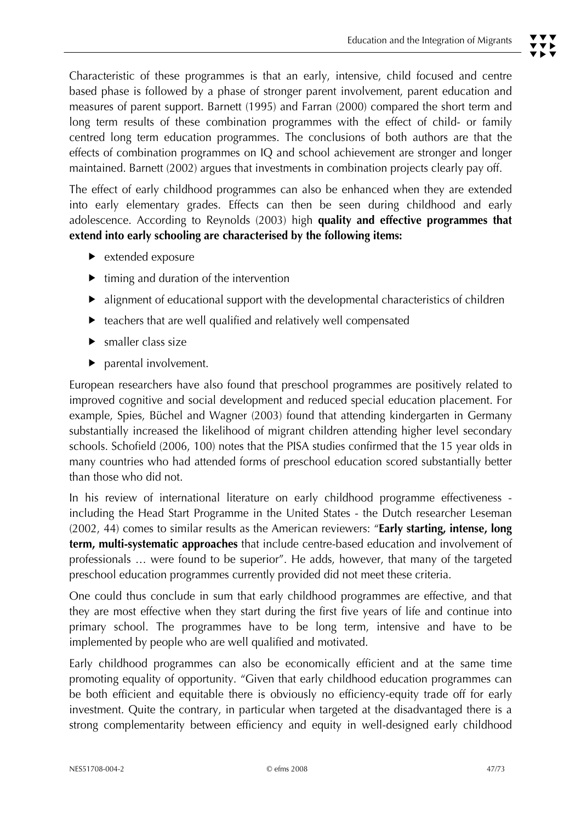Characteristic of these programmes is that an early, intensive, child focused and centre based phase is followed by a phase of stronger parent involvement, parent education and measures of parent support. Barnett (1995) and Farran (2000) compared the short term and long term results of these combination programmes with the effect of child- or family centred long term education programmes. The conclusions of both authors are that the effects of combination programmes on IQ and school achievement are stronger and longer maintained. Barnett (2002) argues that investments in combination projects clearly pay off.

The effect of early childhood programmes can also be enhanced when they are extended into early elementary grades. Effects can then be seen during childhood and early adolescence. According to Reynolds (2003) high **quality and effective programmes that extend into early schooling are characterised by the following items:** 

- $\blacktriangleright$  extended exposure
- $\blacktriangleright$  timing and duration of the intervention
- $\blacktriangleright$  alignment of educational support with the developmental characteristics of children
- $\blacktriangleright$  teachers that are well qualified and relatively well compensated
- $\blacktriangleright$  smaller class size
- $\triangleright$  parental involvement.

European researchers have also found that preschool programmes are positively related to improved cognitive and social development and reduced special education placement. For example, Spies, Büchel and Wagner (2003) found that attending kindergarten in Germany substantially increased the likelihood of migrant children attending higher level secondary schools. Schofield (2006, 100) notes that the PISA studies confirmed that the 15 year olds in many countries who had attended forms of preschool education scored substantially better than those who did not.

In his review of international literature on early childhood programme effectiveness including the Head Start Programme in the United States - the Dutch researcher Leseman (2002, 44) comes to similar results as the American reviewers: "**Early starting, intense, long term, multi-systematic approaches** that include centre-based education and involvement of professionals … were found to be superior". He adds, however, that many of the targeted preschool education programmes currently provided did not meet these criteria.

One could thus conclude in sum that early childhood programmes are effective, and that they are most effective when they start during the first five years of life and continue into primary school. The programmes have to be long term, intensive and have to be implemented by people who are well qualified and motivated.

Early childhood programmes can also be economically efficient and at the same time promoting equality of opportunity. "Given that early childhood education programmes can be both efficient and equitable there is obviously no efficiency-equity trade off for early investment. Quite the contrary, in particular when targeted at the disadvantaged there is a strong complementarity between efficiency and equity in well-designed early childhood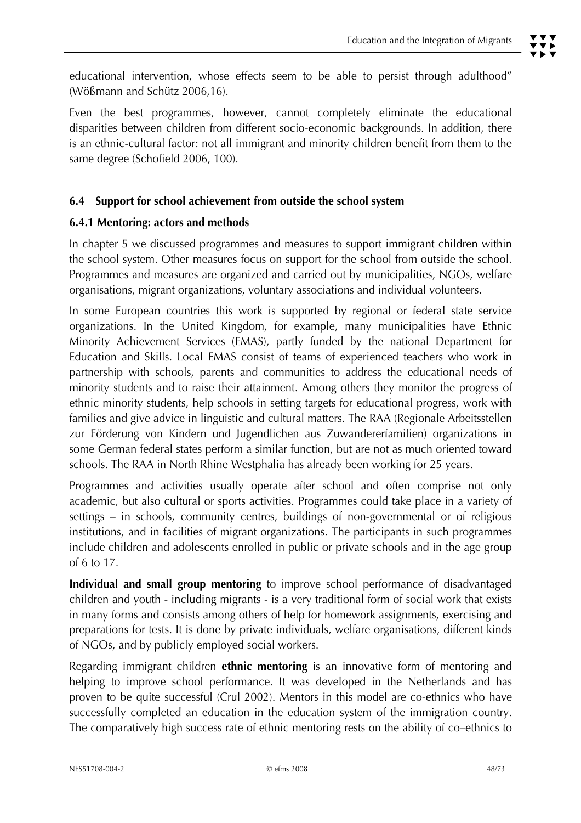Even the best programmes, however, cannot completely eliminate the educational disparities between children from different socio-economic backgrounds. In addition, there is an ethnic-cultural factor: not all immigrant and minority children benefit from them to the same degree (Schofield 2006, 100).

# **6.4 Support for school achievement from outside the school system**

## **6.4.1 Mentoring: actors and methods**

In chapter 5 we discussed programmes and measures to support immigrant children within the school system. Other measures focus on support for the school from outside the school. Programmes and measures are organized and carried out by municipalities, NGOs, welfare organisations, migrant organizations, voluntary associations and individual volunteers.

In some European countries this work is supported by regional or federal state service organizations. In the United Kingdom, for example, many municipalities have Ethnic Minority Achievement Services (EMAS), partly funded by the national Department for Education and Skills. Local EMAS consist of teams of experienced teachers who work in partnership with schools, parents and communities to address the educational needs of minority students and to raise their attainment. Among others they monitor the progress of ethnic minority students, help schools in setting targets for educational progress, work with families and give advice in linguistic and cultural matters. The RAA (Regionale Arbeitsstellen zur Förderung von Kindern und Jugendlichen aus Zuwandererfamilien) organizations in some German federal states perform a similar function, but are not as much oriented toward schools. The RAA in North Rhine Westphalia has already been working for 25 years.

Programmes and activities usually operate after school and often comprise not only academic, but also cultural or sports activities. Programmes could take place in a variety of settings – in schools, community centres, buildings of non-governmental or of religious institutions, and in facilities of migrant organizations. The participants in such programmes include children and adolescents enrolled in public or private schools and in the age group of 6 to 17.

**Individual and small group mentoring** to improve school performance of disadvantaged children and youth - including migrants - is a very traditional form of social work that exists in many forms and consists among others of help for homework assignments, exercising and preparations for tests. It is done by private individuals, welfare organisations, different kinds of NGOs, and by publicly employed social workers.

Regarding immigrant children **ethnic mentoring** is an innovative form of mentoring and helping to improve school performance. It was developed in the Netherlands and has proven to be quite successful (Crul 2002). Mentors in this model are co-ethnics who have successfully completed an education in the education system of the immigration country. The comparatively high success rate of ethnic mentoring rests on the ability of co–ethnics to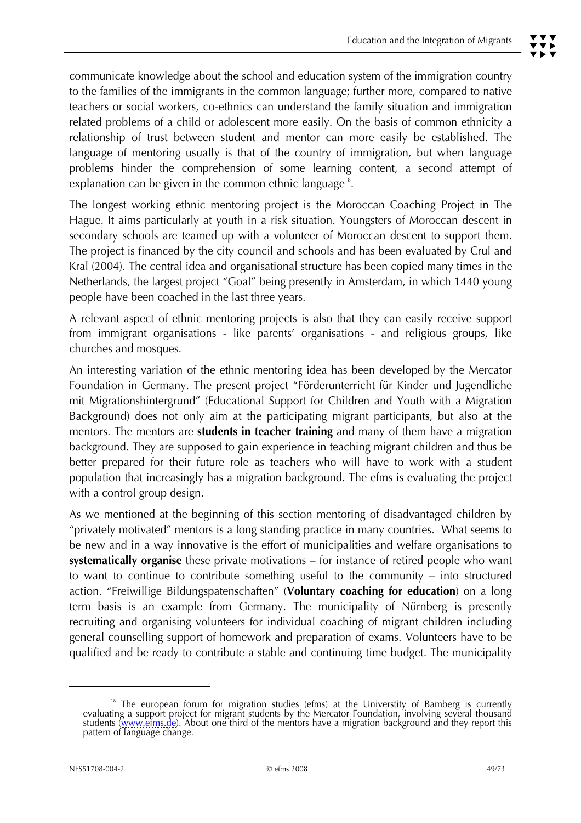communicate knowledge about the school and education system of the immigration country to the families of the immigrants in the common language; further more, compared to native teachers or social workers, co-ethnics can understand the family situation and immigration related problems of a child or adolescent more easily. On the basis of common ethnicity a relationship of trust between student and mentor can more easily be established. The language of mentoring usually is that of the country of immigration, but when language problems hinder the comprehension of some learning content, a second attempt of explanation can be given in the common ethnic language $18$ .

The longest working ethnic mentoring project is the Moroccan Coaching Project in The Hague. It aims particularly at youth in a risk situation. Youngsters of Moroccan descent in secondary schools are teamed up with a volunteer of Moroccan descent to support them. The project is financed by the city council and schools and has been evaluated by Crul and Kral (2004). The central idea and organisational structure has been copied many times in the Netherlands, the largest project "Goal" being presently in Amsterdam, in which 1440 young people have been coached in the last three years.

A relevant aspect of ethnic mentoring projects is also that they can easily receive support from immigrant organisations - like parents' organisations - and religious groups, like churches and mosques.

An interesting variation of the ethnic mentoring idea has been developed by the Mercator Foundation in Germany. The present project "Förderunterricht für Kinder und Jugendliche mit Migrationshintergrund" (Educational Support for Children and Youth with a Migration Background) does not only aim at the participating migrant participants, but also at the mentors. The mentors are **students in teacher training** and many of them have a migration background. They are supposed to gain experience in teaching migrant children and thus be better prepared for their future role as teachers who will have to work with a student population that increasingly has a migration background. The efms is evaluating the project with a control group design.

As we mentioned at the beginning of this section mentoring of disadvantaged children by "privately motivated" mentors is a long standing practice in many countries. What seems to be new and in a way innovative is the effort of municipalities and welfare organisations to **systematically organise** these private motivations – for instance of retired people who want to want to continue to contribute something useful to the community – into structured action. "Freiwillige Bildungspatenschaften" (**Voluntary coaching for education**) on a long term basis is an example from Germany. The municipality of Nürnberg is presently recruiting and organising volunteers for individual coaching of migrant children including general counselling support of homework and preparation of exams. Volunteers have to be qualified and be ready to contribute a stable and continuing time budget. The municipality

<sup>&</sup>lt;sup>18</sup> The european forum for migration studies (efms) at the Universtity of Bamberg is currently evaluating a support project for migrant students by the Mercator Foundation, involving several thousand students (<u>www.efms.de)</u>. About one third of the mentors have a migration background and they report this<br>pattern of language change.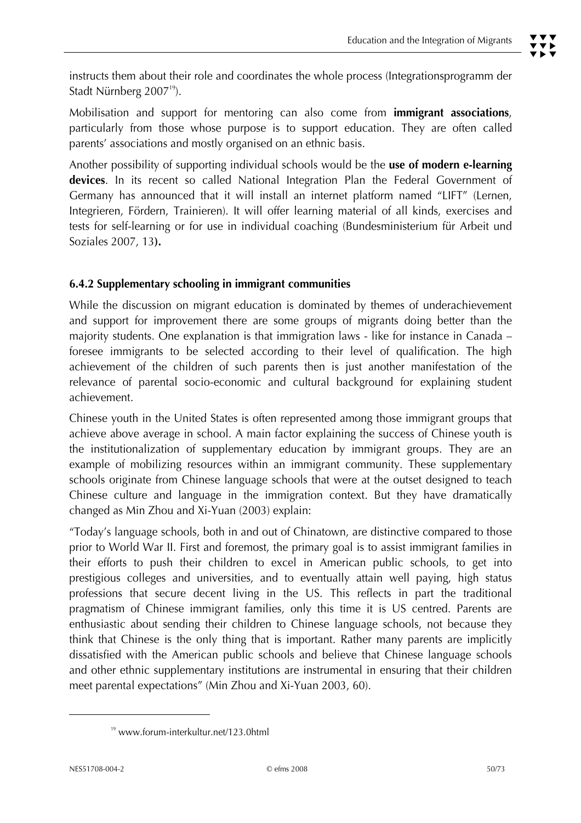instructs them about their role and coordinates the whole process (Integrationsprogramm der Stadt Nürnberg 2007<sup>19</sup>).

Mobilisation and support for mentoring can also come from **immigrant associations**, particularly from those whose purpose is to support education. They are often called parents' associations and mostly organised on an ethnic basis.

Another possibility of supporting individual schools would be the **use of modern e-learning devices**. In its recent so called National Integration Plan the Federal Government of Germany has announced that it will install an internet platform named "LIFT" (Lernen, Integrieren, Fördern, Trainieren). It will offer learning material of all kinds, exercises and tests for self-learning or for use in individual coaching (Bundesministerium für Arbeit und Soziales 2007, 13**).** 

## **6.4.2 Supplementary schooling in immigrant communities**

While the discussion on migrant education is dominated by themes of underachievement and support for improvement there are some groups of migrants doing better than the majority students. One explanation is that immigration laws - like for instance in Canada – foresee immigrants to be selected according to their level of qualification. The high achievement of the children of such parents then is just another manifestation of the relevance of parental socio-economic and cultural background for explaining student achievement.

Chinese youth in the United States is often represented among those immigrant groups that achieve above average in school. A main factor explaining the success of Chinese youth is the institutionalization of supplementary education by immigrant groups. They are an example of mobilizing resources within an immigrant community. These supplementary schools originate from Chinese language schools that were at the outset designed to teach Chinese culture and language in the immigration context. But they have dramatically changed as Min Zhou and Xi-Yuan (2003) explain:

"Today's language schools, both in and out of Chinatown, are distinctive compared to those prior to World War II. First and foremost, the primary goal is to assist immigrant families in their efforts to push their children to excel in American public schools, to get into prestigious colleges and universities, and to eventually attain well paying, high status professions that secure decent living in the US. This reflects in part the traditional pragmatism of Chinese immigrant families, only this time it is US centred. Parents are enthusiastic about sending their children to Chinese language schools, not because they think that Chinese is the only thing that is important. Rather many parents are implicitly dissatisfied with the American public schools and believe that Chinese language schools and other ethnic supplementary institutions are instrumental in ensuring that their children meet parental expectations" (Min Zhou and Xi-Yuan 2003, 60).

 $\overline{a}$ 

<sup>19</sup> www.forum-interkultur.net/123.0html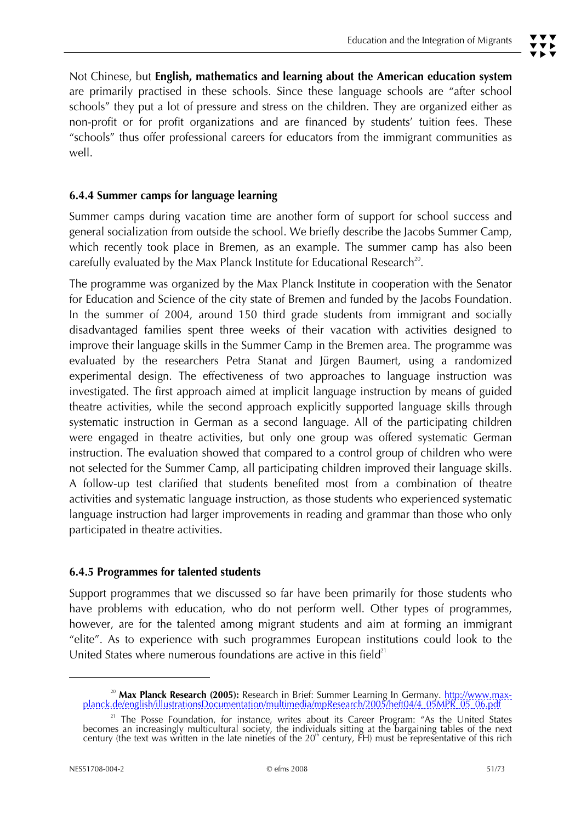# **6.4.4 Summer camps for language learning**

Summer camps during vacation time are another form of support for school success and general socialization from outside the school. We briefly describe the Jacobs Summer Camp, which recently took place in Bremen, as an example. The summer camp has also been carefully evaluated by the Max Planck Institute for Educational Research<sup>20</sup>.

The programme was organized by the Max Planck Institute in cooperation with the Senator for Education and Science of the city state of Bremen and funded by the Jacobs Foundation. In the summer of 2004, around 150 third grade students from immigrant and socially disadvantaged families spent three weeks of their vacation with activities designed to improve their language skills in the Summer Camp in the Bremen area. The programme was evaluated by the researchers Petra Stanat and Jürgen Baumert, using a randomized experimental design. The effectiveness of two approaches to language instruction was investigated. The first approach aimed at implicit language instruction by means of guided theatre activities, while the second approach explicitly supported language skills through systematic instruction in German as a second language. All of the participating children were engaged in theatre activities, but only one group was offered systematic German instruction. The evaluation showed that compared to a control group of children who were not selected for the Summer Camp, all participating children improved their language skills. A follow-up test clarified that students benefited most from a combination of theatre activities and systematic language instruction, as those students who experienced systematic language instruction had larger improvements in reading and grammar than those who only participated in theatre activities.

## **6.4.5 Programmes for talented students**

Support programmes that we discussed so far have been primarily for those students who have problems with education, who do not perform well. Other types of programmes, however, are for the talented among migrant students and aim at forming an immigrant "elite". As to experience with such programmes European institutions could look to the United States where numerous foundations are active in this field $21$ 

j

<sup>&</sup>lt;sup>20</sup> Max Planck Research (2005): Research in Brief: Summer Learning In Germany. http://www.maxplanck.de/english/illustrationsDocumentation/multimedia/mpResearch/2005/heft04/4\_05MPR\_05\_06.pdf

<sup>&</sup>lt;sup>21</sup> The Posse Foundation, for instance, writes about its Career Program: "As the United States becomes an increasingly multicultural society, the individuals sitting at the bargaining tables of the next century (the text was written in the late nineties of the 20<sup>th</sup> century, FH) must be representative of this rich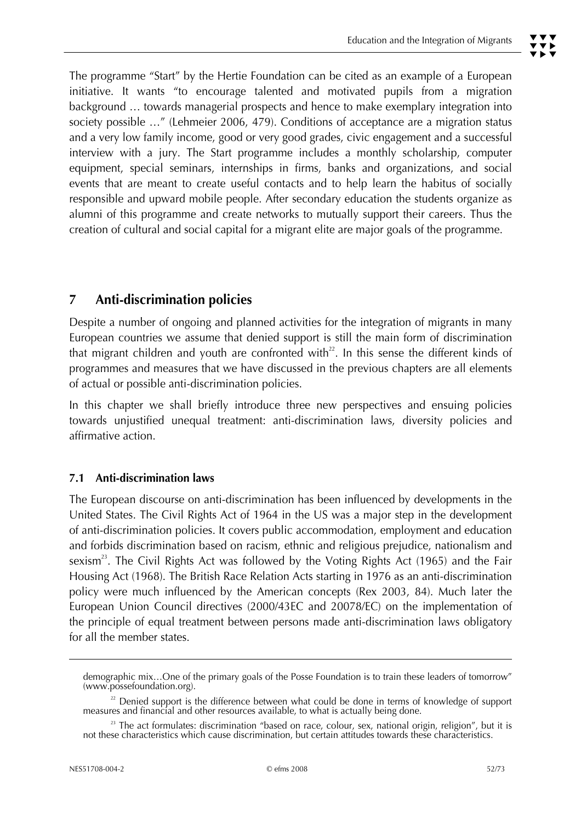The programme "Start" by the Hertie Foundation can be cited as an example of a European initiative. It wants "to encourage talented and motivated pupils from a migration background … towards managerial prospects and hence to make exemplary integration into society possible …" (Lehmeier 2006, 479). Conditions of acceptance are a migration status and a very low family income, good or very good grades, civic engagement and a successful interview with a jury. The Start programme includes a monthly scholarship, computer equipment, special seminars, internships in firms, banks and organizations, and social events that are meant to create useful contacts and to help learn the habitus of socially responsible and upward mobile people. After secondary education the students organize as alumni of this programme and create networks to mutually support their careers. Thus the creation of cultural and social capital for a migrant elite are major goals of the programme.

# **7 Anti-discrimination policies**

Despite a number of ongoing and planned activities for the integration of migrants in many European countries we assume that denied support is still the main form of discrimination that migrant children and youth are confronted with<sup>22</sup>. In this sense the different kinds of programmes and measures that we have discussed in the previous chapters are all elements of actual or possible anti-discrimination policies.

In this chapter we shall briefly introduce three new perspectives and ensuing policies towards unjustified unequal treatment: anti-discrimination laws, diversity policies and affirmative action.

## **7.1 Anti-discrimination laws**

The European discourse on anti-discrimination has been influenced by developments in the United States. The Civil Rights Act of 1964 in the US was a major step in the development of anti-discrimination policies. It covers public accommodation, employment and education and forbids discrimination based on racism, ethnic and religious prejudice, nationalism and sexism<sup>23</sup>. The Civil Rights Act was followed by the Voting Rights Act (1965) and the Fair Housing Act (1968). The British Race Relation Acts starting in 1976 as an anti-discrimination policy were much influenced by the American concepts (Rex 2003, 84). Much later the European Union Council directives (2000/43EC and 20078/EC) on the implementation of the principle of equal treatment between persons made anti-discrimination laws obligatory for all the member states.

demographic mix…One of the primary goals of the Posse Foundation is to train these leaders of tomorrow" (www.possefoundation.org).

<sup>&</sup>lt;sup>22</sup> Denied support is the difference between what could be done in terms of knowledge of support measures and financial and other resources available, to what is actually being done.

<sup>&</sup>lt;sup>23</sup> The act formulates: discrimination "based on race, colour, sex, national origin, religion", but it is not these characteristics which cause discrimination, but certain attitudes towards these characteristics.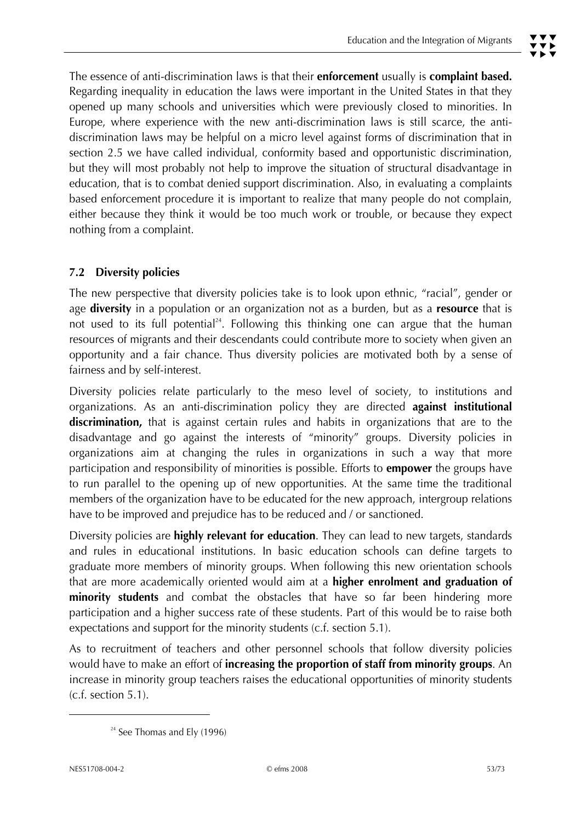The essence of anti-discrimination laws is that their **enforcement** usually is **complaint based.**  Regarding inequality in education the laws were important in the United States in that they opened up many schools and universities which were previously closed to minorities. In Europe, where experience with the new anti-discrimination laws is still scarce, the antidiscrimination laws may be helpful on a micro level against forms of discrimination that in section 2.5 we have called individual, conformity based and opportunistic discrimination, but they will most probably not help to improve the situation of structural disadvantage in education, that is to combat denied support discrimination. Also, in evaluating a complaints based enforcement procedure it is important to realize that many people do not complain, either because they think it would be too much work or trouble, or because they expect nothing from a complaint.

# **7.2 Diversity policies**

The new perspective that diversity policies take is to look upon ethnic, "racial", gender or age **diversity** in a population or an organization not as a burden, but as a **resource** that is not used to its full potential<sup>24</sup>. Following this thinking one can argue that the human resources of migrants and their descendants could contribute more to society when given an opportunity and a fair chance. Thus diversity policies are motivated both by a sense of fairness and by self-interest.

Diversity policies relate particularly to the meso level of society, to institutions and organizations. As an anti-discrimination policy they are directed **against institutional discrimination,** that is against certain rules and habits in organizations that are to the disadvantage and go against the interests of "minority" groups. Diversity policies in organizations aim at changing the rules in organizations in such a way that more participation and responsibility of minorities is possible. Efforts to **empower** the groups have to run parallel to the opening up of new opportunities. At the same time the traditional members of the organization have to be educated for the new approach, intergroup relations have to be improved and prejudice has to be reduced and / or sanctioned.

Diversity policies are **highly relevant for education**. They can lead to new targets, standards and rules in educational institutions. In basic education schools can define targets to graduate more members of minority groups. When following this new orientation schools that are more academically oriented would aim at a **higher enrolment and graduation of minority students** and combat the obstacles that have so far been hindering more participation and a higher success rate of these students. Part of this would be to raise both expectations and support for the minority students (c.f. section 5.1).

As to recruitment of teachers and other personnel schools that follow diversity policies would have to make an effort of **increasing the proportion of staff from minority groups**. An increase in minority group teachers raises the educational opportunities of minority students (c.f. section 5.1).

 $\overline{a}$ 

 $24$  See Thomas and Ely (1996)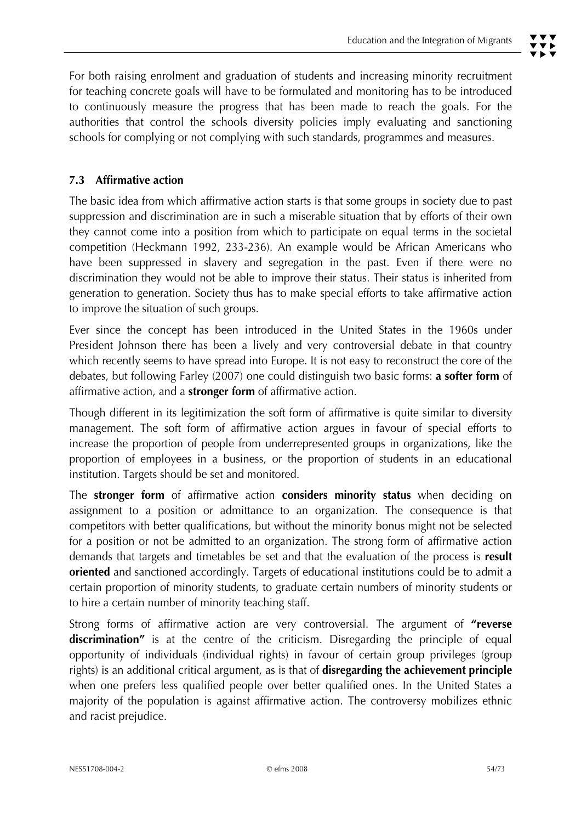# **7.3 Affirmative action**

The basic idea from which affirmative action starts is that some groups in society due to past suppression and discrimination are in such a miserable situation that by efforts of their own they cannot come into a position from which to participate on equal terms in the societal competition (Heckmann 1992, 233-236). An example would be African Americans who have been suppressed in slavery and segregation in the past. Even if there were no discrimination they would not be able to improve their status. Their status is inherited from generation to generation. Society thus has to make special efforts to take affirmative action to improve the situation of such groups.

Ever since the concept has been introduced in the United States in the 1960s under President Johnson there has been a lively and very controversial debate in that country which recently seems to have spread into Europe. It is not easy to reconstruct the core of the debates, but following Farley (2007) one could distinguish two basic forms: **a softer form** of affirmative action, and a **stronger form** of affirmative action.

Though different in its legitimization the soft form of affirmative is quite similar to diversity management. The soft form of affirmative action argues in favour of special efforts to increase the proportion of people from underrepresented groups in organizations, like the proportion of employees in a business, or the proportion of students in an educational institution. Targets should be set and monitored.

The **stronger form** of affirmative action **considers minority status** when deciding on assignment to a position or admittance to an organization. The consequence is that competitors with better qualifications, but without the minority bonus might not be selected for a position or not be admitted to an organization. The strong form of affirmative action demands that targets and timetables be set and that the evaluation of the process is **result oriented** and sanctioned accordingly. Targets of educational institutions could be to admit a certain proportion of minority students, to graduate certain numbers of minority students or to hire a certain number of minority teaching staff.

Strong forms of affirmative action are very controversial. The argument of **"reverse discrimination"** is at the centre of the criticism. Disregarding the principle of equal opportunity of individuals (individual rights) in favour of certain group privileges (group rights) is an additional critical argument, as is that of **disregarding the achievement principle** when one prefers less qualified people over better qualified ones. In the United States a majority of the population is against affirmative action. The controversy mobilizes ethnic and racist prejudice.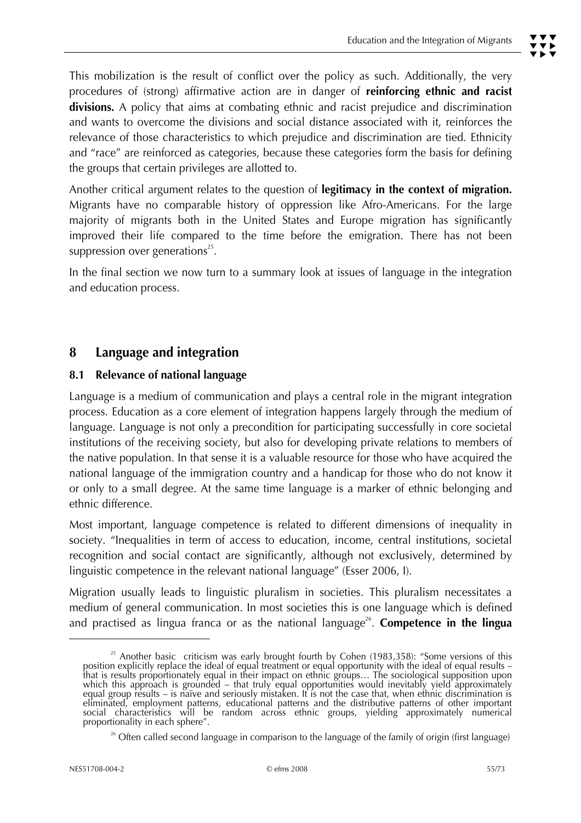This mobilization is the result of conflict over the policy as such. Additionally, the very procedures of (strong) affirmative action are in danger of **reinforcing ethnic and racist divisions.** A policy that aims at combating ethnic and racist prejudice and discrimination and wants to overcome the divisions and social distance associated with it, reinforces the relevance of those characteristics to which prejudice and discrimination are tied. Ethnicity and "race" are reinforced as categories, because these categories form the basis for defining the groups that certain privileges are allotted to.

Another critical argument relates to the question of **legitimacy in the context of migration.** Migrants have no comparable history of oppression like Afro-Americans. For the large majority of migrants both in the United States and Europe migration has significantly improved their life compared to the time before the emigration. There has not been suppression over generations<sup>25</sup>.

In the final section we now turn to a summary look at issues of language in the integration and education process.

# **8 Language and integration**

## **8.1 Relevance of national language**

Language is a medium of communication and plays a central role in the migrant integration process. Education as a core element of integration happens largely through the medium of language. Language is not only a precondition for participating successfully in core societal institutions of the receiving society, but also for developing private relations to members of the native population. In that sense it is a valuable resource for those who have acquired the national language of the immigration country and a handicap for those who do not know it or only to a small degree. At the same time language is a marker of ethnic belonging and ethnic difference.

Most important, language competence is related to different dimensions of inequality in society. "Inequalities in term of access to education, income, central institutions, societal recognition and social contact are significantly, although not exclusively, determined by linguistic competence in the relevant national language" (Esser 2006, I).

Migration usually leads to linguistic pluralism in societies. This pluralism necessitates a medium of general communication. In most societies this is one language which is defined and practised as lingua franca or as the national language<sup>26</sup>. **Competence in the lingua** 

j

<sup>&</sup>lt;sup>25</sup> Another basic criticism was early brought fourth by Cohen (1983,358): "Some versions of this position explicitly replace the ideal of equal treatment or equal opportunity with the ideal of equal results – that is res equal group results – is naïve and seriously mistaken. It is not the case that, when ethnic discrimination is eliminated, employment patterns, educational patterns and the distributive patterns of other important<br>social characteristics will be random across ethnic groups, yielding approximately numerical proportionality in each sphere".

<sup>&</sup>lt;sup>26</sup> Often called second language in comparison to the language of the family of origin (first language)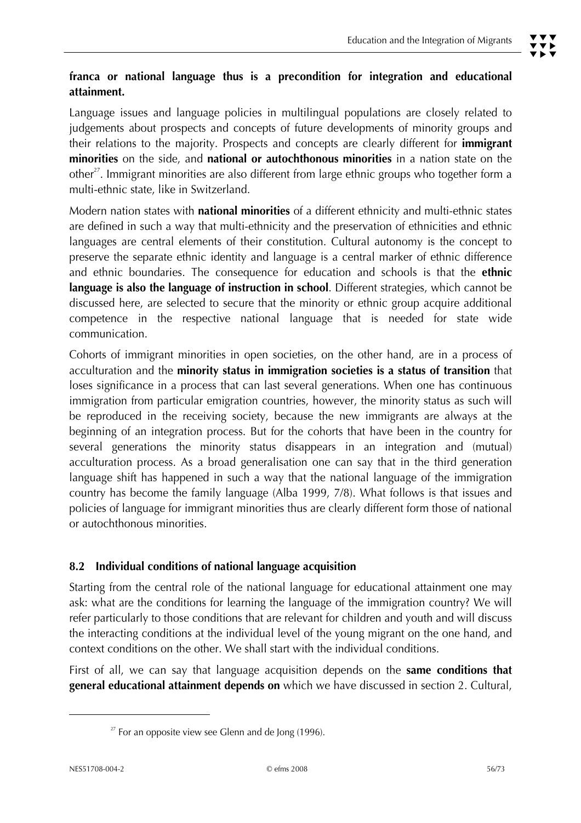# **franca or national language thus is a precondition for integration and educational attainment.**

Language issues and language policies in multilingual populations are closely related to judgements about prospects and concepts of future developments of minority groups and their relations to the majority. Prospects and concepts are clearly different for **immigrant minorities** on the side, and **national or autochthonous minorities** in a nation state on the other<sup>27</sup>. Immigrant minorities are also different from large ethnic groups who together form a multi-ethnic state, like in Switzerland.

Modern nation states with **national minorities** of a different ethnicity and multi-ethnic states are defined in such a way that multi-ethnicity and the preservation of ethnicities and ethnic languages are central elements of their constitution. Cultural autonomy is the concept to preserve the separate ethnic identity and language is a central marker of ethnic difference and ethnic boundaries. The consequence for education and schools is that the **ethnic language is also the language of instruction in school**. Different strategies, which cannot be discussed here, are selected to secure that the minority or ethnic group acquire additional competence in the respective national language that is needed for state wide communication.

Cohorts of immigrant minorities in open societies, on the other hand, are in a process of acculturation and the **minority status in immigration societies is a status of transition** that loses significance in a process that can last several generations. When one has continuous immigration from particular emigration countries, however, the minority status as such will be reproduced in the receiving society, because the new immigrants are always at the beginning of an integration process. But for the cohorts that have been in the country for several generations the minority status disappears in an integration and (mutual) acculturation process. As a broad generalisation one can say that in the third generation language shift has happened in such a way that the national language of the immigration country has become the family language (Alba 1999, 7/8). What follows is that issues and policies of language for immigrant minorities thus are clearly different form those of national or autochthonous minorities.

# **8.2 Individual conditions of national language acquisition**

Starting from the central role of the national language for educational attainment one may ask: what are the conditions for learning the language of the immigration country? We will refer particularly to those conditions that are relevant for children and youth and will discuss the interacting conditions at the individual level of the young migrant on the one hand, and context conditions on the other. We shall start with the individual conditions.

First of all, we can say that language acquisition depends on the **same conditions that general educational attainment depends on** which we have discussed in section 2. Cultural,

 $\overline{a}$ 

 $27$  For an opposite view see Glenn and de Jong (1996).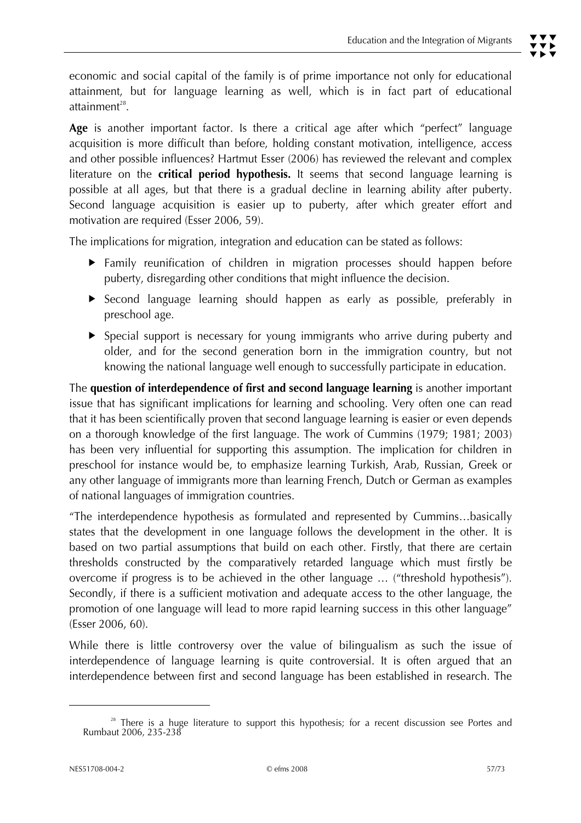economic and social capital of the family is of prime importance not only for educational attainment, but for language learning as well, which is in fact part of educational attainment $^{28}$ .

**Age** is another important factor. Is there a critical age after which "perfect" language acquisition is more difficult than before, holding constant motivation, intelligence, access and other possible influences? Hartmut Esser (2006) has reviewed the relevant and complex literature on the **critical period hypothesis.** It seems that second language learning is possible at all ages, but that there is a gradual decline in learning ability after puberty. Second language acquisition is easier up to puberty, after which greater effort and motivation are required (Esser 2006, 59).

The implications for migration, integration and education can be stated as follows:

- $\blacktriangleright$  Family reunification of children in migration processes should happen before puberty, disregarding other conditions that might influence the decision.
- **F** Second language learning should happen as early as possible, preferably in preschool age.
- $\triangleright$  Special support is necessary for young immigrants who arrive during puberty and older, and for the second generation born in the immigration country, but not knowing the national language well enough to successfully participate in education.

The **question of interdependence of first and second language learning** is another important issue that has significant implications for learning and schooling. Very often one can read that it has been scientifically proven that second language learning is easier or even depends on a thorough knowledge of the first language. The work of Cummins (1979; 1981; 2003) has been very influential for supporting this assumption. The implication for children in preschool for instance would be, to emphasize learning Turkish, Arab, Russian, Greek or any other language of immigrants more than learning French, Dutch or German as examples of national languages of immigration countries.

"The interdependence hypothesis as formulated and represented by Cummins…basically states that the development in one language follows the development in the other. It is based on two partial assumptions that build on each other. Firstly, that there are certain thresholds constructed by the comparatively retarded language which must firstly be overcome if progress is to be achieved in the other language … ("threshold hypothesis"). Secondly, if there is a sufficient motivation and adequate access to the other language, the promotion of one language will lead to more rapid learning success in this other language" (Esser 2006, 60).

While there is little controversy over the value of bilingualism as such the issue of interdependence of language learning is quite controversial. It is often argued that an interdependence between first and second language has been established in research. The

j

 $28$  There is a huge literature to support this hypothesis; for a recent discussion see Portes and Rumbaut 2006, 235-238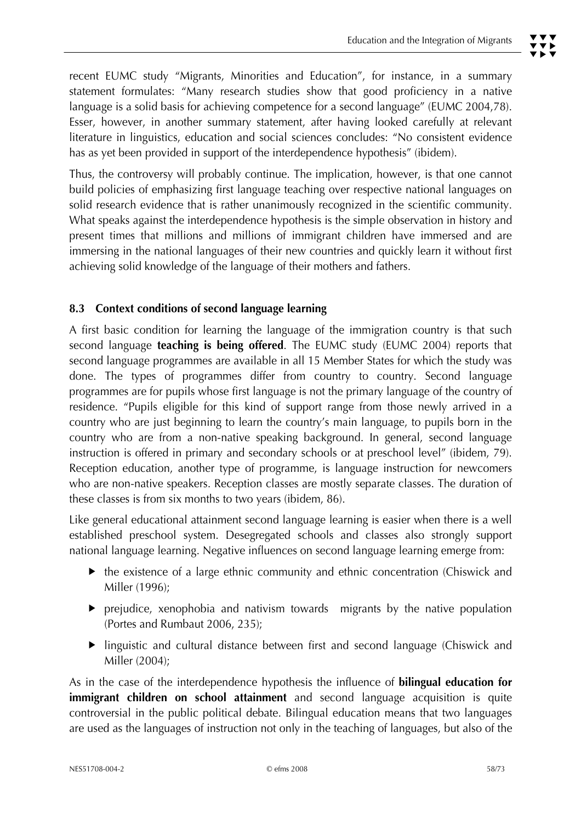recent EUMC study "Migrants, Minorities and Education", for instance, in a summary statement formulates: "Many research studies show that good proficiency in a native language is a solid basis for achieving competence for a second language" (EUMC 2004,78). Esser, however, in another summary statement, after having looked carefully at relevant literature in linguistics, education and social sciences concludes: "No consistent evidence has as yet been provided in support of the interdependence hypothesis" (ibidem).

Thus, the controversy will probably continue. The implication, however, is that one cannot build policies of emphasizing first language teaching over respective national languages on solid research evidence that is rather unanimously recognized in the scientific community. What speaks against the interdependence hypothesis is the simple observation in history and present times that millions and millions of immigrant children have immersed and are immersing in the national languages of their new countries and quickly learn it without first achieving solid knowledge of the language of their mothers and fathers.

# **8.3 Context conditions of second language learning**

A first basic condition for learning the language of the immigration country is that such second language **teaching is being offered**. The EUMC study (EUMC 2004) reports that second language programmes are available in all 15 Member States for which the study was done. The types of programmes differ from country to country. Second language programmes are for pupils whose first language is not the primary language of the country of residence. "Pupils eligible for this kind of support range from those newly arrived in a country who are just beginning to learn the country's main language, to pupils born in the country who are from a non-native speaking background. In general, second language instruction is offered in primary and secondary schools or at preschool level" (ibidem, 79). Reception education, another type of programme, is language instruction for newcomers who are non-native speakers. Reception classes are mostly separate classes. The duration of these classes is from six months to two years (ibidem, 86).

Like general educational attainment second language learning is easier when there is a well established preschool system. Desegregated schools and classes also strongly support national language learning. Negative influences on second language learning emerge from:

- $\blacktriangleright$  the existence of a large ethnic community and ethnic concentration (Chiswick and Miller (1996);
- $\blacktriangleright$  prejudice, xenophobia and nativism towards migrants by the native population (Portes and Rumbaut 2006, 235);
- linguistic and cultural distance between first and second language (Chiswick and Miller (2004);

As in the case of the interdependence hypothesis the influence of **bilingual education for immigrant children on school attainment** and second language acquisition is quite controversial in the public political debate. Bilingual education means that two languages are used as the languages of instruction not only in the teaching of languages, but also of the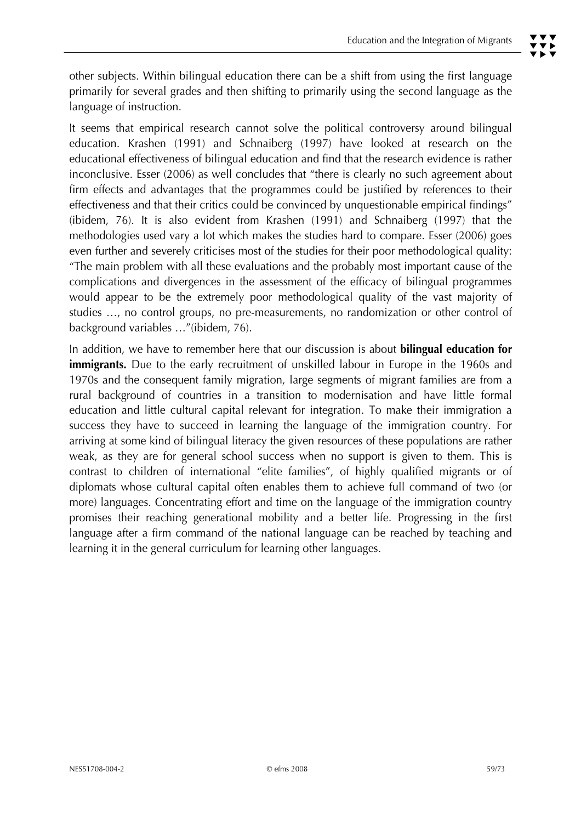It seems that empirical research cannot solve the political controversy around bilingual education. Krashen (1991) and Schnaiberg (1997) have looked at research on the educational effectiveness of bilingual education and find that the research evidence is rather inconclusive. Esser (2006) as well concludes that "there is clearly no such agreement about firm effects and advantages that the programmes could be justified by references to their effectiveness and that their critics could be convinced by unquestionable empirical findings" (ibidem, 76). It is also evident from Krashen (1991) and Schnaiberg (1997) that the methodologies used vary a lot which makes the studies hard to compare. Esser (2006) goes even further and severely criticises most of the studies for their poor methodological quality: "The main problem with all these evaluations and the probably most important cause of the complications and divergences in the assessment of the efficacy of bilingual programmes would appear to be the extremely poor methodological quality of the vast majority of studies …, no control groups, no pre-measurements, no randomization or other control of background variables …"(ibidem, 76).

In addition, we have to remember here that our discussion is about **bilingual education for immigrants.** Due to the early recruitment of unskilled labour in Europe in the 1960s and 1970s and the consequent family migration, large segments of migrant families are from a rural background of countries in a transition to modernisation and have little formal education and little cultural capital relevant for integration. To make their immigration a success they have to succeed in learning the language of the immigration country. For arriving at some kind of bilingual literacy the given resources of these populations are rather weak, as they are for general school success when no support is given to them. This is contrast to children of international "elite families", of highly qualified migrants or of diplomats whose cultural capital often enables them to achieve full command of two (or more) languages. Concentrating effort and time on the language of the immigration country promises their reaching generational mobility and a better life. Progressing in the first language after a firm command of the national language can be reached by teaching and learning it in the general curriculum for learning other languages.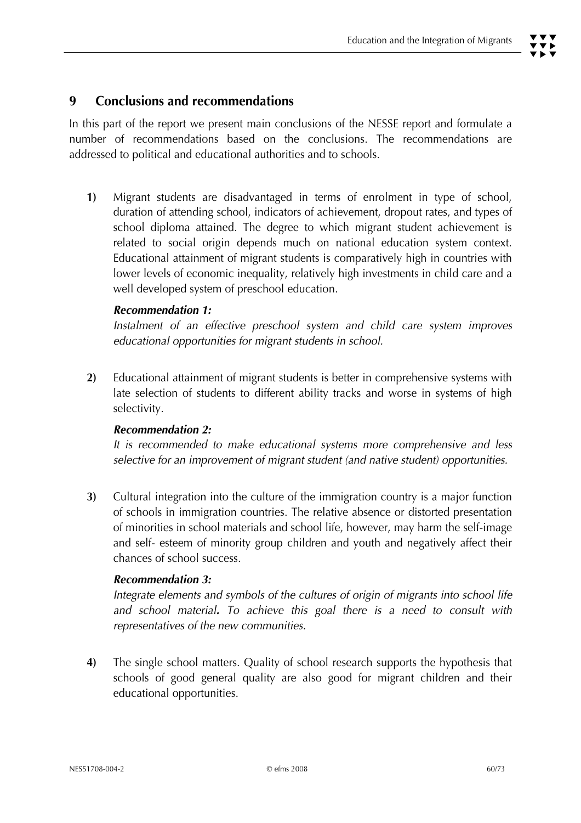# **9 Conclusions and recommendations**

In this part of the report we present main conclusions of the NESSE report and formulate a number of recommendations based on the conclusions. The recommendations are addressed to political and educational authorities and to schools.

**1)** Migrant students are disadvantaged in terms of enrolment in type of school, duration of attending school, indicators of achievement, dropout rates, and types of school diploma attained. The degree to which migrant student achievement is related to social origin depends much on national education system context. Educational attainment of migrant students is comparatively high in countries with lower levels of economic inequality, relatively high investments in child care and a well developed system of preschool education.

#### *Recommendation 1:*

 *Instalment of an effective preschool system and child care system improves educational opportunities for migrant students in school.* 

**2)** Educational attainment of migrant students is better in comprehensive systems with late selection of students to different ability tracks and worse in systems of high selectivity.

#### *Recommendation 2:*

 *It is recommended to make educational systems more comprehensive and less selective for an improvement of migrant student (and native student) opportunities.* 

**3)** Cultural integration into the culture of the immigration country is a major function of schools in immigration countries. The relative absence or distorted presentation of minorities in school materials and school life, however, may harm the self-image and self- esteem of minority group children and youth and negatively affect their chances of school success.

#### *Recommendation 3:*

 *Integrate elements and symbols of the cultures of origin of migrants into school life and school material. To achieve this goal there is a need to consult with representatives of the new communities.* 

**4)** The single school matters. Quality of school research supports the hypothesis that schools of good general quality are also good for migrant children and their educational opportunities.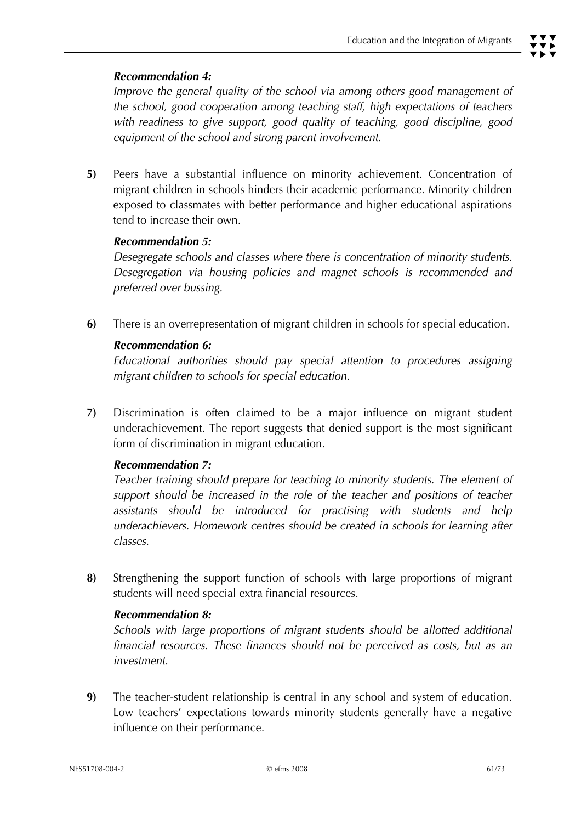#### *Recommendation 4:*

*Improve the general quality of the school via among others good management of the school, good cooperation among teaching staff, high expectations of teachers with readiness to give support, good quality of teaching, good discipline, good equipment of the school and strong parent involvement.* 

**5)** Peers have a substantial influence on minority achievement. Concentration of migrant children in schools hinders their academic performance. Minority children exposed to classmates with better performance and higher educational aspirations tend to increase their own.

#### *Recommendation 5:*

 *Desegregate schools and classes where there is concentration of minority students. Desegregation via housing policies and magnet schools is recommended and preferred over bussing.* 

**6)** There is an overrepresentation of migrant children in schools for special education.

#### *Recommendation 6:*

 *Educational authorities should pay special attention to procedures assigning migrant children to schools for special education.* 

**7)** Discrimination is often claimed to be a major influence on migrant student underachievement. The report suggests that denied support is the most significant form of discrimination in migrant education.

#### *Recommendation 7:*

 *Teacher training should prepare for teaching to minority students. The element of support should be increased in the role of the teacher and positions of teacher assistants should be introduced for practising with students and help underachievers. Homework centres should be created in schools for learning after classes.* 

**8)** Strengthening the support function of schools with large proportions of migrant students will need special extra financial resources.

#### *Recommendation 8:*

 *Schools with large proportions of migrant students should be allotted additional financial resources. These finances should not be perceived as costs, but as an investment.* 

**9)** The teacher-student relationship is central in any school and system of education. Low teachers' expectations towards minority students generally have a negative influence on their performance.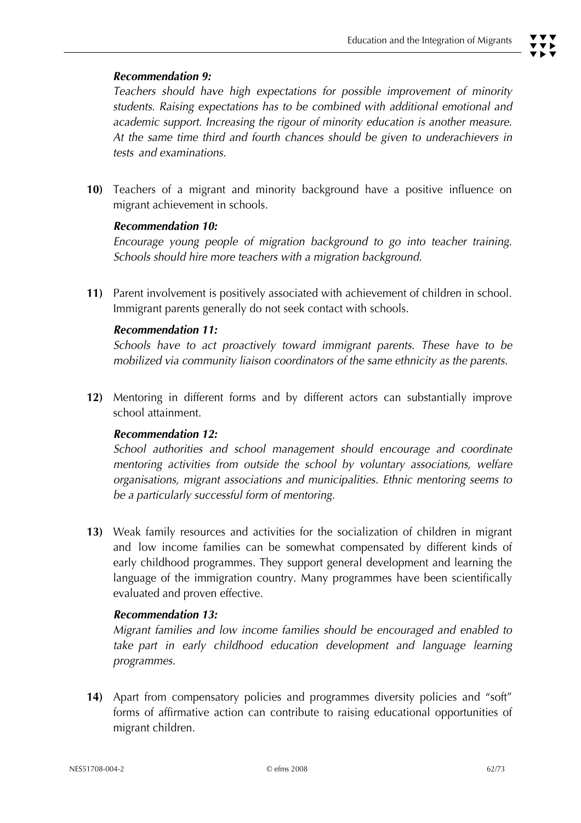## *Recommendation 9:*

 *Teachers should have high expectations for possible improvement of minority students. Raising expectations has to be combined with additional emotional and academic support. Increasing the rigour of minority education is another measure. At the same time third and fourth chances should be given to underachievers in tests and examinations.* 

**10)** Teachers of a migrant and minority background have a positive influence on migrant achievement in schools.

#### *Recommendation 10:*

 *Encourage young people of migration background to go into teacher training. Schools should hire more teachers with a migration background.* 

**11)** Parent involvement is positively associated with achievement of children in school. Immigrant parents generally do not seek contact with schools.

#### *Recommendation 11:*

 *Schools have to act proactively toward immigrant parents. These have to be mobilized via community liaison coordinators of the same ethnicity as the parents.* 

**12)** Mentoring in different forms and by different actors can substantially improve school attainment.

#### *Recommendation 12:*

 *School authorities and school management should encourage and coordinate mentoring activities from outside the school by voluntary associations, welfare organisations, migrant associations and municipalities. Ethnic mentoring seems to be a particularly successful form of mentoring.* 

**13)** Weak family resources and activities for the socialization of children in migrant and low income families can be somewhat compensated by different kinds of early childhood programmes. They support general development and learning the language of the immigration country. Many programmes have been scientifically evaluated and proven effective.

#### *Recommendation 13:*

 *Migrant families and low income families should be encouraged and enabled to take part in early childhood education development and language learning programmes.* 

**14)** Apart from compensatory policies and programmes diversity policies and "soft" forms of affirmative action can contribute to raising educational opportunities of migrant children.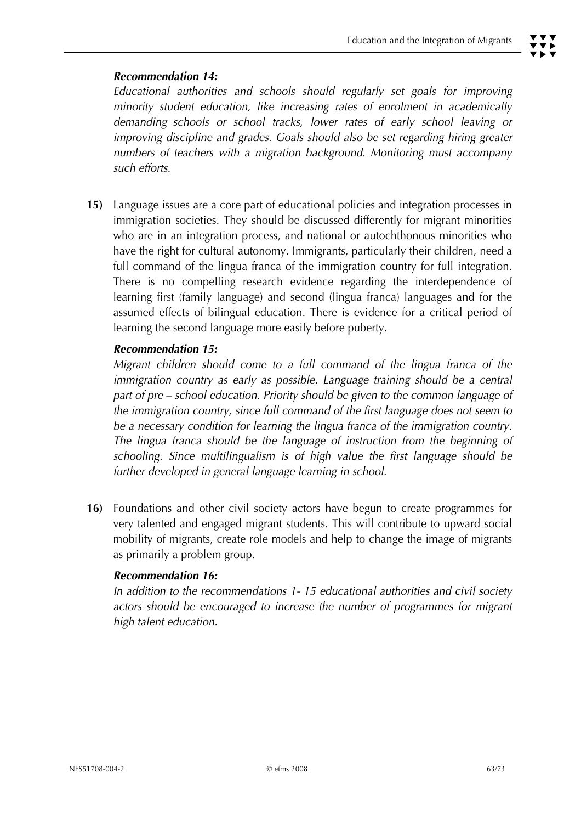## *Recommendation 14:*

 *Educational authorities and schools should regularly set goals for improving minority student education, like increasing rates of enrolment in academically demanding schools or school tracks, lower rates of early school leaving or improving discipline and grades. Goals should also be set regarding hiring greater numbers of teachers with a migration background. Monitoring must accompany such efforts.* 

**15)** Language issues are a core part of educational policies and integration processes in immigration societies. They should be discussed differently for migrant minorities who are in an integration process, and national or autochthonous minorities who have the right for cultural autonomy. Immigrants, particularly their children, need a full command of the lingua franca of the immigration country for full integration. There is no compelling research evidence regarding the interdependence of learning first (family language) and second (lingua franca) languages and for the assumed effects of bilingual education. There is evidence for a critical period of learning the second language more easily before puberty.

## *Recommendation 15:*

 *Migrant children should come to a full command of the lingua franca of the immigration country as early as possible. Language training should be a central part of pre – school education. Priority should be given to the common language of the immigration country, since full command of the first language does not seem to be a necessary condition for learning the lingua franca of the immigration country. The lingua franca should be the language of instruction from the beginning of schooling. Since multilingualism is of high value the first language should be further developed in general language learning in school.* 

**16)** Foundations and other civil society actors have begun to create programmes for very talented and engaged migrant students. This will contribute to upward social mobility of migrants, create role models and help to change the image of migrants as primarily a problem group.

## *Recommendation 16:*

 *In addition to the recommendations 1- 15 educational authorities and civil society actors should be encouraged to increase the number of programmes for migrant high talent education.*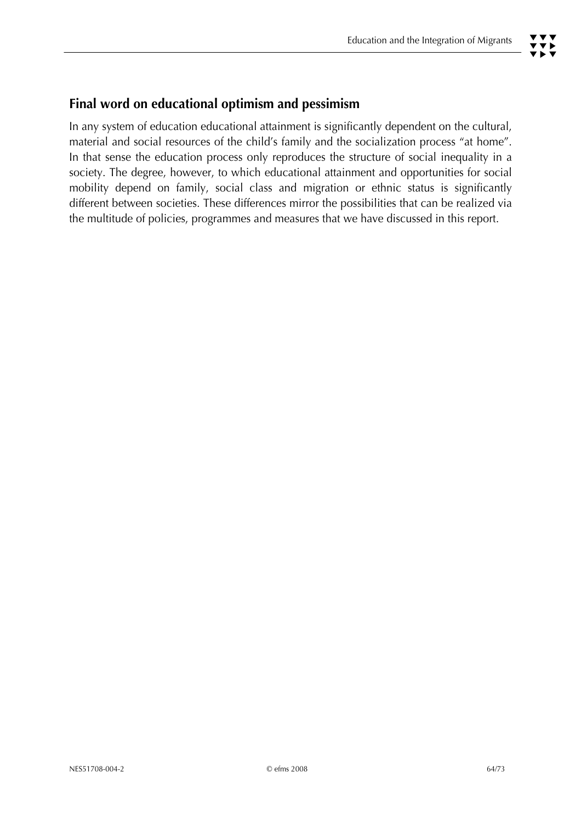# **Final word on educational optimism and pessimism**

In any system of education educational attainment is significantly dependent on the cultural, material and social resources of the child's family and the socialization process "at home". In that sense the education process only reproduces the structure of social inequality in a society. The degree, however, to which educational attainment and opportunities for social mobility depend on family, social class and migration or ethnic status is significantly different between societies. These differences mirror the possibilities that can be realized via the multitude of policies, programmes and measures that we have discussed in this report.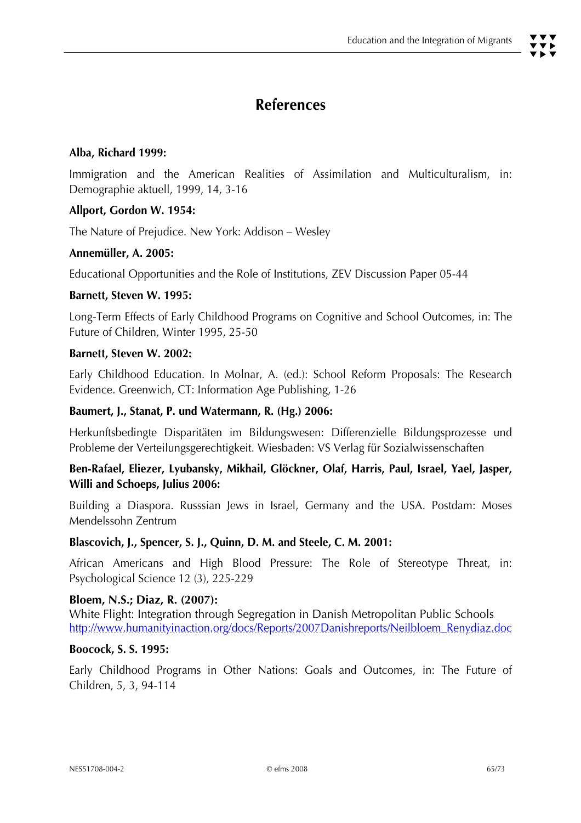#### **Alba, Richard 1999:**

Immigration and the American Realities of Assimilation and Multiculturalism, in: Demographie aktuell, 1999, 14, 3-16

#### **Allport, Gordon W. 1954:**

The Nature of Prejudice. New York: Addison – Wesley

#### **Annemüller, A. 2005:**

Educational Opportunities and the Role of Institutions, ZEV Discussion Paper 05-44

#### **Barnett, Steven W. 1995:**

Long-Term Effects of Early Childhood Programs on Cognitive and School Outcomes, in: The Future of Children, Winter 1995, 25-50

#### **Barnett, Steven W. 2002:**

Early Childhood Education. In Molnar, A. (ed.): School Reform Proposals: The Research Evidence. Greenwich, CT: Information Age Publishing, 1-26

#### **Baumert, J., Stanat, P. und Watermann, R. (Hg.) 2006:**

Herkunftsbedingte Disparitäten im Bildungswesen: Differenzielle Bildungsprozesse und Probleme der Verteilungsgerechtigkeit. Wiesbaden: VS Verlag für Sozialwissenschaften

## **Ben-Rafael, Eliezer, Lyubansky, Mikhail, Glöckner, Olaf, Harris, Paul, Israel, Yael, Jasper, Willi and Schoeps, Julius 2006:**

Building a Diaspora. Russsian Jews in Israel, Germany and the USA. Postdam: Moses Mendelssohn Zentrum

#### **Blascovich, J., Spencer, S. J., Quinn, D. M. and Steele, C. M. 2001:**

African Americans and High Blood Pressure: The Role of Stereotype Threat, in: Psychological Science 12 (3), 225-229

#### **Bloem, N.S.; Diaz, R. (2007):**

White Flight: Integration through Segregation in Danish Metropolitan Public Schools http://www.humanityinaction.org/docs/Reports/2007Danishreports/Neilbloem\_Renydiaz.doc

#### **Boocock, S. S. 1995:**

Early Childhood Programs in Other Nations: Goals and Outcomes, in: The Future of Children, 5, 3, 94-114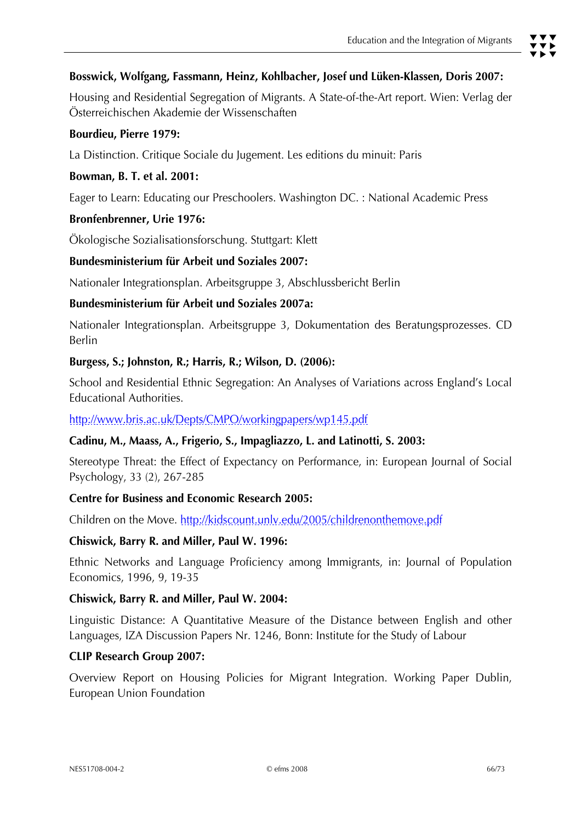Housing and Residential Segregation of Migrants. A State-of-the-Art report. Wien: Verlag der Österreichischen Akademie der Wissenschaften

## **Bourdieu, Pierre 1979:**

La Distinction. Critique Sociale du Jugement. Les editions du minuit: Paris

## **Bowman, B. T. et al. 2001:**

Eager to Learn: Educating our Preschoolers. Washington DC. : National Academic Press

## **Bronfenbrenner, Urie 1976:**

Ökologische Sozialisationsforschung. Stuttgart: Klett

## **Bundesministerium für Arbeit und Soziales 2007:**

Nationaler Integrationsplan. Arbeitsgruppe 3, Abschlussbericht Berlin

## **Bundesministerium für Arbeit und Soziales 2007a:**

Nationaler Integrationsplan. Arbeitsgruppe 3, Dokumentation des Beratungsprozesses. CD Berlin

## **Burgess, S.; Johnston, R.; Harris, R.; Wilson, D. (2006):**

School and Residential Ethnic Segregation: An Analyses of Variations across England's Local Educational Authorities.

http://www.bris.ac.uk/Depts/CMPO/workingpapers/wp145.pdf

#### **Cadinu, M., Maass, A., Frigerio, S., Impagliazzo, L. and Latinotti, S. 2003:**

Stereotype Threat: the Effect of Expectancy on Performance, in: European Journal of Social Psychology, 33 (2), 267-285

#### **Centre for Business and Economic Research 2005:**

Children on the Move. http://kidscount.unly.edu/2005/childrenonthemove.pdf

#### **Chiswick, Barry R. and Miller, Paul W. 1996:**

Ethnic Networks and Language Proficiency among Immigrants, in: Journal of Population Economics, 1996, 9, 19-35

#### **Chiswick, Barry R. and Miller, Paul W. 2004:**

Linguistic Distance: A Quantitative Measure of the Distance between English and other Languages, IZA Discussion Papers Nr. 1246, Bonn: Institute for the Study of Labour

#### **CLIP Research Group 2007:**

Overview Report on Housing Policies for Migrant Integration. Working Paper Dublin, European Union Foundation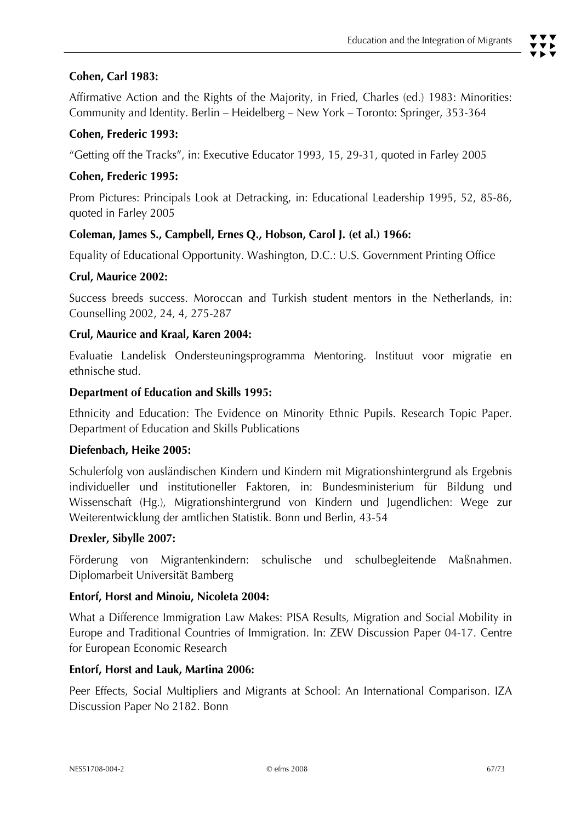Affirmative Action and the Rights of the Majority, in Fried, Charles (ed.) 1983: Minorities: Community and Identity. Berlin – Heidelberg – New York – Toronto: Springer, 353-364

## **Cohen, Frederic 1993:**

"Getting off the Tracks", in: Executive Educator 1993, 15, 29-31, quoted in Farley 2005

## **Cohen, Frederic 1995:**

Prom Pictures: Principals Look at Detracking, in: Educational Leadership 1995, 52, 85-86, quoted in Farley 2005

## **Coleman, James S., Campbell, Ernes Q., Hobson, Carol J. (et al.) 1966:**

Equality of Educational Opportunity. Washington, D.C.: U.S. Government Printing Office

#### **Crul, Maurice 2002:**

Success breeds success. Moroccan and Turkish student mentors in the Netherlands, in: Counselling 2002, 24, 4, 275-287

## **Crul, Maurice and Kraal, Karen 2004:**

Evaluatie Landelisk Ondersteuningsprogramma Mentoring. Instituut voor migratie en ethnische stud.

#### **Department of Education and Skills 1995:**

Ethnicity and Education: The Evidence on Minority Ethnic Pupils. Research Topic Paper. Department of Education and Skills Publications

#### **Diefenbach, Heike 2005:**

Schulerfolg von ausländischen Kindern und Kindern mit Migrationshintergrund als Ergebnis individueller und institutioneller Faktoren, in: Bundesministerium für Bildung und Wissenschaft (Hg.), Migrationshintergrund von Kindern und Jugendlichen: Wege zur Weiterentwicklung der amtlichen Statistik. Bonn und Berlin, 43-54

#### **Drexler, Sibylle 2007:**

Förderung von Migrantenkindern: schulische und schulbegleitende Maßnahmen. Diplomarbeit Universität Bamberg

#### **Entorf, Horst and Minoiu, Nicoleta 2004:**

What a Difference Immigration Law Makes: PISA Results, Migration and Social Mobility in Europe and Traditional Countries of Immigration. In: ZEW Discussion Paper 04-17. Centre for European Economic Research

#### **Entorf, Horst and Lauk, Martina 2006:**

Peer Effects, Social Multipliers and Migrants at School: An International Comparison. IZA Discussion Paper No 2182. Bonn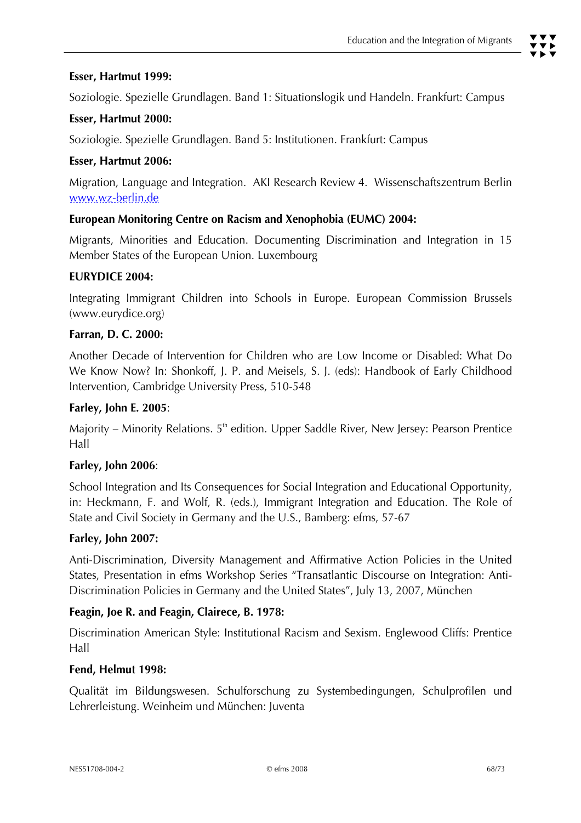## **Esser, Hartmut 1999:**

Soziologie. Spezielle Grundlagen. Band 1: Situationslogik und Handeln. Frankfurt: Campus

## **Esser, Hartmut 2000:**

Soziologie. Spezielle Grundlagen. Band 5: Institutionen. Frankfurt: Campus

## **Esser, Hartmut 2006:**

Migration, Language and Integration. AKI Research Review 4. Wissenschaftszentrum Berlin www.wz-berlin.de

## **European Monitoring Centre on Racism and Xenophobia (EUMC) 2004:**

Migrants, Minorities and Education. Documenting Discrimination and Integration in 15 Member States of the European Union. Luxembourg

## **EURYDICE 2004:**

Integrating Immigrant Children into Schools in Europe. European Commission Brussels (www.eurydice.org)

#### **Farran, D. C. 2000:**

Another Decade of Intervention for Children who are Low Income or Disabled: What Do We Know Now? In: Shonkoff, J. P. and Meisels, S. J. (eds): Handbook of Early Childhood Intervention, Cambridge University Press, 510-548

#### **Farley, John E. 2005**:

Majority – Minority Relations.  $5<sup>th</sup>$  edition. Upper Saddle River, New Jersey: Pearson Prentice Hall

#### **Farley, John 2006**:

School Integration and Its Consequences for Social Integration and Educational Opportunity, in: Heckmann, F. and Wolf, R. (eds.), Immigrant Integration and Education. The Role of State and Civil Society in Germany and the U.S., Bamberg: efms, 57-67

#### **Farley, John 2007:**

Anti-Discrimination, Diversity Management and Affirmative Action Policies in the United States, Presentation in efms Workshop Series "Transatlantic Discourse on Integration: Anti-Discrimination Policies in Germany and the United States", July 13, 2007, München

#### **Feagin, Joe R. and Feagin, Clairece, B. 1978:**

Discrimination American Style: Institutional Racism and Sexism. Englewood Cliffs: Prentice Hall

#### **Fend, Helmut 1998:**

Qualität im Bildungswesen. Schulforschung zu Systembedingungen, Schulprofilen und Lehrerleistung. Weinheim und München: Juventa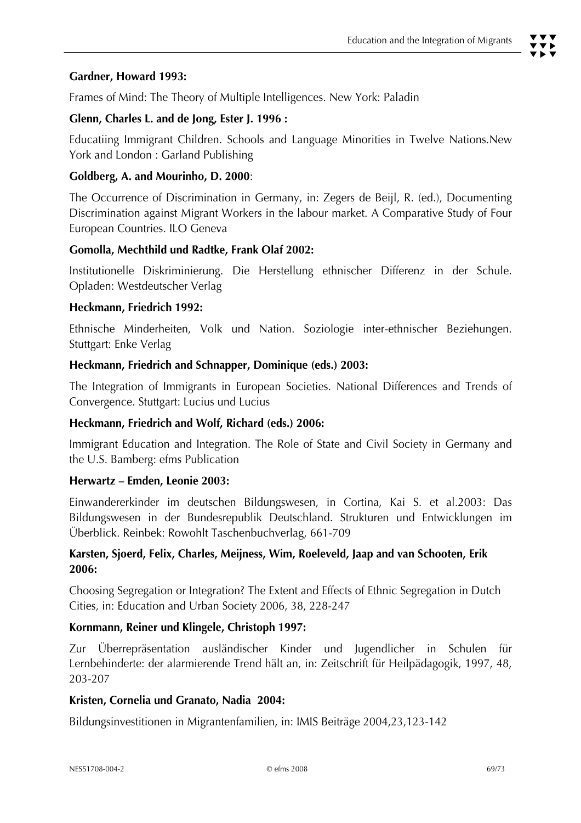#### **Gardner, Howard 1993:**

Frames of Mind: The Theory of Multiple Intelligences. New York: Paladin

#### **Glenn, Charles L. and de Jong, Ester J. 1996 :**

Educatiing Immigrant Children. Schools and Language Minorities in Twelve Nations.New York and London : Garland Publishing

#### **Goldberg, A. and Mourinho, D. 2000**:

The Occurrence of Discrimination in Germany, in: Zegers de Beijl, R. (ed.), Documenting Discrimination against Migrant Workers in the labour market. A Comparative Study of Four European Countries. ILO Geneva

## **Gomolla, Mechthild und Radtke, Frank Olaf 2002:**

Institutionelle Diskriminierung. Die Herstellung ethnischer Differenz in der Schule. Opladen: Westdeutscher Verlag

#### **Heckmann, Friedrich 1992:**

Ethnische Minderheiten, Volk und Nation. Soziologie inter-ethnischer Beziehungen. Stuttgart: Enke Verlag

## **Heckmann, Friedrich and Schnapper, Dominique (eds.) 2003:**

The Integration of Immigrants in European Societies. National Differences and Trends of Convergence. Stuttgart: Lucius und Lucius

#### **Heckmann, Friedrich and Wolf, Richard (eds.) 2006:**

Immigrant Education and Integration. The Role of State and Civil Society in Germany and the U.S. Bamberg: efms Publication

#### **Herwartz – Emden, Leonie 2003:**

Einwandererkinder im deutschen Bildungswesen, in Cortina, Kai S. et al.2003: Das Bildungswesen in der Bundesrepublik Deutschland. Strukturen und Entwicklungen im Überblick. Reinbek: Rowohlt Taschenbuchverlag, 661-709

## **Karsten, Sjoerd, Felix, Charles, Meijness, Wim, Roeleveld, Jaap and van Schooten, Erik 2006:**

Choosing Segregation or Integration? The Extent and Effects of Ethnic Segregation in Dutch Cities, in: Education and Urban Society 2006, 38, 228-247

#### **Kornmann, Reiner und Klingele, Christoph 1997:**

Zur Überrepräsentation ausländischer Kinder und Jugendlicher in Schulen für Lernbehinderte: der alarmierende Trend hält an, in: Zeitschrift für Heilpädagogik, 1997, 48, 203-207

#### **Kristen, Cornelia und Granato, Nadia 2004:**

Bildungsinvestitionen in Migrantenfamilien, in: IMIS Beiträge 2004,23,123-142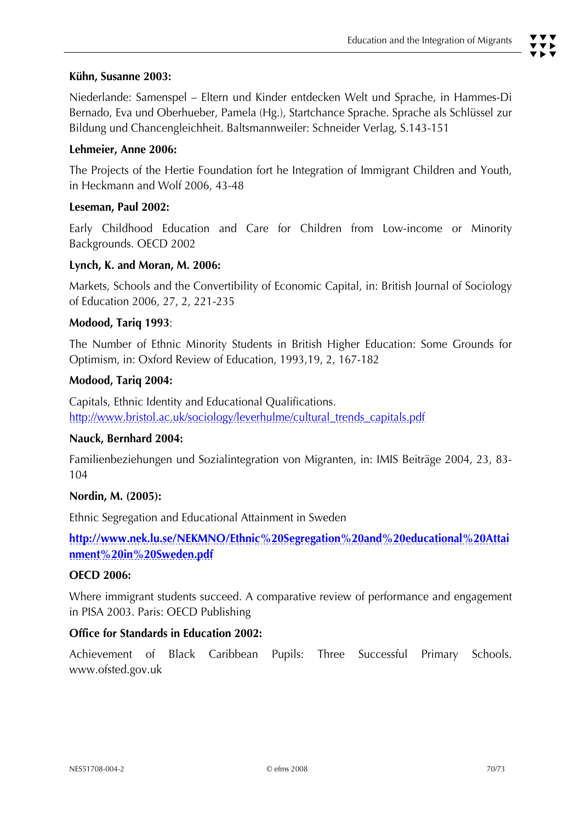#### **Kühn, Susanne 2003:**

Niederlande: Samenspel – Eltern und Kinder entdecken Welt und Sprache, in Hammes-Di Bernado, Eva und Oberhueber, Pamela (Hg.), Startchance Sprache. Sprache als Schlüssel zur Bildung und Chancengleichheit. Baltsmannweiler: Schneider Verlag, S.143-151

#### **Lehmeier, Anne 2006:**

The Projects of the Hertie Foundation fort he Integration of Immigrant Children and Youth, in Heckmann and Wolf 2006, 43-48

#### **Leseman, Paul 2002:**

Early Childhood Education and Care for Children from Low-income or Minority Backgrounds. OECD 2002

#### **Lynch, K. and Moran, M. 2006:**

Markets, Schools and the Convertibility of Economic Capital, in: British Journal of Sociology of Education 2006, 27, 2, 221-235

#### **Modood, Tariq 1993**:

The Number of Ethnic Minority Students in British Higher Education: Some Grounds for Optimism, in: Oxford Review of Education, 1993,19, 2, 167-182

#### **Modood, Tariq 2004:**

Capitals, Ethnic Identity and Educational Qualifications. http://www.bristol.ac.uk/sociology/leverhulme/cultural\_trends\_capitals.pdf

#### **Nauck, Bernhard 2004:**

Familienbeziehungen und Sozialintegration von Migranten, in: IMIS Beiträge 2004, 23, 83- 104

#### **Nordin, M. (2005):**

Ethnic Segregation and Educational Attainment in Sweden

**http://www.nek.lu.se/NEKMNO/Ethnic%20Segregation%20and%20educational%20Attai nment%20in%20Sweden.pdf**

#### **OECD 2006:**

Where immigrant students succeed. A comparative review of performance and engagement in PISA 2003. Paris: OECD Publishing

#### **Office for Standards in Education 2002:**

Achievement of Black Caribbean Pupils: Three Successful Primary Schools. www.ofsted.gov.uk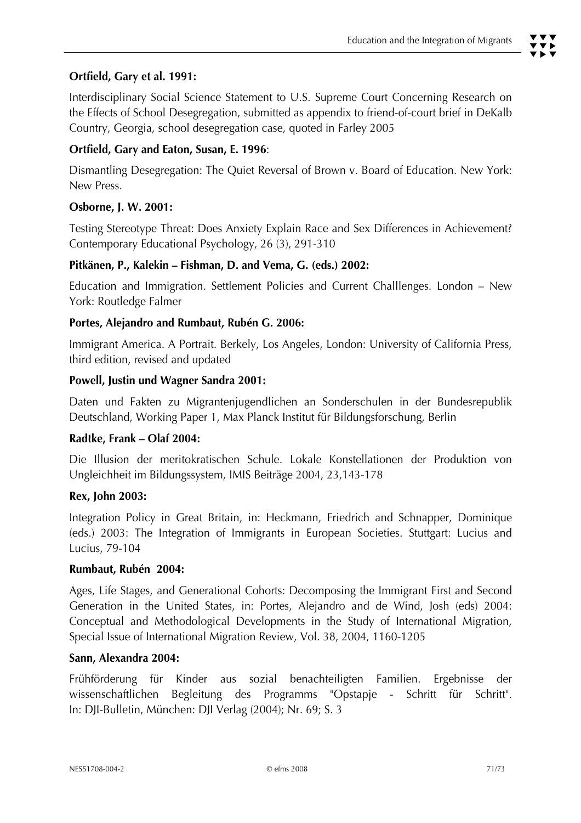# **Ortfield, Gary et al. 1991:**

Interdisciplinary Social Science Statement to U.S. Supreme Court Concerning Research on the Effects of School Desegregation, submitted as appendix to friend-of-court brief in DeKalb Country, Georgia, school desegregation case, quoted in Farley 2005

## **Ortfield, Gary and Eaton, Susan, E. 1996**:

Dismantling Desegregation: The Quiet Reversal of Brown v. Board of Education. New York: New Press.

## **Osborne, J. W. 2001:**

Testing Stereotype Threat: Does Anxiety Explain Race and Sex Differences in Achievement? Contemporary Educational Psychology, 26 (3), 291-310

## **Pitkänen, P., Kalekin – Fishman, D. and Vema, G. (eds.) 2002:**

Education and Immigration. Settlement Policies and Current Challlenges. London – New York: Routledge Falmer

#### **Portes, Alejandro and Rumbaut, Rubén G. 2006:**

Immigrant America. A Portrait. Berkely, Los Angeles, London: University of California Press, third edition, revised and updated

#### **Powell, Justin und Wagner Sandra 2001:**

Daten und Fakten zu Migrantenjugendlichen an Sonderschulen in der Bundesrepublik Deutschland, Working Paper 1, Max Planck Institut für Bildungsforschung, Berlin

#### **Radtke, Frank – Olaf 2004:**

Die Illusion der meritokratischen Schule. Lokale Konstellationen der Produktion von Ungleichheit im Bildungssystem, IMIS Beiträge 2004, 23,143-178

#### **Rex, John 2003:**

Integration Policy in Great Britain, in: Heckmann, Friedrich and Schnapper, Dominique (eds.) 2003: The Integration of Immigrants in European Societies. Stuttgart: Lucius and Lucius, 79-104

#### **Rumbaut, Rubén 2004:**

Ages, Life Stages, and Generational Cohorts: Decomposing the Immigrant First and Second Generation in the United States, in: Portes, Alejandro and de Wind, Josh (eds) 2004: Conceptual and Methodological Developments in the Study of International Migration, Special Issue of International Migration Review, Vol. 38, 2004, 1160-1205

#### **Sann, Alexandra 2004:**

Frühförderung für Kinder aus sozial benachteiligten Familien. Ergebnisse der wissenschaftlichen Begleitung des Programms "Opstapje - Schritt für Schritt". In: DJI-Bulletin, München: DJI Verlag (2004); Nr. 69; S. 3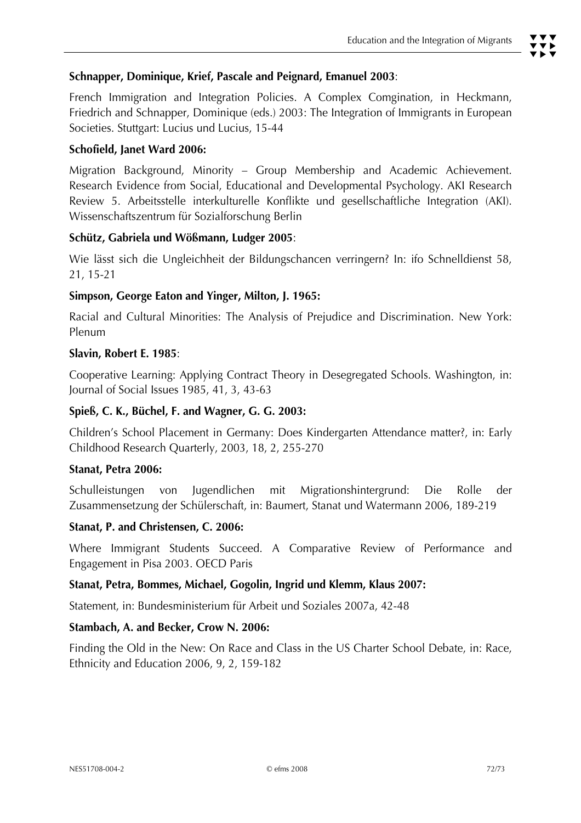## **Schnapper, Dominique, Krief, Pascale and Peignard, Emanuel 2003**:

French Immigration and Integration Policies. A Complex Comgination, in Heckmann, Friedrich and Schnapper, Dominique (eds.) 2003: The Integration of Immigrants in European Societies. Stuttgart: Lucius und Lucius, 15-44

## **Schofield, Janet Ward 2006:**

Migration Background, Minority – Group Membership and Academic Achievement. Research Evidence from Social, Educational and Developmental Psychology. AKI Research Review 5. Arbeitsstelle interkulturelle Konflikte und gesellschaftliche Integration (AKI). Wissenschaftszentrum für Sozialforschung Berlin

## **Schütz, Gabriela und Wößmann, Ludger 2005**:

Wie lässt sich die Ungleichheit der Bildungschancen verringern? In: ifo Schnelldienst 58, 21, 15-21

## **Simpson, George Eaton and Yinger, Milton, J. 1965:**

Racial and Cultural Minorities: The Analysis of Prejudice and Discrimination. New York: Plenum

#### **Slavin, Robert E. 1985**:

Cooperative Learning: Applying Contract Theory in Desegregated Schools. Washington, in: Journal of Social Issues 1985, 41, 3, 43-63

#### **Spieß, C. K., Büchel, F. and Wagner, G. G. 2003:**

Children's School Placement in Germany: Does Kindergarten Attendance matter?, in: Early Childhood Research Quarterly, 2003, 18, 2, 255-270

#### **Stanat, Petra 2006:**

Schulleistungen von Jugendlichen mit Migrationshintergrund: Die Rolle der Zusammensetzung der Schülerschaft, in: Baumert, Stanat und Watermann 2006, 189-219

#### **Stanat, P. and Christensen, C. 2006:**

Where Immigrant Students Succeed. A Comparative Review of Performance and Engagement in Pisa 2003. OECD Paris

#### **Stanat, Petra, Bommes, Michael, Gogolin, Ingrid und Klemm, Klaus 2007:**

Statement, in: Bundesministerium für Arbeit und Soziales 2007a, 42-48

#### **Stambach, A. and Becker, Crow N. 2006:**

Finding the Old in the New: On Race and Class in the US Charter School Debate, in: Race, Ethnicity and Education 2006, 9, 2, 159-182